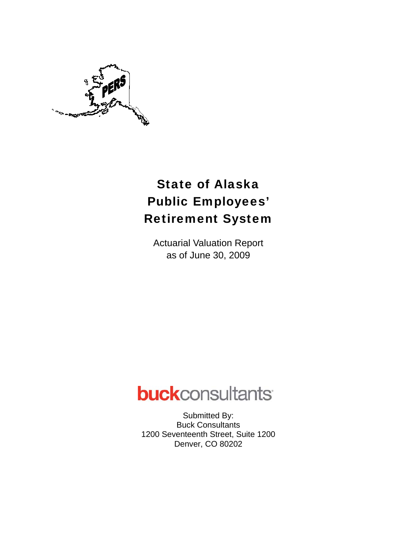

# State of Alaska Public Employees' Retirement System

Actuarial Valuation Report as of June 30, 2009

# **buck**consultants

Submitted By: Buck Consultants 1200 Seventeenth Street, Suite 1200 Denver, CO 80202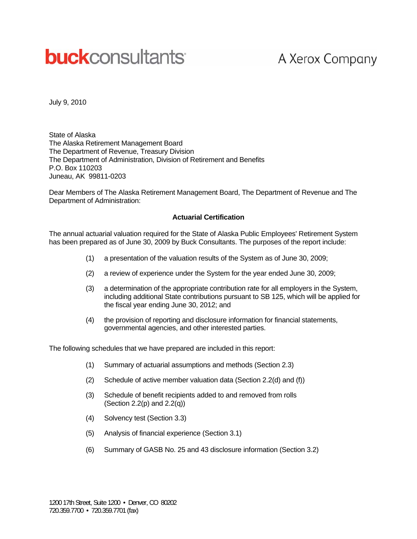# **buck**consultants

# A Xerox Company

July 9, 2010

State of Alaska The Alaska Retirement Management Board The Department of Revenue, Treasury Division The Department of Administration, Division of Retirement and Benefits P.O. Box 110203 Juneau, AK 99811-0203

Dear Members of The Alaska Retirement Management Board, The Department of Revenue and The Department of Administration:

#### **Actuarial Certification**

The annual actuarial valuation required for the State of Alaska Public Employees' Retirement System has been prepared as of June 30, 2009 by Buck Consultants. The purposes of the report include:

- (1) a presentation of the valuation results of the System as of June 30, 2009;
- (2) a review of experience under the System for the year ended June 30, 2009;
- (3) a determination of the appropriate contribution rate for all employers in the System, including additional State contributions pursuant to SB 125, which will be applied for the fiscal year ending June 30, 2012; and
- (4) the provision of reporting and disclosure information for financial statements, governmental agencies, and other interested parties.

The following schedules that we have prepared are included in this report:

- (1) Summary of actuarial assumptions and methods (Section 2.3)
- (2) Schedule of active member valuation data (Section 2.2(d) and (f))
- (3) Schedule of benefit recipients added to and removed from rolls (Section 2.2(p) and 2.2(q))
- (4) Solvency test (Section 3.3)
- (5) Analysis of financial experience (Section 3.1)
- (6) Summary of GASB No. 25 and 43 disclosure information (Section 3.2)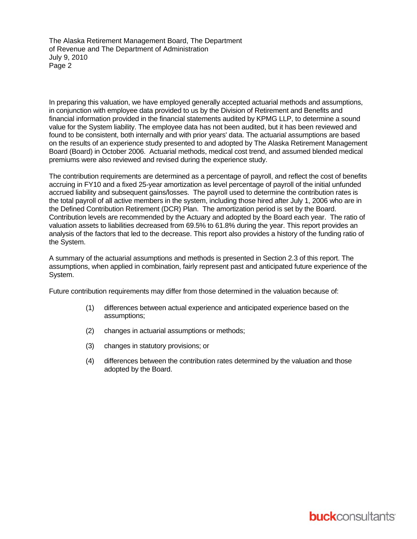The Alaska Retirement Management Board, The Department of Revenue and The Department of Administration July 9, 2010 Page 2

In preparing this valuation, we have employed generally accepted actuarial methods and assumptions, in conjunction with employee data provided to us by the Division of Retirement and Benefits and financial information provided in the financial statements audited by KPMG LLP, to determine a sound value for the System liability. The employee data has not been audited, but it has been reviewed and found to be consistent, both internally and with prior years' data. The actuarial assumptions are based on the results of an experience study presented to and adopted by The Alaska Retirement Management Board (Board) in October 2006. Actuarial methods, medical cost trend, and assumed blended medical premiums were also reviewed and revised during the experience study.

The contribution requirements are determined as a percentage of payroll, and reflect the cost of benefits accruing in FY10 and a fixed 25-year amortization as level percentage of payroll of the initial unfunded accrued liability and subsequent gains/losses. The payroll used to determine the contribution rates is the total payroll of all active members in the system, including those hired after July 1, 2006 who are in the Defined Contribution Retirement (DCR) Plan. The amortization period is set by the Board. Contribution levels are recommended by the Actuary and adopted by the Board each year. The ratio of valuation assets to liabilities decreased from 69.5% to 61.8% during the year. This report provides an analysis of the factors that led to the decrease. This report also provides a history of the funding ratio of the System.

A summary of the actuarial assumptions and methods is presented in Section 2.3 of this report. The assumptions, when applied in combination, fairly represent past and anticipated future experience of the System.

Future contribution requirements may differ from those determined in the valuation because of:

- (1) differences between actual experience and anticipated experience based on the assumptions;
- (2) changes in actuarial assumptions or methods;
- (3) changes in statutory provisions; or
- (4) differences between the contribution rates determined by the valuation and those adopted by the Board.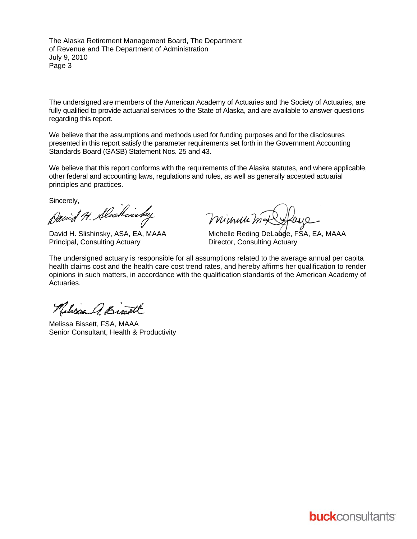The Alaska Retirement Management Board, The Department of Revenue and The Department of Administration July 9, 2010 Page 3

The undersigned are members of the American Academy of Actuaries and the Society of Actuaries, are fully qualified to provide actuarial services to the State of Alaska, and are available to answer questions regarding this report.

We believe that the assumptions and methods used for funding purposes and for the disclosures presented in this report satisfy the parameter requirements set forth in the Government Accounting Standards Board (GASB) Statement Nos. 25 and 43.

We believe that this report conforms with the requirements of the Alaska statutes, and where applicable, other federal and accounting laws, regulations and rules, as well as generally accepted actuarial principles and practices.

Sincerely,

David H. Alaskinsky

Principal, Consulting Actuary **Director, Consulting Actuary** 

Minuu m4

David H. Slishinsky, ASA, EA, MAAA Michelle Reding DeLange, FSA, EA, MAAA

The undersigned actuary is responsible for all assumptions related to the average annual per capita health claims cost and the health care cost trend rates, and hereby affirms her qualification to render opinions in such matters, in accordance with the qualification standards of the American Academy of **Actuaries** 

Nelisse A. Bist

Melissa Bissett, FSA, MAAA Senior Consultant, Health & Productivity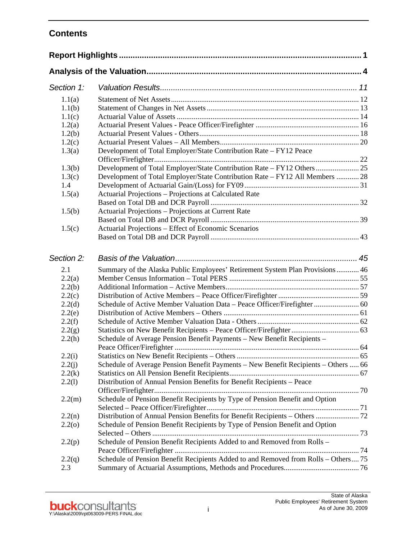# **Contents**

| Section 1: |                                                                                    |  |
|------------|------------------------------------------------------------------------------------|--|
| 1.1(a)     |                                                                                    |  |
| 1.1(b)     |                                                                                    |  |
| 1.1(c)     |                                                                                    |  |
| 1.2(a)     |                                                                                    |  |
| 1.2(b)     |                                                                                    |  |
| 1.2(c)     |                                                                                    |  |
| 1.3(a)     | Development of Total Employer/State Contribution Rate - FY12 Peace                 |  |
|            |                                                                                    |  |
| 1.3(b)     |                                                                                    |  |
| 1.3(c)     | Development of Total Employer/State Contribution Rate - FY12 All Members  28       |  |
| 1.4        |                                                                                    |  |
| 1.5(a)     | Actuarial Projections - Projections at Calculated Rate                             |  |
|            |                                                                                    |  |
| 1.5(b)     | Actuarial Projections - Projections at Current Rate                                |  |
|            |                                                                                    |  |
| 1.5(c)     | Actuarial Projections – Effect of Economic Scenarios                               |  |
|            |                                                                                    |  |
| Section 2: |                                                                                    |  |
| 2.1        | Summary of the Alaska Public Employees' Retirement System Plan Provisions 46       |  |
| 2.2(a)     |                                                                                    |  |
| 2.2(b)     |                                                                                    |  |
| 2.2(c)     |                                                                                    |  |
| 2.2(d)     | Schedule of Active Member Valuation Data - Peace Officer/Firefighter  60           |  |
| 2.2(e)     |                                                                                    |  |
| 2.2(f)     |                                                                                    |  |
| 2.2(g)     |                                                                                    |  |
| 2.2(h)     | Schedule of Average Pension Benefit Payments - New Benefit Recipients -            |  |
|            |                                                                                    |  |
| 2.2(i)     |                                                                                    |  |
| 2.2(j)     | Schedule of Average Pension Benefit Payments - New Benefit Recipients - Others  66 |  |
| 2.2(k)     |                                                                                    |  |
| 2.2(1)     | Distribution of Annual Pension Benefits for Benefit Recipients - Peace             |  |
|            |                                                                                    |  |
| 2.2(m)     | Schedule of Pension Benefit Recipients by Type of Pension Benefit and Option       |  |
|            |                                                                                    |  |
| 2.2(n)     | Distribution of Annual Pension Benefits for Benefit Recipients - Others  72        |  |
| 2.2(0)     | Schedule of Pension Benefit Recipients by Type of Pension Benefit and Option       |  |
| 2.2(p)     | Schedule of Pension Benefit Recipients Added to and Removed from Rolls -           |  |
| 2.2(q)     | Schedule of Pension Benefit Recipients Added to and Removed from Rolls - Others 75 |  |
| 2.3        |                                                                                    |  |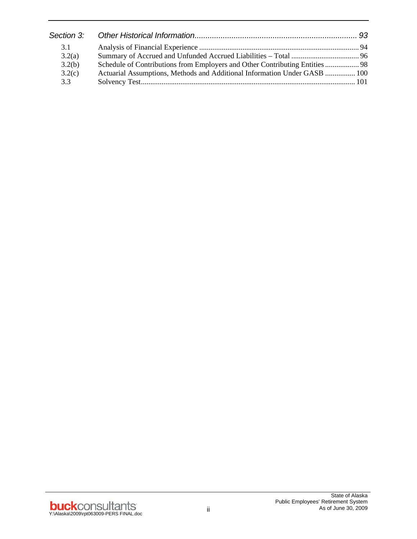| 3.1    |                                                                              |  |
|--------|------------------------------------------------------------------------------|--|
| 3.2(a) |                                                                              |  |
| 3.2(b) | Schedule of Contributions from Employers and Other Contributing Entities  98 |  |
| 3.2(c) | Actuarial Assumptions, Methods and Additional Information Under GASB  100    |  |
| 3.3    |                                                                              |  |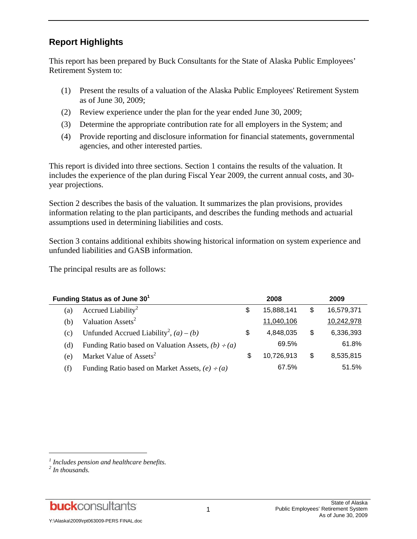# **Report Highlights**

This report has been prepared by Buck Consultants for the State of Alaska Public Employees' Retirement System to:

- (1) Present the results of a valuation of the Alaska Public Employees' Retirement System as of June 30, 2009;
- (2) Review experience under the plan for the year ended June 30, 2009;
- (3) Determine the appropriate contribution rate for all employers in the System; and
- (4) Provide reporting and disclosure information for financial statements, governmental agencies, and other interested parties.

This report is divided into three sections. Section 1 contains the results of the valuation. It includes the experience of the plan during Fiscal Year 2009, the current annual costs, and 30 year projections.

Section 2 describes the basis of the valuation. It summarizes the plan provisions, provides information relating to the plan participants, and describes the funding methods and actuarial assumptions used in determining liabilities and costs.

Section 3 contains additional exhibits showing historical information on system experience and unfunded liabilities and GASB information.

The principal results are as follows:

| Funding Status as of June 30 <sup>1</sup> |                                                         |    | 2008       |    | 2009       |  |
|-------------------------------------------|---------------------------------------------------------|----|------------|----|------------|--|
| (a)                                       | Accrued Liability <sup>2</sup>                          | \$ | 15,888,141 | S  | 16,579,371 |  |
| (b)                                       | Valuation Assets <sup>2</sup>                           |    | 11,040,106 |    | 10,242,978 |  |
| (c)                                       | Unfunded Accrued Liability <sup>2</sup> , $(a) - (b)$   | \$ | 4,848,035  | S  | 6,336,393  |  |
| (d)                                       | Funding Ratio based on Valuation Assets, $(b) \div (a)$ |    | 69.5%      |    | 61.8%      |  |
| (e)                                       | Market Value of Assets <sup>2</sup>                     | S  | 10,726,913 | \$ | 8,535,815  |  |
| (f)                                       | Funding Ratio based on Market Assets, $(e) \div (a)$    |    | 67.5%      |    | 51.5%      |  |

l

**buck**consultants

*<sup>1</sup> Includes pension and healthcare benefits.* 

*<sup>2</sup> In thousands.*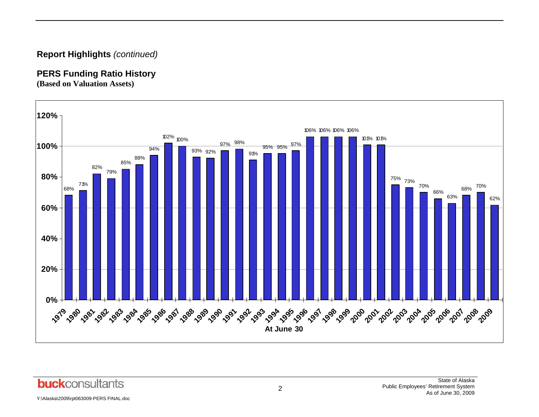# **Report Highlights** *(continued)*

# **PERS Funding Ratio History**

**(Based on Valuation Assets)** 



**buck**consultants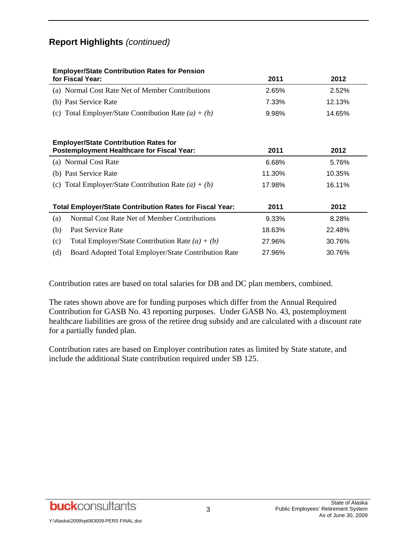# **Report Highlights** *(continued)*

| <b>Employer/State Contribution Rates for Pension</b><br>for Fiscal Year:                          | 2011   | 2012   |
|---------------------------------------------------------------------------------------------------|--------|--------|
| (a) Normal Cost Rate Net of Member Contributions                                                  | 2.65%  | 2.52%  |
| (b) Past Service Rate                                                                             | 7.33%  | 12.13% |
| (c) Total Employer/State Contribution Rate $(a) + (b)$                                            | 9.98%  | 14.65% |
| <b>Employer/State Contribution Rates for</b><br><b>Postemployment Healthcare for Fiscal Year:</b> | 2011   | 2012   |
| (a) Normal Cost Rate                                                                              | 6.68%  | 5.76%  |
| (b) Past Service Rate                                                                             | 11.30% | 10.35% |
| (c) Total Employer/State Contribution Rate $(a) + (b)$                                            | 17.98% | 16.11% |
| <b>Total Employer/State Contribution Rates for Fiscal Year:</b>                                   | 2011   | 2012   |
| Normal Cost Rate Net of Member Contributions<br>(a)                                               | 9.33%  | 8.28%  |
| (b)<br>Past Service Rate                                                                          | 18.63% | 22.48% |
| (c)<br>Total Employer/State Contribution Rate $(a) + (b)$                                         | 27.96% | 30.76% |
| (d)<br>Board Adopted Total Employer/State Contribution Rate                                       | 27.96% | 30.76% |

Contribution rates are based on total salaries for DB and DC plan members, combined.

The rates shown above are for funding purposes which differ from the Annual Required Contribution for GASB No. 43 reporting purposes. Under GASB No. 43, postemployment healthcare liabilities are gross of the retiree drug subsidy and are calculated with a discount rate for a partially funded plan.

Contribution rates are based on Employer contribution rates as limited by State statute, and include the additional State contribution required under SB 125.

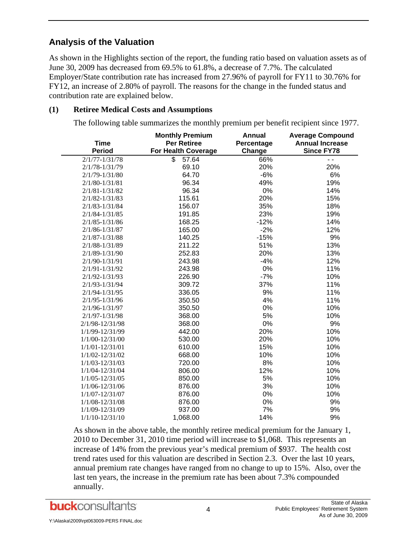# **Analysis of the Valuation**

As shown in the Highlights section of the report, the funding ratio based on valuation assets as of June 30, 2009 has decreased from 69.5% to 61.8%, a decrease of 7.7%. The calculated Employer/State contribution rate has increased from 27.96% of payroll for FY11 to 30.76% for FY12, an increase of 2.80% of payroll. The reasons for the change in the funded status and contribution rate are explained below.

#### **(1) Retiree Medical Costs and Assumptions**

The following table summarizes the monthly premium per benefit recipient since 1977.

|                     | <b>Monthly Premium</b>     | <b>Annual</b> | <b>Average Compound</b> |
|---------------------|----------------------------|---------------|-------------------------|
| <b>Time</b>         | <b>Per Retiree</b>         | Percentage    | <b>Annual Increase</b>  |
| <b>Period</b>       | <b>For Health Coverage</b> | Change        | <b>Since FY78</b>       |
| $2/1/77 - 1/31/78$  | \$<br>57.64                | 66%           | $\overline{a}$          |
| 2/1/78-1/31/79      | 69.10                      | 20%           | 20%                     |
| 2/1/79-1/31/80      | 64.70                      | $-6%$         | 6%                      |
| $2/1/80 - 1/31/81$  | 96.34                      | 49%           | 19%                     |
| $2/1/81 - 1/31/82$  | 96.34                      | 0%            | 14%                     |
| $2/1/82 - 1/31/83$  | 115.61                     | 20%           | 15%                     |
| 2/1/83-1/31/84      | 156.07                     | 35%           | 18%                     |
| 2/1/84-1/31/85      | 191.85                     | 23%           | 19%                     |
| $2/1/85 - 1/31/86$  | 168.25                     | $-12%$        | 14%                     |
| $2/1/86 - 1/31/87$  | 165.00                     | $-2%$         | 12%                     |
| $2/1/87 - 1/31/88$  | 140.25                     | $-15%$        | 9%                      |
| 2/1/88-1/31/89      | 211.22                     | 51%           | 13%                     |
| 2/1/89-1/31/90      | 252.83                     | 20%           | 13%                     |
| 2/1/90-1/31/91      | 243.98                     | $-4%$         | 12%                     |
| 2/1/91-1/31/92      | 243.98                     | 0%            | 11%                     |
| $2/1/92 - 1/31/93$  | 226.90                     | $-7%$         | 10%                     |
| 2/1/93-1/31/94      | 309.72                     | 37%           | 11%                     |
| 2/1/94-1/31/95      | 336.05                     | 9%            | 11%                     |
| 2/1/95-1/31/96      | 350.50                     | 4%            | 11%                     |
| 2/1/96-1/31/97      | 350.50                     | 0%            | 10%                     |
| $2/1/97 - 1/31/98$  | 368.00                     | 5%            | 10%                     |
| 2/1/98-12/31/98     | 368.00                     | 0%            | 9%                      |
| 1/1/99-12/31/99     | 442.00                     | 20%           | 10%                     |
| $1/1/00 - 12/31/00$ | 530.00                     | 20%           | 10%                     |
| $1/1/01 - 12/31/01$ | 610.00                     | 15%           | 10%                     |
| 1/1/02-12/31/02     | 668.00                     | 10%           | 10%                     |
| $1/1/03 - 12/31/03$ | 720.00                     | 8%            | 10%                     |
| $1/1/04 - 12/31/04$ | 806.00                     | 12%           | 10%                     |
| $1/1/05 - 12/31/05$ | 850.00                     | 5%            | 10%                     |
| 1/1/06-12/31/06     | 876.00                     | 3%            | 10%                     |
| $1/1/07 - 12/31/07$ | 876.00                     | 0%            | 10%                     |
| $1/1/08 - 12/31/08$ | 876.00                     | 0%            | 9%                      |
| 1/1/09-12/31/09     | 937.00                     | 7%            | 9%                      |
| $1/1/10 - 12/31/10$ | 1,068.00                   | 14%           | 9%                      |

As shown in the above table, the monthly retiree medical premium for the January 1, 2010 to December 31, 2010 time period will increase to \$1,068. This represents an increase of 14% from the previous year's medical premium of \$937. The health cost trend rates used for this valuation are described in Section 2.3. Over the last 10 years, annual premium rate changes have ranged from no change to up to 15%. Also, over the last ten years, the increase in the premium rate has been about 7.3% compounded annually.

**buck**consultants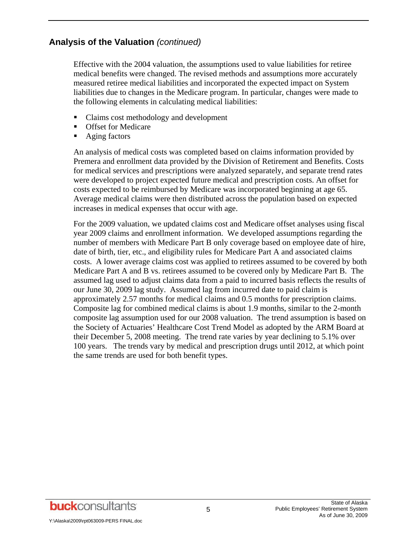Effective with the 2004 valuation, the assumptions used to value liabilities for retiree medical benefits were changed. The revised methods and assumptions more accurately measured retiree medical liabilities and incorporated the expected impact on System liabilities due to changes in the Medicare program. In particular, changes were made to the following elements in calculating medical liabilities:

- Claims cost methodology and development
- **Offset for Medicare**
- Aging factors

An analysis of medical costs was completed based on claims information provided by Premera and enrollment data provided by the Division of Retirement and Benefits. Costs for medical services and prescriptions were analyzed separately, and separate trend rates were developed to project expected future medical and prescription costs. An offset for costs expected to be reimbursed by Medicare was incorporated beginning at age 65. Average medical claims were then distributed across the population based on expected increases in medical expenses that occur with age.

For the 2009 valuation, we updated claims cost and Medicare offset analyses using fiscal year 2009 claims and enrollment information. We developed assumptions regarding the number of members with Medicare Part B only coverage based on employee date of hire, date of birth, tier, etc., and eligibility rules for Medicare Part A and associated claims costs. A lower average claims cost was applied to retirees assumed to be covered by both Medicare Part A and B vs. retirees assumed to be covered only by Medicare Part B. The assumed lag used to adjust claims data from a paid to incurred basis reflects the results of our June 30, 2009 lag study. Assumed lag from incurred date to paid claim is approximately 2.57 months for medical claims and 0.5 months for prescription claims. Composite lag for combined medical claims is about 1.9 months, similar to the 2-month composite lag assumption used for our 2008 valuation. The trend assumption is based on the Society of Actuaries' Healthcare Cost Trend Model as adopted by the ARM Board at their December 5, 2008 meeting. The trend rate varies by year declining to 5.1% over 100 years. The trends vary by medical and prescription drugs until 2012, at which point the same trends are used for both benefit types.

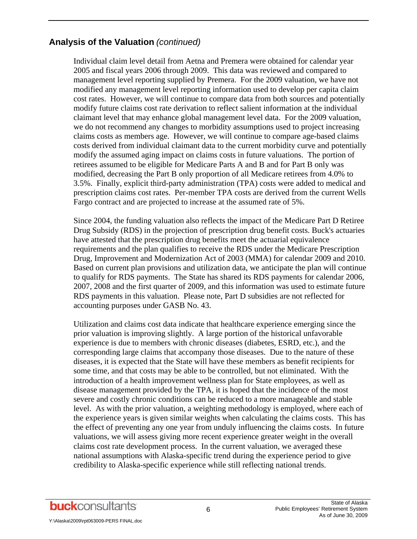Individual claim level detail from Aetna and Premera were obtained for calendar year 2005 and fiscal years 2006 through 2009. This data was reviewed and compared to management level reporting supplied by Premera. For the 2009 valuation, we have not modified any management level reporting information used to develop per capita claim cost rates. However, we will continue to compare data from both sources and potentially modify future claims cost rate derivation to reflect salient information at the individual claimant level that may enhance global management level data. For the 2009 valuation, we do not recommend any changes to morbidity assumptions used to project increasing claims costs as members age. However, we will continue to compare age-based claims costs derived from individual claimant data to the current morbidity curve and potentially modify the assumed aging impact on claims costs in future valuations. The portion of retirees assumed to be eligible for Medicare Parts A and B and for Part B only was modified, decreasing the Part B only proportion of all Medicare retirees from 4.0% to 3.5%. Finally, explicit third-party administration (TPA) costs were added to medical and prescription claims cost rates. Per-member TPA costs are derived from the current Wells Fargo contract and are projected to increase at the assumed rate of 5%.

Since 2004, the funding valuation also reflects the impact of the Medicare Part D Retiree Drug Subsidy (RDS) in the projection of prescription drug benefit costs. Buck's actuaries have attested that the prescription drug benefits meet the actuarial equivalence requirements and the plan qualifies to receive the RDS under the Medicare Prescription Drug, Improvement and Modernization Act of 2003 (MMA) for calendar 2009 and 2010. Based on current plan provisions and utilization data, we anticipate the plan will continue to qualify for RDS payments. The State has shared its RDS payments for calendar 2006, 2007, 2008 and the first quarter of 2009, and this information was used to estimate future RDS payments in this valuation. Please note, Part D subsidies are not reflected for accounting purposes under GASB No. 43.

Utilization and claims cost data indicate that healthcare experience emerging since the prior valuation is improving slightly. A large portion of the historical unfavorable experience is due to members with chronic diseases (diabetes, ESRD, etc.), and the corresponding large claims that accompany those diseases. Due to the nature of these diseases, it is expected that the State will have these members as benefit recipients for some time, and that costs may be able to be controlled, but not eliminated. With the introduction of a health improvement wellness plan for State employees, as well as disease management provided by the TPA, it is hoped that the incidence of the most severe and costly chronic conditions can be reduced to a more manageable and stable level. As with the prior valuation, a weighting methodology is employed, where each of the experience years is given similar weights when calculating the claims costs. This has the effect of preventing any one year from unduly influencing the claims costs. In future valuations, we will assess giving more recent experience greater weight in the overall claims cost rate development process. In the current valuation, we averaged these national assumptions with Alaska-specific trend during the experience period to give credibility to Alaska-specific experience while still reflecting national trends.

Y:\Alaska\2009\rpt063009-PERS FINAL.doc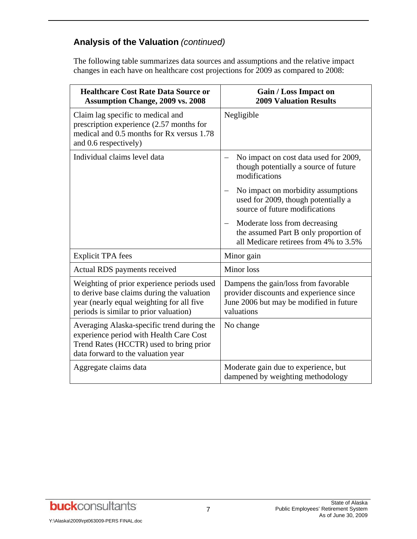The following table summarizes data sources and assumptions and the relative impact changes in each have on healthcare cost projections for 2009 as compared to 2008:

| <b>Healthcare Cost Rate Data Source or</b><br><b>Assumption Change, 2009 vs. 2008</b>                                                                                           | <b>Gain / Loss Impact on</b><br><b>2009 Valuation Results</b>                                                                            |
|---------------------------------------------------------------------------------------------------------------------------------------------------------------------------------|------------------------------------------------------------------------------------------------------------------------------------------|
| Claim lag specific to medical and<br>prescription experience (2.57 months for<br>medical and 0.5 months for Rx versus 1.78<br>and 0.6 respectively)                             | Negligible                                                                                                                               |
| Individual claims level data                                                                                                                                                    | No impact on cost data used for 2009,<br>though potentially a source of future<br>modifications                                          |
|                                                                                                                                                                                 | No impact on morbidity assumptions<br>used for 2009, though potentially a<br>source of future modifications                              |
|                                                                                                                                                                                 | Moderate loss from decreasing<br>the assumed Part B only proportion of<br>all Medicare retirees from 4% to 3.5%                          |
| <b>Explicit TPA</b> fees                                                                                                                                                        | Minor gain                                                                                                                               |
| Actual RDS payments received                                                                                                                                                    | Minor loss                                                                                                                               |
| Weighting of prior experience periods used<br>to derive base claims during the valuation<br>year (nearly equal weighting for all five<br>periods is similar to prior valuation) | Dampens the gain/loss from favorable<br>provider discounts and experience since<br>June 2006 but may be modified in future<br>valuations |
| Averaging Alaska-specific trend during the<br>experience period with Health Care Cost<br>Trend Rates (HCCTR) used to bring prior<br>data forward to the valuation year          | No change                                                                                                                                |
| Aggregate claims data                                                                                                                                                           | Moderate gain due to experience, but<br>dampened by weighting methodology                                                                |

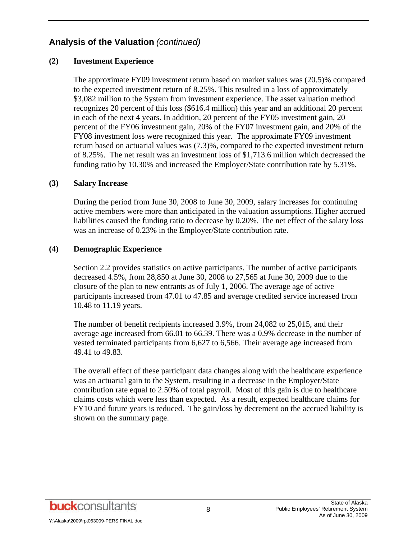#### **(2) Investment Experience**

The approximate FY09 investment return based on market values was (20.5)% compared to the expected investment return of 8.25%. This resulted in a loss of approximately \$3,082 million to the System from investment experience. The asset valuation method recognizes 20 percent of this loss (\$616.4 million) this year and an additional 20 percent in each of the next 4 years. In addition, 20 percent of the FY05 investment gain, 20 percent of the FY06 investment gain, 20% of the FY07 investment gain, and 20% of the FY08 investment loss were recognized this year. The approximate FY09 investment return based on actuarial values was (7.3)%, compared to the expected investment return of 8.25%. The net result was an investment loss of \$1,713.6 million which decreased the funding ratio by 10.30% and increased the Employer/State contribution rate by 5.31%.

#### **(3) Salary Increase**

During the period from June 30, 2008 to June 30, 2009, salary increases for continuing active members were more than anticipated in the valuation assumptions. Higher accrued liabilities caused the funding ratio to decrease by 0.20%. The net effect of the salary loss was an increase of 0.23% in the Employer/State contribution rate.

#### **(4) Demographic Experience**

Section 2.2 provides statistics on active participants. The number of active participants decreased 4.5%, from 28,850 at June 30, 2008 to 27,565 at June 30, 2009 due to the closure of the plan to new entrants as of July 1, 2006. The average age of active participants increased from 47.01 to 47.85 and average credited service increased from 10.48 to 11.19 years.

The number of benefit recipients increased 3.9%, from 24,082 to 25,015, and their average age increased from 66.01 to 66.39. There was a 0.9% decrease in the number of vested terminated participants from 6,627 to 6,566. Their average age increased from 49.41 to 49.83.

The overall effect of these participant data changes along with the healthcare experience was an actuarial gain to the System, resulting in a decrease in the Employer/State contribution rate equal to 2.50% of total payroll. Most of this gain is due to healthcare claims costs which were less than expected. As a result, expected healthcare claims for FY10 and future years is reduced. The gain/loss by decrement on the accrued liability is shown on the summary page.

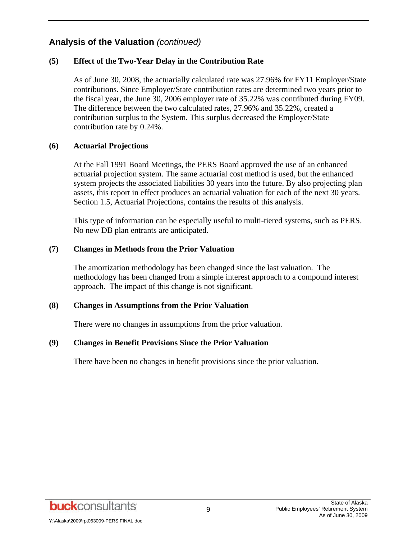#### **(5) Effect of the Two-Year Delay in the Contribution Rate**

As of June 30, 2008, the actuarially calculated rate was 27.96% for FY11 Employer/State contributions. Since Employer/State contribution rates are determined two years prior to the fiscal year, the June 30, 2006 employer rate of 35.22% was contributed during FY09. The difference between the two calculated rates, 27.96% and 35.22%, created a contribution surplus to the System. This surplus decreased the Employer/State contribution rate by 0.24%.

#### **(6) Actuarial Projections**

At the Fall 1991 Board Meetings, the PERS Board approved the use of an enhanced actuarial projection system. The same actuarial cost method is used, but the enhanced system projects the associated liabilities 30 years into the future. By also projecting plan assets, this report in effect produces an actuarial valuation for each of the next 30 years. Section 1.5, Actuarial Projections, contains the results of this analysis.

This type of information can be especially useful to multi-tiered systems, such as PERS. No new DB plan entrants are anticipated.

#### **(7) Changes in Methods from the Prior Valuation**

The amortization methodology has been changed since the last valuation. The methodology has been changed from a simple interest approach to a compound interest approach. The impact of this change is not significant.

#### **(8) Changes in Assumptions from the Prior Valuation**

There were no changes in assumptions from the prior valuation.

#### **(9) Changes in Benefit Provisions Since the Prior Valuation**

There have been no changes in benefit provisions since the prior valuation.

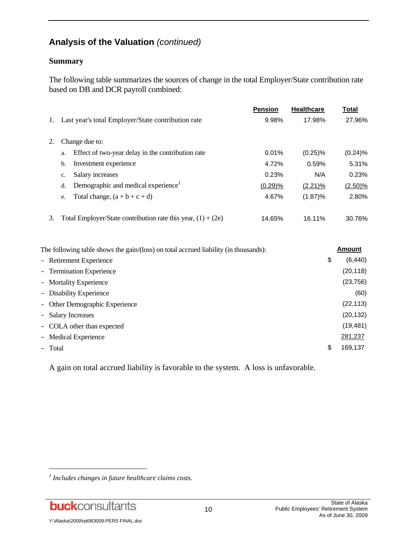#### **Summary**

The following table summarizes the sources of change in the total Employer/State contribution rate based on DB and DCR payroll combined:

|    |                                                                | <b>Pension</b> | <b>Healthcare</b> | Total      |
|----|----------------------------------------------------------------|----------------|-------------------|------------|
| 1. | Last year's total Employer/State contribution rate             | 9.98%          | 17.98%            | 27.96%     |
| 2. | Change due to:                                                 |                |                   |            |
|    |                                                                |                |                   |            |
|    | Effect of two-year delay in the contribution rate<br>a.        | 0.01%          | $(0.25)\%$        | (0.24)%    |
|    | Investment experience<br>b.                                    | 4.72%          | 0.59%             | 5.31%      |
|    | Salary increases<br>c.                                         | 0.23%          | N/A               | 0.23%      |
|    | Demographic and medical experience <sup>1</sup><br>d.          | (0.29)%        | $(2.21)\%$        | $(2.50)\%$ |
|    | Total change, $(a + b + c + d)$<br>e.                          | 4.67%          | $(1.87)\%$        | 2.80%      |
|    |                                                                |                |                   |            |
| 3. | Total Employer/State contribution rate this year, $(1) + (2e)$ | 14.65%         | 16.11%            | 30.76%     |

| The following table shows the gain/(loss) on total accrued liability (in thousands): | Amount |
|--------------------------------------------------------------------------------------|--------|

| - Retirement Experience        |  | \$ | (6, 440)  |
|--------------------------------|--|----|-----------|
| - Termination Experience       |  |    | (20, 118) |
| - Mortality Experience         |  |    | (23, 756) |
| - Disability Experience        |  |    | (60)      |
| - Other Demographic Experience |  |    | (22, 113) |
| - Salary Increases             |  |    | (20, 132) |
| - COLA other than expected     |  |    | (19, 481) |
| - Medical Experience           |  |    | 281,237   |
| - Total                        |  | \$ | 169,137   |

A gain on total accrued liability is favorable to the system. A loss is unfavorable.

*<sup>1</sup> Includes changes in future healthcare claims costs.*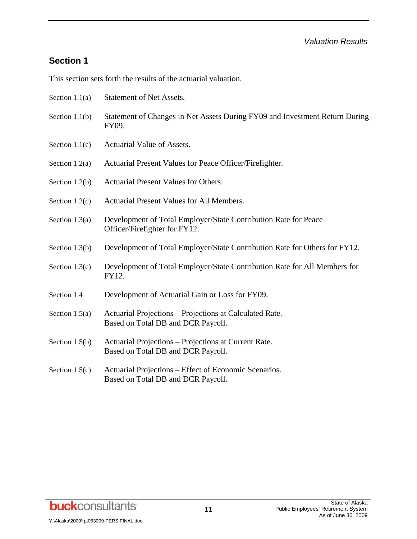# **Section 1**

This section sets forth the results of the actuarial valuation.

- Section 1.1(a) Statement of Net Assets.
- Section 1.1(b) Statement of Changes in Net Assets During FY09 and Investment Return During FY09.
- Section 1.1(c) Actuarial Value of Assets.
- Section 1.2(a) Actuarial Present Values for Peace Officer/Firefighter.
- Section 1.2(b) Actuarial Present Values for Others.
- Section 1.2(c) Actuarial Present Values for All Members.
- Section 1.3(a) Development of Total Employer/State Contribution Rate for Peace Officer/Firefighter for FY12.
- Section 1.3(b) Development of Total Employer/State Contribution Rate for Others for FY12.
- Section 1.3(c) Development of Total Employer/State Contribution Rate for All Members for FY12.
- Section 1.4 Development of Actuarial Gain or Loss for FY09.
- Section 1.5(a) Actuarial Projections Projections at Calculated Rate. Based on Total DB and DCR Payroll.
- Section 1.5(b) Actuarial Projections Projections at Current Rate. Based on Total DB and DCR Payroll.
- Section 1.5(c) Actuarial Projections Effect of Economic Scenarios. Based on Total DB and DCR Payroll.

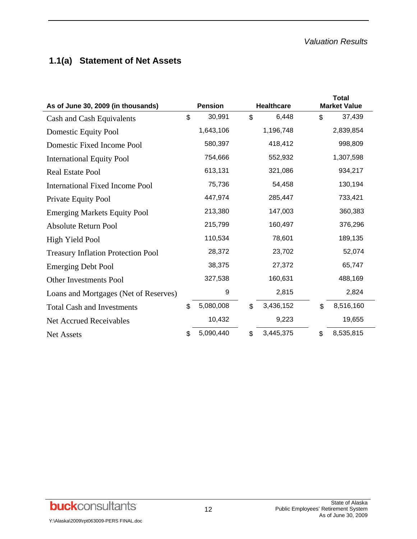# **1.1(a) Statement of Net Assets**

| As of June 30, 2009 (in thousands)        | <b>Pension</b><br><b>Healthcare</b> |           |                | <b>Total</b><br><b>Market Value</b> |         |           |
|-------------------------------------------|-------------------------------------|-----------|----------------|-------------------------------------|---------|-----------|
| Cash and Cash Equivalents                 | \$                                  | 30,991    | $\mathfrak{S}$ | 6,448                               | \$      | 37,439    |
| Domestic Equity Pool                      |                                     | 1,643,106 |                | 1,196,748                           |         | 2,839,854 |
| Domestic Fixed Income Pool                |                                     | 580,397   |                | 418,412                             |         | 998,809   |
| <b>International Equity Pool</b>          |                                     | 754,666   |                | 552,932                             |         | 1,307,598 |
| <b>Real Estate Pool</b>                   |                                     | 613,131   |                | 321,086                             |         | 934,217   |
| <b>International Fixed Income Pool</b>    |                                     | 75,736    |                | 54,458                              |         | 130,194   |
| Private Equity Pool                       |                                     | 447,974   |                | 285,447                             |         | 733,421   |
| <b>Emerging Markets Equity Pool</b>       |                                     | 213,380   |                | 147,003                             |         | 360,383   |
| <b>Absolute Return Pool</b>               |                                     | 215,799   |                | 160,497                             |         | 376,296   |
| High Yield Pool                           |                                     | 110,534   |                | 78,601                              | 189,135 |           |
| <b>Treasury Inflation Protection Pool</b> |                                     | 28,372    |                | 23,702                              |         | 52,074    |
| <b>Emerging Debt Pool</b>                 |                                     | 38,375    |                | 27,372                              |         | 65,747    |
| <b>Other Investments Pool</b>             |                                     | 327,538   |                | 160,631                             |         | 488,169   |
| Loans and Mortgages (Net of Reserves)     |                                     | 9         |                | 2,815                               |         | 2,824     |
| <b>Total Cash and Investments</b>         | \$                                  | 5,080,008 | \$             | 3,436,152                           | \$      | 8,516,160 |
| <b>Net Accrued Receivables</b>            |                                     | 10,432    | 9,223          |                                     |         | 19,655    |
| Net Assets                                | \$                                  | 5,090,440 | \$             | 3,445,375                           | \$      | 8,535,815 |

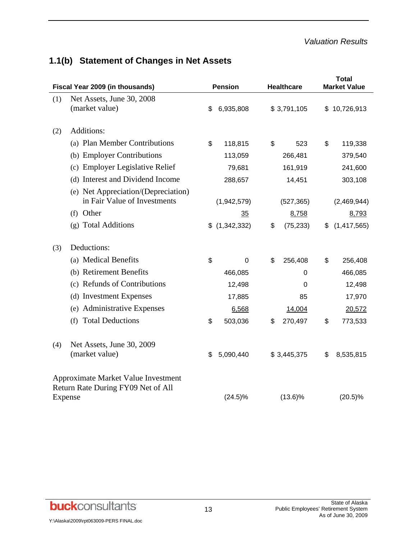# **1.1(b) Statement of Changes in Net Assets**

| Fiscal Year 2009 (in thousands)                                           |                                                                     |     | <b>Pension</b> | <b>Healthcare</b> |             |    | <b>Total</b><br><b>Market Value</b> |  |
|---------------------------------------------------------------------------|---------------------------------------------------------------------|-----|----------------|-------------------|-------------|----|-------------------------------------|--|
| (1)                                                                       | Net Assets, June 30, 2008<br>(market value)                         | \$. | 6,935,808      |                   | \$3,791,105 |    | \$10,726,913                        |  |
|                                                                           |                                                                     |     |                |                   |             |    |                                     |  |
| (2)                                                                       | Additions:                                                          |     |                |                   |             |    |                                     |  |
|                                                                           | (a) Plan Member Contributions                                       | \$  | 118,815        | \$                | 523         | \$ | 119,338                             |  |
|                                                                           | (b) Employer Contributions                                          |     | 113,059        |                   | 266,481     |    | 379,540                             |  |
|                                                                           | (c) Employer Legislative Relief                                     |     | 79,681         |                   | 161,919     |    | 241,600                             |  |
|                                                                           | (d) Interest and Dividend Income                                    |     | 288,657        |                   | 14,451      |    | 303,108                             |  |
|                                                                           | (e) Net Appreciation/(Depreciation)<br>in Fair Value of Investments |     | (1,942,579)    |                   | (527, 365)  |    | (2,469,944)                         |  |
|                                                                           | (f) Other                                                           |     | 35             |                   | 8,758       |    | 8,793                               |  |
|                                                                           | (g) Total Additions                                                 |     | \$(1,342,332)  | \$                | (75, 233)   | \$ | (1,417,565)                         |  |
| (3)                                                                       | Deductions:                                                         |     |                |                   |             |    |                                     |  |
|                                                                           | (a) Medical Benefits                                                | \$  | $\mathbf 0$    | \$                | 256,408     | \$ | 256,408                             |  |
|                                                                           | (b) Retirement Benefits                                             |     | 466,085        |                   | 0           |    | 466,085                             |  |
|                                                                           | (c) Refunds of Contributions                                        |     | 12,498         |                   | 0           |    | 12,498                              |  |
|                                                                           | (d) Investment Expenses                                             |     | 17,885         |                   | 85          |    | 17,970                              |  |
|                                                                           | (e) Administrative Expenses                                         |     | 6,568          |                   | 14,004      |    | 20,572                              |  |
|                                                                           | (f) Total Deductions                                                | \$  | 503,036        | \$                | 270,497     | \$ | 773,533                             |  |
| (4)                                                                       | Net Assets, June 30, 2009                                           |     |                |                   |             |    |                                     |  |
|                                                                           | (market value)                                                      | \$  | 5,090,440      |                   | \$3,445,375 | \$ | 8,535,815                           |  |
| Approximate Market Value Investment<br>Return Rate During FY09 Net of All |                                                                     |     |                |                   |             |    |                                     |  |
| Expense                                                                   |                                                                     |     | $(24.5)\%$     |                   | $(13.6)\%$  |    | $(20.5)\%$                          |  |

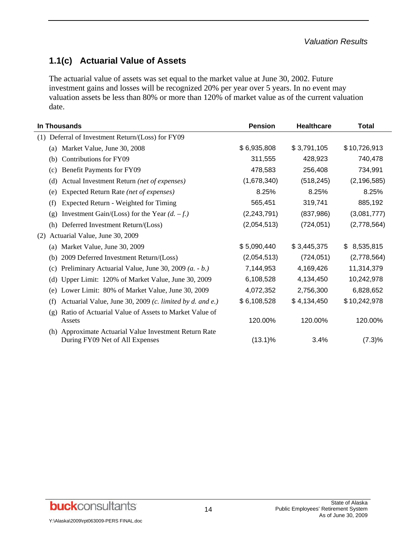# **1.1(c) Actuarial Value of Assets**

The actuarial value of assets was set equal to the market value at June 30, 2002. Future investment gains and losses will be recognized 20% per year over 5 years. In no event may valuation assets be less than 80% or more than 120% of market value as of the current valuation date.

| In Thousands                                                                              | <b>Pension</b> | <b>Healthcare</b> | <b>Total</b>     |
|-------------------------------------------------------------------------------------------|----------------|-------------------|------------------|
| (1) Deferral of Investment Return/(Loss) for FY09                                         |                |                   |                  |
| Market Value, June 30, 2008<br>(a)                                                        | \$6,935,808    | \$3,791,105       | \$10,726,913     |
| Contributions for FY09<br>(b)                                                             | 311,555        | 428,923           | 740,478          |
| Benefit Payments for FY09<br>(c)                                                          | 478,583        | 256,408           | 734,991          |
| Actual Investment Return (net of expenses)<br>(d)                                         | (1,678,340)    | (518, 245)        | (2, 196, 585)    |
| Expected Return Rate (net of expenses)<br>(e)                                             | 8.25%          | 8.25%             | 8.25%            |
| Expected Return - Weighted for Timing<br>(f)                                              | 565,451        | 319,741           | 885,192          |
| Investment Gain/(Loss) for the Year $(d. -f.)$<br>(g)                                     | (2, 243, 791)  | (837, 986)        | (3,081,777)      |
| Deferred Investment Return/(Loss)<br>(h)                                                  | (2,054,513)    | (724, 051)        | (2,778,564)      |
| Actuarial Value, June 30, 2009<br>(2)                                                     |                |                   |                  |
| Market Value, June 30, 2009<br>(a)                                                        | \$5,090,440    | \$3,445,375       | 8,535,815<br>\$. |
| 2009 Deferred Investment Return/(Loss)<br>(b)                                             | (2,054,513)    | (724, 051)        | (2,778,564)      |
| Preliminary Actuarial Value, June 30, 2009 (a. - b.)<br>(c)                               | 7,144,953      | 4,169,426         | 11,314,379       |
| Upper Limit: 120% of Market Value, June 30, 2009<br>(d)                                   | 6,108,528      | 4,134,450         | 10,242,978       |
| Lower Limit: 80% of Market Value, June 30, 2009<br>(e)                                    | 4,072,352      | 2,756,300         | 6,828,652        |
| Actuarial Value, June 30, 2009 (c. limited by d. and e.)<br>(f)                           | \$6,108,528    | \$4,134,450       | \$10,242,978     |
| Ratio of Actuarial Value of Assets to Market Value of<br>(g)<br>Assets                    | 120.00%        | 120.00%           | 120.00%          |
| (h) Approximate Actuarial Value Investment Return Rate<br>During FY09 Net of All Expenses | $(13.1)\%$     | 3.4%              | $(7.3)\%$        |

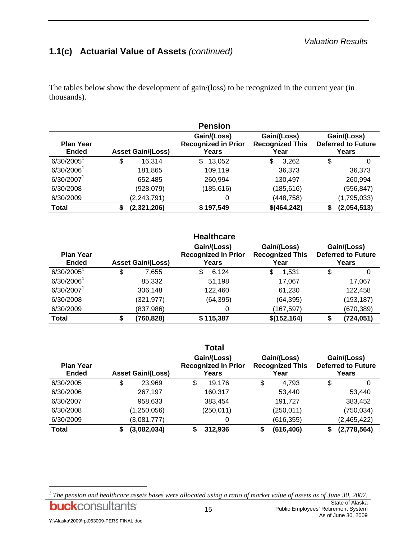# **1.1(c) Actuarial Value of Assets** *(continued)*

The tables below show the development of gain/(loss) to be recognized in the current year (in thousands).

|                                  |                          | <b>Pension</b>                                                                                      |             |             |  |                                                   |
|----------------------------------|--------------------------|-----------------------------------------------------------------------------------------------------|-------------|-------------|--|---------------------------------------------------|
| <b>Plan Year</b><br><b>Ended</b> | <b>Asset Gain/(Loss)</b> | Gain/(Loss)<br>Gain/(Loss)<br><b>Recognized in Prior</b><br><b>Recognized This</b><br>Years<br>Year |             |             |  | Gain/(Loss)<br><b>Deferred to Future</b><br>Years |
| $6/30/2005$ <sup>1</sup>         | \$<br>16,314             | \$<br>13,052                                                                                        | \$<br>3,262 | \$<br>0     |  |                                                   |
| 6/30/2006 <sup>1</sup>           | 181,865                  | 109,119                                                                                             | 36,373      | 36,373      |  |                                                   |
| 6/30/2007 <sup>1</sup>           | 652,485                  | 260,994                                                                                             | 130,497     | 260,994     |  |                                                   |
| 6/30/2008                        | (928, 079)               | (185, 616)                                                                                          | (185, 616)  | (556, 847)  |  |                                                   |
| 6/30/2009                        | (2, 243, 791)            | 0                                                                                                   | (448, 758)  | (1,795,033) |  |                                                   |
| <b>Total</b>                     | (2,321,206)<br>\$        | \$197,549                                                                                           | \$(464,242) | (2,054,513) |  |                                                   |

|                                  |                          | <b>Healthcare</b>                                  |                                               |                                                   |
|----------------------------------|--------------------------|----------------------------------------------------|-----------------------------------------------|---------------------------------------------------|
| <b>Plan Year</b><br><b>Ended</b> | <b>Asset Gain/(Loss)</b> | Gain/(Loss)<br><b>Recognized in Prior</b><br>Years | Gain/(Loss)<br><b>Recognized This</b><br>Year | Gain/(Loss)<br><b>Deferred to Future</b><br>Years |
| $6/30/2005^1$                    | \$<br>7,655              | \$<br>6,124                                        | \$<br>1,531                                   | \$<br>0                                           |
| 6/30/2006 <sup>1</sup>           | 85,332                   | 51,198                                             | 17,067                                        | 17,067                                            |
| 6/30/2007 <sup>1</sup>           | 306,148                  | 122,460                                            | 61,230                                        | 122,458                                           |
| 6/30/2008                        | (321, 977)               | (64, 395)                                          | (64, 395)                                     | (193, 187)                                        |
| 6/30/2009                        | (837, 986)               | 0                                                  | (167, 597)                                    | (670, 389)                                        |
| <b>Total</b>                     | \$<br>(760, 828)         | \$115,387                                          | \$(152, 164)                                  | (724, 051)                                        |

|                                  |                          | <b>Total</b>                                       |                                               |                                                   |
|----------------------------------|--------------------------|----------------------------------------------------|-----------------------------------------------|---------------------------------------------------|
| <b>Plan Year</b><br><b>Ended</b> | <b>Asset Gain/(Loss)</b> | Gain/(Loss)<br><b>Recognized in Prior</b><br>Years | Gain/(Loss)<br><b>Recognized This</b><br>Year | Gain/(Loss)<br><b>Deferred to Future</b><br>Years |
| 6/30/2005                        | \$<br>23,969             | \$<br>19,176                                       | \$<br>4.793                                   | \$<br>0                                           |
| 6/30/2006                        | 267,197                  | 160,317                                            | 53,440                                        | 53,440                                            |
| 6/30/2007                        | 958,633                  | 383,454                                            | 191,727                                       | 383,452                                           |
| 6/30/2008                        | (1, 250, 056)            | (250, 011)                                         | (250, 011)                                    | (750, 034)                                        |
| 6/30/2009                        | (3,081,777)              | 0                                                  | (616, 355)                                    | (2,465,422)                                       |
| <b>Total</b>                     | \$<br>(3,082,034)        | 312,936                                            | \$<br>(616, 406)                              | (2,778,564)                                       |

<sup>&</sup>lt;sup>1</sup> The pension and healthcare assets bases were allocated using a ratio of market value of assets as of June 30, 2007. State of Alaska **buck**consultants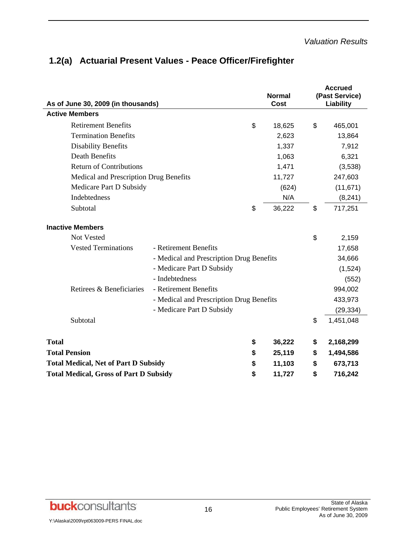|                                                             |                                          | <b>Normal</b><br><b>Cost</b> | <b>Accrued</b><br>(Past Service) |
|-------------------------------------------------------------|------------------------------------------|------------------------------|----------------------------------|
| As of June 30, 2009 (in thousands)<br><b>Active Members</b> |                                          |                              | Liability                        |
| <b>Retirement Benefits</b>                                  |                                          | \$<br>18,625                 | \$<br>465,001                    |
| <b>Termination Benefits</b>                                 |                                          | 2,623                        | 13,864                           |
| <b>Disability Benefits</b>                                  |                                          | 1,337                        | 7,912                            |
| <b>Death Benefits</b>                                       |                                          | 1,063                        | 6,321                            |
| <b>Return of Contributions</b>                              |                                          | 1,471                        | (3,538)                          |
| Medical and Prescription Drug Benefits                      |                                          | 11,727                       | 247,603                          |
| Medicare Part D Subsidy                                     |                                          | (624)                        | (11, 671)                        |
| <b>Indebtedness</b>                                         |                                          | N/A                          | (8, 241)                         |
| Subtotal                                                    |                                          | \$<br>36,222                 | \$<br>717,251                    |
|                                                             |                                          |                              |                                  |
| <b>Inactive Members</b>                                     |                                          |                              |                                  |
| <b>Not Vested</b>                                           |                                          |                              | \$<br>2,159                      |
| <b>Vested Terminations</b>                                  | - Retirement Benefits                    |                              | 17,658                           |
|                                                             | - Medical and Prescription Drug Benefits |                              | 34,666                           |
|                                                             | - Medicare Part D Subsidy                |                              | (1,524)                          |
|                                                             | - Indebtedness                           |                              | (552)                            |
| Retirees & Beneficiaries                                    | - Retirement Benefits                    |                              | 994,002                          |
|                                                             | - Medical and Prescription Drug Benefits |                              | 433,973                          |
|                                                             | - Medicare Part D Subsidy                |                              | (29, 334)                        |
| Subtotal                                                    |                                          |                              | \$<br>1,451,048                  |
|                                                             |                                          |                              |                                  |
| <b>Total</b>                                                |                                          | \$<br>36,222                 | \$<br>2,168,299                  |
| <b>Total Pension</b>                                        |                                          | \$<br>25,119                 | \$<br>1,494,586                  |
| <b>Total Medical, Net of Part D Subsidy</b>                 |                                          | \$<br>11,103                 | \$<br>673,713                    |
| <b>Total Medical, Gross of Part D Subsidy</b>               |                                          | \$<br>11,727                 | \$<br>716,242                    |
|                                                             |                                          |                              |                                  |

# **1.2(a) Actuarial Present Values - Peace Officer/Firefighter**

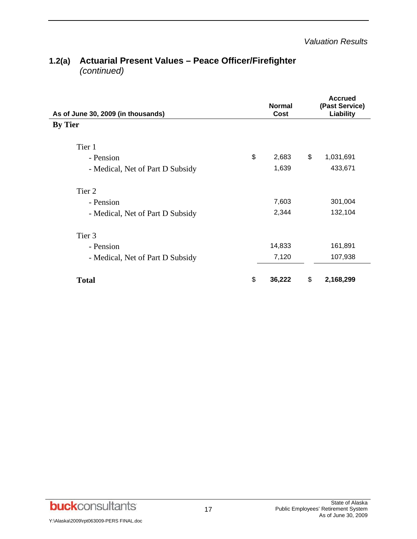| 1.2(a) Actuarial Present Values – Peace Officer/Firefighter |  |
|-------------------------------------------------------------|--|
| (continued)                                                 |  |

| As of June 30, 2009 (in thousands) | <b>Normal</b><br>Cost | <b>Accrued</b><br>(Past Service)<br><b>Liability</b> |
|------------------------------------|-----------------------|------------------------------------------------------|
| <b>By Tier</b>                     |                       |                                                      |
| Tier 1                             |                       |                                                      |
| - Pension                          | \$<br>2,683           | \$<br>1,031,691                                      |
| - Medical, Net of Part D Subsidy   | 1,639                 | 433,671                                              |
| Tier 2                             |                       |                                                      |
| - Pension                          | 7,603                 | 301,004                                              |
| - Medical, Net of Part D Subsidy   | 2,344                 | 132,104                                              |
| Tier 3                             |                       |                                                      |
| - Pension                          | 14,833                | 161,891                                              |
| - Medical, Net of Part D Subsidy   | 7,120                 | 107,938                                              |
| <b>Total</b>                       | \$<br>36,222          | \$<br>2,168,299                                      |

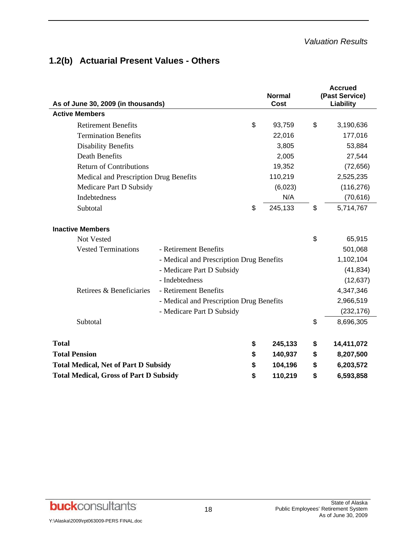# **1.2(b) Actuarial Present Values - Others**

| As of June 30, 2009 (in thousands)                                                              |                                                                                                                                                                                       |                | <b>Normal</b><br>Cost         |                | <b>Accrued</b><br>(Past Service)<br>Liability                                      |
|-------------------------------------------------------------------------------------------------|---------------------------------------------------------------------------------------------------------------------------------------------------------------------------------------|----------------|-------------------------------|----------------|------------------------------------------------------------------------------------|
| <b>Active Members</b>                                                                           |                                                                                                                                                                                       |                |                               |                |                                                                                    |
| <b>Retirement Benefits</b>                                                                      |                                                                                                                                                                                       | \$             | 93,759                        | \$             | 3,190,636                                                                          |
| <b>Termination Benefits</b>                                                                     |                                                                                                                                                                                       |                | 22,016                        |                | 177,016                                                                            |
| <b>Disability Benefits</b>                                                                      |                                                                                                                                                                                       |                | 3,805                         |                | 53,884                                                                             |
| <b>Death Benefits</b>                                                                           |                                                                                                                                                                                       |                | 2,005                         |                | 27,544                                                                             |
| <b>Return of Contributions</b>                                                                  |                                                                                                                                                                                       |                | 19,352                        |                | (72, 656)                                                                          |
| Medical and Prescription Drug Benefits                                                          |                                                                                                                                                                                       |                | 110,219                       |                | 2,525,235                                                                          |
| Medicare Part D Subsidy                                                                         |                                                                                                                                                                                       |                | (6,023)                       |                | (116, 276)                                                                         |
| <b>Indebtedness</b>                                                                             |                                                                                                                                                                                       |                | N/A                           |                | (70, 616)                                                                          |
| Subtotal                                                                                        |                                                                                                                                                                                       | \$             | 245,133                       | \$             | 5,714,767                                                                          |
| <b>Inactive Members</b><br>Not Vested<br><b>Vested Terminations</b><br>Retirees & Beneficiaries | - Retirement Benefits<br>- Medical and Prescription Drug Benefits<br>- Medicare Part D Subsidy<br>- Indebtedness<br>- Retirement Benefits<br>- Medical and Prescription Drug Benefits |                |                               |                | 65,915<br>501,068<br>1,102,104<br>(41, 834)<br>(12, 637)<br>4,347,346<br>2,966,519 |
|                                                                                                 | - Medicare Part D Subsidy                                                                                                                                                             |                |                               |                | (232, 176)                                                                         |
| Subtotal                                                                                        |                                                                                                                                                                                       |                |                               | \$             | 8,696,305                                                                          |
| <b>Total</b><br><b>Total Pension</b><br><b>Total Medical, Net of Part D Subsidy</b>             |                                                                                                                                                                                       | \$<br>\$<br>\$ | 245,133<br>140,937<br>104,196 | \$<br>\$<br>\$ | 14,411,072<br>8,207,500<br>6,203,572                                               |
| <b>Total Medical, Gross of Part D Subsidy</b>                                                   |                                                                                                                                                                                       | \$             | 110,219                       | \$             | 6,593,858                                                                          |

**buck**consultants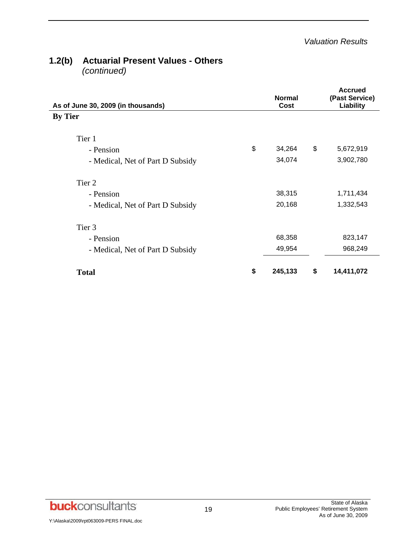#### **1.2(b) Actuarial Present Values - Others**   *(continued)*

| As of June 30, 2009 (in thousands) | <b>Normal</b><br>Cost | <b>Accrued</b><br>(Past Service)<br>Liability |
|------------------------------------|-----------------------|-----------------------------------------------|
| <b>By Tier</b>                     |                       |                                               |
| Tier 1                             |                       |                                               |
| - Pension                          | \$<br>34,264          | \$<br>5,672,919                               |
| - Medical, Net of Part D Subsidy   | 34,074                | 3,902,780                                     |
| Tier 2                             |                       |                                               |
| - Pension                          | 38,315                | 1,711,434                                     |
| - Medical, Net of Part D Subsidy   | 20,168                | 1,332,543                                     |
| Tier <sub>3</sub>                  |                       |                                               |
| - Pension                          | 68,358                | 823,147                                       |
| - Medical, Net of Part D Subsidy   | 49,954                | 968,249                                       |
| <b>Total</b>                       | \$<br>245,133         | \$<br>14,411,072                              |

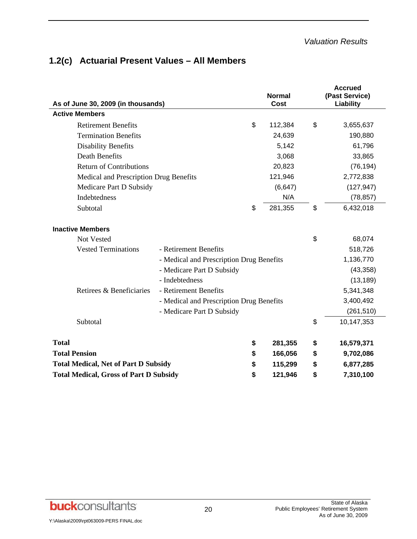|  | 1.2(c) Actuarial Present Values - All Members |  |  |  |  |
|--|-----------------------------------------------|--|--|--|--|
|--|-----------------------------------------------|--|--|--|--|

| As of June 30, 2009 (in thousands)            |                                          | <b>Normal</b><br>Cost | <b>Accrued</b><br>(Past Service)<br>Liability |
|-----------------------------------------------|------------------------------------------|-----------------------|-----------------------------------------------|
| <b>Active Members</b>                         |                                          |                       |                                               |
| <b>Retirement Benefits</b>                    |                                          | \$<br>112,384         | \$<br>3,655,637                               |
| <b>Termination Benefits</b>                   |                                          | 24,639                | 190,880                                       |
| <b>Disability Benefits</b>                    |                                          | 5,142                 | 61,796                                        |
| <b>Death Benefits</b>                         |                                          | 3,068                 | 33,865                                        |
| <b>Return of Contributions</b>                |                                          | 20,823                | (76, 194)                                     |
| Medical and Prescription Drug Benefits        |                                          | 121,946               | 2,772,838                                     |
| Medicare Part D Subsidy                       |                                          | (6, 647)              | (127, 947)                                    |
| Indebtedness                                  |                                          | N/A                   | (78, 857)                                     |
| Subtotal                                      |                                          | \$<br>281,355         | \$<br>6,432,018                               |
| <b>Inactive Members</b>                       |                                          |                       |                                               |
| <b>Not Vested</b>                             |                                          |                       | \$<br>68,074                                  |
| <b>Vested Terminations</b>                    | - Retirement Benefits                    |                       | 518,726                                       |
|                                               | - Medical and Prescription Drug Benefits |                       | 1,136,770                                     |
|                                               | - Medicare Part D Subsidy                |                       | (43, 358)                                     |
|                                               | - Indebtedness                           |                       | (13, 189)                                     |
| Retirees & Beneficiaries                      | - Retirement Benefits                    |                       | 5,341,348                                     |
|                                               | - Medical and Prescription Drug Benefits |                       | 3,400,492                                     |
|                                               | - Medicare Part D Subsidy                |                       | (261, 510)                                    |
| Subtotal                                      |                                          |                       | \$<br>10,147,353                              |
| <b>Total</b>                                  |                                          | \$<br>281,355         | \$<br>16,579,371                              |
| <b>Total Pension</b>                          |                                          | \$<br>166,056         | \$<br>9,702,086                               |
| <b>Total Medical, Net of Part D Subsidy</b>   |                                          | \$<br>115,299         | \$<br>6,877,285                               |
| <b>Total Medical, Gross of Part D Subsidy</b> |                                          | \$<br>121,946         | \$<br>7,310,100                               |

**buck**consultants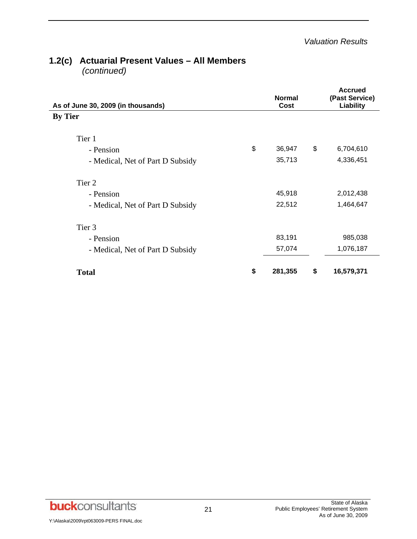### **1.2(c) Actuarial Present Values – All Members**   *(continued)*

| As of June 30, 2009 (in thousands) | <b>Normal</b><br>Cost | <b>Accrued</b><br>(Past Service)<br>Liability |
|------------------------------------|-----------------------|-----------------------------------------------|
| <b>By Tier</b>                     |                       |                                               |
| Tier 1                             |                       |                                               |
| - Pension                          | \$<br>36,947          | \$<br>6,704,610                               |
| - Medical, Net of Part D Subsidy   | 35,713                | 4,336,451                                     |
| Tier 2                             |                       |                                               |
| - Pension                          | 45,918                | 2,012,438                                     |
| - Medical, Net of Part D Subsidy   | 22,512                | 1,464,647                                     |
| Tier 3                             |                       |                                               |
| - Pension                          | 83,191                | 985,038                                       |
| - Medical, Net of Part D Subsidy   | 57,074                | 1,076,187                                     |
| <b>Total</b>                       | \$<br>281,355         | \$<br>16,579,371                              |

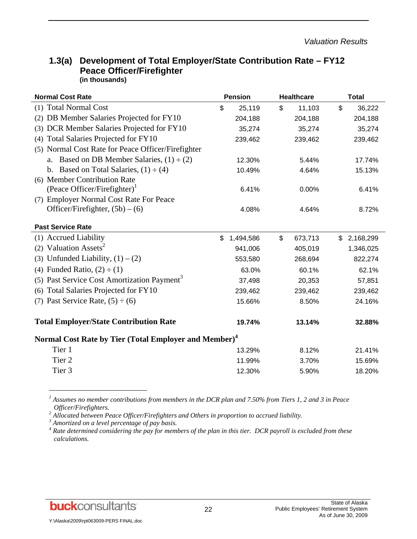| <b>Normal Cost Rate</b>                                           | <b>Pension</b>  | <b>Healthcare</b> | <b>Total</b>           |
|-------------------------------------------------------------------|-----------------|-------------------|------------------------|
| (1) Total Normal Cost                                             | \$<br>25,119    | \$<br>11,103      | $\mathbb{S}$<br>36,222 |
| (2) DB Member Salaries Projected for FY10                         | 204,188         | 204,188           | 204,188                |
| (3) DCR Member Salaries Projected for FY10                        | 35,274          | 35,274            | 35,274                 |
| Total Salaries Projected for FY10<br>(4)                          | 239,462         | 239,462           | 239,462                |
| (5) Normal Cost Rate for Peace Officer/Firefighter                |                 |                   |                        |
| Based on DB Member Salaries, $(1) \div (2)$                       | 12.30%          | 5.44%             | 17.74%                 |
| Based on Total Salaries, $(1) \div (4)$<br>$\mathbf{b}$ .         | 10.49%          | 4.64%             | 15.13%                 |
| (6) Member Contribution Rate                                      |                 |                   |                        |
| (Peace Officer/Firefighter) <sup>1</sup>                          | 6.41%           | 0.00%             | 6.41%                  |
| (7) Employer Normal Cost Rate For Peace                           |                 |                   |                        |
| Officer/Firefighter, $(5b) - (6)$                                 | 4.08%           | 4.64%             | 8.72%                  |
| <b>Past Service Rate</b>                                          |                 |                   |                        |
| (1) Accrued Liability                                             | \$<br>1,494,586 | \$<br>673,713     | \$2,168,299            |
| (2) Valuation Assets <sup>2</sup>                                 | 941,006         | 405,019           | 1,346,025              |
| (3) Unfunded Liability, $(1) - (2)$                               | 553,580         | 268,694           | 822,274                |
| (4) Funded Ratio, $(2) \div (1)$                                  | 63.0%           | 60.1%             | 62.1%                  |
| (5) Past Service Cost Amortization Payment <sup>3</sup>           | 37,498          | 20,353            | 57,851                 |
| Total Salaries Projected for FY10<br>(6)                          | 239,462         | 239,462           | 239,462                |
| (7) Past Service Rate, $(5) \div (6)$                             | 15.66%          | 8.50%             | 24.16%                 |
| <b>Total Employer/State Contribution Rate</b>                     | 19.74%          | 13.14%            | 32.88%                 |
| Normal Cost Rate by Tier (Total Employer and Member) <sup>4</sup> |                 |                   |                        |
| Tier 1                                                            | 13.29%          | 8.12%             | 21.41%                 |
| Tier <sub>2</sub>                                                 | 11.99%          | 3.70%             | 15.69%                 |
| Tier <sub>3</sub>                                                 | 12.30%          | 5.90%             | 18.20%                 |
|                                                                   |                 |                   |                        |

#### **1.3(a) Development of Total Employer/State Contribution Rate – FY12 Peace Officer/Firefighter (in thousands)**

<sup>1</sup> Assumes no member contributions from members in the DCR plan and 7.50% from Tiers 1, 2 and 3 in Peace *Officer/Firefighters. 2*

<sup>2</sup> Allocated between Peace Officer/Firefighters and Others in proportion to accrued liability.<br><sup>3</sup> Amertized on a lavel percentage of non basis

 *Amortized on a level percentage of pay basis.* 

<sup>4</sup> Rate determined considering the pay for members of the plan in this tier. DCR payroll is excluded from these *calculations.* 

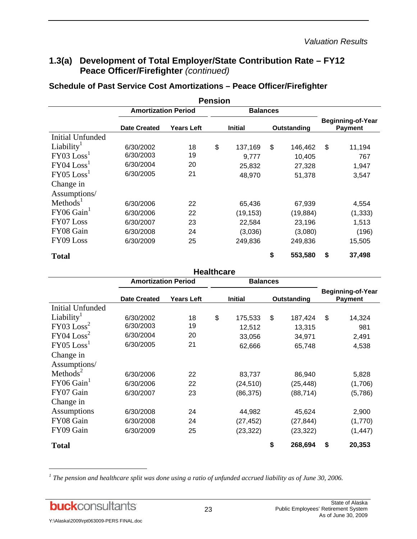### **1.3(a) Development of Total Employer/State Contribution Rate – FY12 Peace Officer/Firefighter** *(continued)*

# **Schedule of Past Service Cost Amortizations – Peace Officer/Firefighter**

|                          |                            |            | <b>Pension</b> |                 |             |          |                                            |
|--------------------------|----------------------------|------------|----------------|-----------------|-------------|----------|--------------------------------------------|
|                          | <b>Amortization Period</b> |            |                | <b>Balances</b> |             |          |                                            |
|                          | <b>Date Created</b>        | Years Left | <b>Initial</b> |                 | Outstanding |          | <b>Beginning-of-Year</b><br><b>Payment</b> |
| <b>Initial Unfunded</b>  |                            |            |                |                 |             |          |                                            |
| Liability <sup>1</sup>   | 6/30/2002                  | 18         | \$             | 137,169         | \$          | 146,462  | \$<br>11,194                               |
| FY03 Loss <sup>1</sup>   | 6/30/2003                  | 19         |                | 9,777           |             | 10,405   | 767                                        |
| $FY04$ $Loss1$           | 6/30/2004                  | 20         |                | 25,832          |             | 27,328   | 1,947                                      |
| $FY05$ $Loss1$           | 6/30/2005                  | 21         |                | 48,970          |             | 51,378   | 3,547                                      |
| Change in                |                            |            |                |                 |             |          |                                            |
| Assumptions/             |                            |            |                |                 |             |          |                                            |
| Methods <sup>1</sup>     | 6/30/2006                  | 22         |                | 65,436          |             | 67,939   | 4,554                                      |
| $FY06$ Gain <sup>1</sup> | 6/30/2006                  | 22         |                | (19,153)        |             | (19,884) | (1, 333)                                   |
| FY07 Loss                | 6/30/2007                  | 23         |                | 22,584          |             | 23,196   | 1,513                                      |
| FY08 Gain                | 6/30/2008                  | 24         |                | (3,036)         |             | (3,080)  | (196)                                      |
| FY09 Loss                | 6/30/2009                  | 25         |                | 249,836         |             | 249,836  | 15,505                                     |
| <b>Total</b>             |                            |            |                |                 | \$          | 553,580  | \$<br>37,498                               |

|                          |                            |                   | <b>Healthcare</b> |                 |             |           |                                            |
|--------------------------|----------------------------|-------------------|-------------------|-----------------|-------------|-----------|--------------------------------------------|
|                          | <b>Amortization Period</b> |                   |                   | <b>Balances</b> |             |           |                                            |
|                          | <b>Date Created</b>        | <b>Years Left</b> | <b>Initial</b>    |                 | Outstanding |           | <b>Beginning-of-Year</b><br><b>Payment</b> |
| <b>Initial Unfunded</b>  |                            |                   |                   |                 |             |           |                                            |
| Liability <sup>1</sup>   | 6/30/2002                  | 18                | \$                | 175,533         | \$          | 187,424   | \$<br>14,324                               |
| FY03 Loss <sup>2</sup>   | 6/30/2003                  | 19                |                   | 12,512          |             | 13,315    | 981                                        |
| $FY04$ $Loss2$           | 6/30/2004                  | 20                |                   | 33,056          |             | 34,971    | 2,491                                      |
| $FY05$ $Loss1$           | 6/30/2005                  | 21                |                   | 62,666          |             | 65,748    | 4,538                                      |
| Change in                |                            |                   |                   |                 |             |           |                                            |
| Assumptions/             |                            |                   |                   |                 |             |           |                                            |
| Methods <sup>2</sup>     | 6/30/2006                  | 22                |                   | 83,737          |             | 86,940    | 5,828                                      |
| $FY06$ Gain <sup>1</sup> | 6/30/2006                  | 22                |                   | (24, 510)       |             | (25, 448) | (1,706)                                    |
| FY07 Gain                | 6/30/2007                  | 23                |                   | (86, 375)       |             | (88, 714) | (5,786)                                    |
| Change in                |                            |                   |                   |                 |             |           |                                            |
| Assumptions              | 6/30/2008                  | 24                |                   | 44,982          |             | 45,624    | 2,900                                      |
| FY08 Gain                | 6/30/2008                  | 24                |                   | (27, 452)       |             | (27, 844) | (1,770)                                    |
| FY09 Gain                | 6/30/2009                  | 25                |                   | (23, 322)       |             | (23, 322) | (1, 447)                                   |
| <b>Total</b>             |                            |                   |                   |                 | \$          | 268,694   | \$<br>20,353                               |

<sup>1</sup> The pension and healthcare split was done using a ratio of unfunded accrued liability as of June 30, 2006.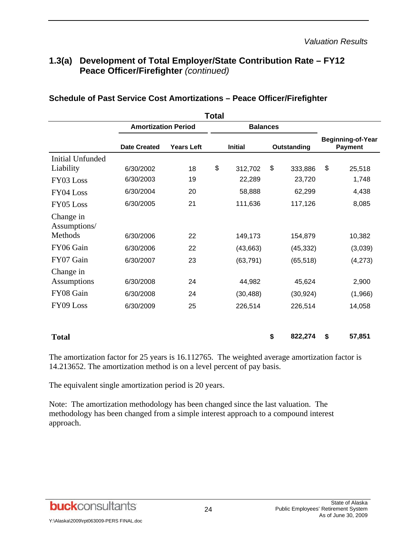# **1.3(a) Development of Total Employer/State Contribution Rate – FY12 Peace Officer/Firefighter** *(continued)*

|                           | <b>Amortization Period</b> |                   |                | <b>Balances</b> |               |                                            |         |  |
|---------------------------|----------------------------|-------------------|----------------|-----------------|---------------|--------------------------------------------|---------|--|
|                           | <b>Date Created</b>        | <b>Years Left</b> | <b>Initial</b> |                 | Outstanding   | <b>Beginning-of-Year</b><br><b>Payment</b> |         |  |
| <b>Initial Unfunded</b>   |                            |                   |                |                 |               |                                            |         |  |
| Liability                 | 6/30/2002                  | 18                | \$             | 312,702         | \$<br>333,886 | \$                                         | 25,518  |  |
| FY03 Loss                 | 6/30/2003                  | 19                |                | 22,289          | 23,720        |                                            | 1,748   |  |
| FY04 Loss                 | 6/30/2004                  | 20                |                | 58,888          | 62,299        |                                            | 4,438   |  |
| FY05 Loss                 | 6/30/2005                  | 21                |                | 111,636         | 117,126       |                                            | 8,085   |  |
| Change in<br>Assumptions/ |                            |                   |                |                 |               |                                            |         |  |
| Methods                   | 6/30/2006                  | 22                |                | 149,173         | 154,879       |                                            | 10,382  |  |
| FY06 Gain                 | 6/30/2006                  | 22                |                | (43, 663)       | (45, 332)     |                                            | (3,039) |  |
| FY07 Gain                 | 6/30/2007                  | 23                |                | (63, 791)       | (65, 518)     |                                            | (4,273) |  |
| Change in                 |                            |                   |                |                 |               |                                            |         |  |
| <b>Assumptions</b>        | 6/30/2008                  | 24                |                | 44,982          | 45,624        |                                            | 2,900   |  |
| FY08 Gain                 | 6/30/2008                  | 24                |                | (30, 488)       | (30, 924)     |                                            | (1,966) |  |
| FY09 Loss                 | 6/30/2009                  | 25                |                | 226,514         | 226,514       |                                            | 14,058  |  |
| <b>Total</b>              |                            |                   |                |                 | \$<br>822,274 | \$                                         | 57,851  |  |

#### **Schedule of Past Service Cost Amortizations – Peace Officer/Firefighter**

The amortization factor for 25 years is 16.112765. The weighted average amortization factor is 14.213652. The amortization method is on a level percent of pay basis.

The equivalent single amortization period is 20 years.

Note: The amortization methodology has been changed since the last valuation. The methodology has been changed from a simple interest approach to a compound interest approach.

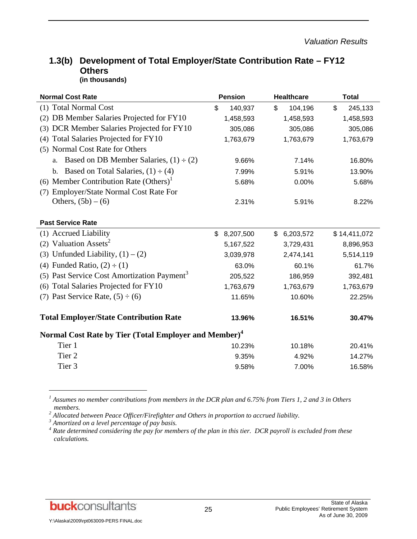#### **1.3(b) Development of Total Employer/State Contribution Rate – FY12 Others (in thousands)**

| <b>Normal Cost Rate</b>                                           | <b>Pension</b>  | <b>Healthcare</b> | <b>Total</b>  |  |
|-------------------------------------------------------------------|-----------------|-------------------|---------------|--|
| (1) Total Normal Cost                                             | \$<br>140,937   | \$<br>104,196     | \$<br>245,133 |  |
| DB Member Salaries Projected for FY10<br>(2)                      | 1,458,593       | 1,458,593         | 1,458,593     |  |
| DCR Member Salaries Projected for FY10<br>(3)                     | 305,086         | 305,086           | 305,086       |  |
| Total Salaries Projected for FY10<br>(4)                          | 1,763,679       | 1,763,679         | 1,763,679     |  |
| (5) Normal Cost Rate for Others                                   |                 |                   |               |  |
| Based on DB Member Salaries, $(1) \div (2)$<br>a.                 | 9.66%           | 7.14%             | 16.80%        |  |
| Based on Total Salaries, $(1) \div (4)$<br>$\mathbf{b}$ .         | 7.99%           | 5.91%             | 13.90%        |  |
| (6) Member Contribution Rate (Others) <sup>1</sup>                | 5.68%           | 0.00%             | 5.68%         |  |
| Employer/State Normal Cost Rate For<br>(7)                        |                 |                   |               |  |
| Others, $(5b) - (6)$                                              | 2.31%           | 5.91%             | 8.22%         |  |
|                                                                   |                 |                   |               |  |
| <b>Past Service Rate</b>                                          |                 |                   |               |  |
| (1) Accrued Liability                                             | \$<br>8,207,500 | \$<br>6,203,572   | \$14,411,072  |  |
| (2) Valuation Assets <sup>2</sup>                                 | 5, 167, 522     | 3,729,431         | 8,896,953     |  |
| (3) Unfunded Liability, $(1) - (2)$                               | 3,039,978       | 2,474,141         | 5,514,119     |  |
| (4) Funded Ratio, $(2) \div (1)$                                  | 63.0%           | 60.1%             | 61.7%         |  |
| Past Service Cost Amortization Payment <sup>3</sup><br>(5)        | 205,522         | 186,959           | 392,481       |  |
| Total Salaries Projected for FY10<br>(6)                          | 1,763,679       | 1,763,679         | 1,763,679     |  |
| (7) Past Service Rate, $(5) \div (6)$                             | 11.65%          | 10.60%            | 22.25%        |  |
|                                                                   |                 |                   |               |  |
| <b>Total Employer/State Contribution Rate</b>                     | 13.96%          | 16.51%            | 30.47%        |  |
| Normal Cost Rate by Tier (Total Employer and Member) <sup>4</sup> |                 |                   |               |  |
| Tier 1                                                            | 10.23%          | 10.18%            | 20.41%        |  |
| Tier <sub>2</sub>                                                 | 9.35%           | 4.92%             | 14.27%        |  |
| Tier 3                                                            | 9.58%           | 7.00%             | 16.58%        |  |

<sup>1</sup> Assumes no member contributions from members in the DCR plan and 6.75% from Tiers 1, 2 and 3 in Others *members.* 

 $^2$  Allocated between Peace Officer/Firefighter and Others in proportion to accrued liability.<br><sup>3</sup> Amertized an a lavel persentage of nav hasis

 *Amortized on a level percentage of pay basis.* 

<sup>4</sup> Rate determined considering the pay for members of the plan in this tier. DCR payroll is excluded from these *calculations.* 



1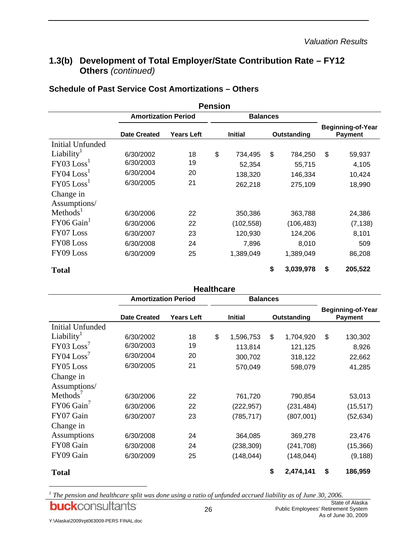# **1.3(b) Development of Total Employer/State Contribution Rate – FY12 Others** *(continued)*

| <b>Schedule of Past Service Cost Amortizations - Others</b> |  |
|-------------------------------------------------------------|--|
|-------------------------------------------------------------|--|

|                           |                            |                   | <b>Pension</b> |                 |             |            |                                            |
|---------------------------|----------------------------|-------------------|----------------|-----------------|-------------|------------|--------------------------------------------|
|                           | <b>Amortization Period</b> |                   |                | <b>Balances</b> |             |            |                                            |
|                           | <b>Date Created</b>        | <b>Years Left</b> | <b>Initial</b> |                 | Outstanding |            | <b>Beginning-of-Year</b><br><b>Payment</b> |
| <b>Initial Unfunded</b>   |                            |                   |                |                 |             |            |                                            |
| Liability <sup>1</sup>    | 6/30/2002                  | 18                | \$             | 734,495         | \$          | 784,250    | \$<br>59,937                               |
| FY03 Loss <sup>1</sup>    | 6/30/2003                  | 19                |                | 52,354          |             | 55,715     | 4,105                                      |
| $FY04$ $Loss1$            | 6/30/2004                  | 20                |                | 138,320         |             | 146,334    | 10,424                                     |
| $FY05$ $Loss1$            | 6/30/2005                  | 21                |                | 262,218         |             | 275,109    | 18,990                                     |
| Change in<br>Assumptions/ |                            |                   |                |                 |             |            |                                            |
| Methods <sup>1</sup>      | 6/30/2006                  | 22                |                | 350,386         |             | 363,788    | 24,386                                     |
| $FY06$ Gain <sup>1</sup>  | 6/30/2006                  | 22                |                | (102, 558)      |             | (106, 483) | (7, 138)                                   |
| FY07 Loss                 | 6/30/2007                  | 23                |                | 120,930         |             | 124,206    | 8,101                                      |
| FY08 Loss                 | 6/30/2008                  | 24                |                | 7,896           |             | 8,010      | 509                                        |
| FY09 Loss                 | 6/30/2009                  | 25                |                | 1,389,049       |             | 1,389,049  | 86,208                                     |
| <b>Total</b>              |                            |                   |                |                 | \$          | 3,039,978  | \$<br>205,522                              |

|                          |                            |                                                    | <b>Healthcare</b> |                                            |                 |               |
|--------------------------|----------------------------|----------------------------------------------------|-------------------|--------------------------------------------|-----------------|---------------|
|                          | <b>Amortization Period</b> |                                                    |                   | <b>Balances</b>                            |                 |               |
|                          | <b>Date Created</b>        | <b>Years Left</b><br><b>Initial</b><br>Outstanding |                   | <b>Beginning-of-Year</b><br><b>Payment</b> |                 |               |
| <b>Initial Unfunded</b>  |                            |                                                    |                   |                                            |                 |               |
| Liability <sup>1</sup>   | 6/30/2002                  | 18                                                 | \$                | 1,596,753                                  | \$<br>1,704,920 | \$<br>130,302 |
| FY03 Loss <sup>7</sup>   | 6/30/2003                  | 19                                                 |                   | 113,814                                    | 121,125         | 8,926         |
| $FY04$ $Loss'$           | 6/30/2004                  | 20                                                 |                   | 300,702                                    | 318,122         | 22,662        |
| FY05 Loss                | 6/30/2005                  | 21                                                 |                   | 570,049                                    | 598,079         | 41,285        |
| Change in                |                            |                                                    |                   |                                            |                 |               |
| Assumptions/             |                            |                                                    |                   |                                            |                 |               |
| Methods <sup>7</sup>     | 6/30/2006                  | 22                                                 |                   | 761,720                                    | 790,854         | 53,013        |
| $FY06$ Gain <sup>'</sup> | 6/30/2006                  | 22                                                 |                   | (222,957)                                  | (231, 484)      | (15, 517)     |
| FY07 Gain                | 6/30/2007                  | 23                                                 |                   | (785, 717)                                 | (807,001)       | (52, 634)     |
| Change in                |                            |                                                    |                   |                                            |                 |               |
| Assumptions              | 6/30/2008                  | 24                                                 |                   | 364,085                                    | 369,278         | 23,476        |
| FY08 Gain                | 6/30/2008                  | 24                                                 |                   | (238, 309)                                 | (241, 708)      | (15, 366)     |
| FY09 Gain                | 6/30/2009                  | 25                                                 |                   | (148, 044)                                 | (148, 044)      | (9, 188)      |
| <b>Total</b>             |                            |                                                    |                   |                                            | \$<br>2,474,141 | \$<br>186,959 |

<sup>&</sup>lt;sup>1</sup> The pension and healthcare split was done using a ratio of unfunded accrued liability as of June 30, 2006. State of Alaska **buck**consultants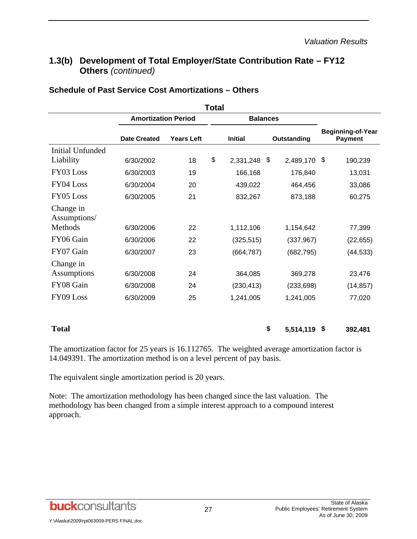## **1.3(b) Development of Total Employer/State Contribution Rate – FY12 Others** *(continued)*

|                           |                            |            | Total |                 |  |              |                                            |           |
|---------------------------|----------------------------|------------|-------|-----------------|--|--------------|--------------------------------------------|-----------|
|                           | <b>Amortization Period</b> |            |       | <b>Balances</b> |  |              |                                            |           |
|                           | <b>Date Created</b>        | Years Left |       | <b>Initial</b>  |  | Outstanding  | <b>Beginning-of-Year</b><br><b>Payment</b> |           |
| Initial Unfunded          |                            |            |       |                 |  |              |                                            |           |
| Liability                 | 6/30/2002                  | 18         | \$    | 2,331,248 \$    |  | 2,489,170 \$ |                                            | 190,239   |
| FY03 Loss                 | 6/30/2003                  | 19         |       | 166,168         |  | 176,840      |                                            | 13,031    |
| FY04 Loss                 | 6/30/2004                  | 20         |       | 439,022         |  | 464.456      |                                            | 33,086    |
| FY05 Loss                 | 6/30/2005                  | 21         |       | 832,267         |  | 873,188      |                                            | 60,275    |
| Change in<br>Assumptions/ |                            |            |       |                 |  |              |                                            |           |
| Methods                   | 6/30/2006                  | 22         |       | 1,112,106       |  | 1,154,642    |                                            | 77,399    |
| FY06 Gain                 | 6/30/2006                  | 22         |       | (325, 515)      |  | (337, 967)   |                                            | (22, 655) |
| FY07 Gain                 | 6/30/2007                  | 23         |       | (664, 787)      |  | (682, 795)   |                                            | (44, 533) |

#### **Schedule of Past Service Cost Amortizations – Others**

The amortization factor for 25 years is 16.112765. The weighted average amortization factor is 14.049391. The amortization method is on a level percent of pay basis.

**Total \$ 5,514,119 \$ 392,481** 

Assumptions 6/30/2008 24 364,085 369,278 23,476 FY08 Gain 6/30/2008 24 (230,413) (233,698) (14,857) FY09 Loss 6/30/2009 25 1,241,005 1,241,005 77,020

The equivalent single amortization period is 20 years.

Note: The amortization methodology has been changed since the last valuation. The methodology has been changed from a simple interest approach to a compound interest approach.



Change in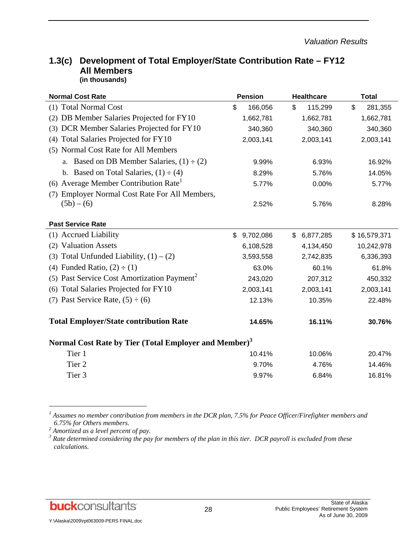| <b>Normal Cost Rate</b>                                           | <b>Pension</b>              | <b>Healthcare</b>          | <b>Total</b>  |
|-------------------------------------------------------------------|-----------------------------|----------------------------|---------------|
| (1) Total Normal Cost                                             | \$<br>166,056               | \$<br>115,299              | \$<br>281,355 |
| DB Member Salaries Projected for FY10<br>(2)                      | 1,662,781                   | 1,662,781                  | 1,662,781     |
| DCR Member Salaries Projected for FY10<br>(3)                     | 340,360                     | 340,360                    | 340,360       |
| Total Salaries Projected for FY10<br>(4)                          | 2,003,141                   | 2,003,141                  | 2,003,141     |
| (5) Normal Cost Rate for All Members                              |                             |                            |               |
| a. Based on DB Member Salaries, $(1) \div (2)$                    | 9.99%                       | 6.93%                      | 16.92%        |
| b. Based on Total Salaries, $(1) \div (4)$                        | 8.29%                       | 5.76%                      | 14.05%        |
| Average Member Contribution Rate<br>(6)                           | 5.77%                       | 0.00%                      | 5.77%         |
| Employer Normal Cost Rate For All Members,<br>(7)                 |                             |                            |               |
| $(5b) - (6)$                                                      | 2.52%                       | 5.76%                      | 8.28%         |
|                                                                   |                             |                            |               |
| <b>Past Service Rate</b>                                          |                             |                            |               |
| (1) Accrued Liability                                             | $\mathfrak{S}$<br>9,702,086 | $\mathsf{\$}$<br>6,877,285 | \$16,579,371  |
| <b>Valuation Assets</b><br>(2)                                    | 6,108,528                   | 4,134,450                  | 10,242,978    |
| (3) Total Unfunded Liability, $(1) - (2)$                         | 3,593,558                   | 2,742,835                  | 6,336,393     |
| Funded Ratio, $(2) \div (1)$<br>(4)                               | 63.0%                       | 60.1%                      | 61.8%         |
| (5) Past Service Cost Amortization Payment <sup>2</sup>           | 243,020                     | 207,312                    | 450,332       |
| Total Salaries Projected for FY10<br>(6)                          | 2,003,141                   | 2,003,141                  | 2,003,141     |
| (7) Past Service Rate, $(5) \div (6)$                             | 12.13%                      | 10.35%                     | 22.48%        |
| <b>Total Employer/State contribution Rate</b>                     | 14.65%                      | 16.11%                     | 30.76%        |
| Normal Cost Rate by Tier (Total Employer and Member) <sup>3</sup> |                             |                            |               |
| Tier 1                                                            | 10.41%                      | 10.06%                     | 20.47%        |
| Tier <sub>2</sub>                                                 | 9.70%                       | 4.76%                      | 14.46%        |
| Tier <sub>3</sub>                                                 | 9.97%                       | 6.84%                      | 16.81%        |
|                                                                   |                             |                            |               |

#### **1.3(c) Development of Total Employer/State Contribution Rate – FY12 All Members (in thousands)**

*1 Assumes no member contribution from members in the DCR plan, 7.5% for Peace Officer/Firefighter members and 6.75% for Others members. 2 Amortized as a level percent of pay.* 

*<sup>3</sup> Rate determined considering the pay for members of the plan in this tier. DCR payroll is excluded from these calculations.*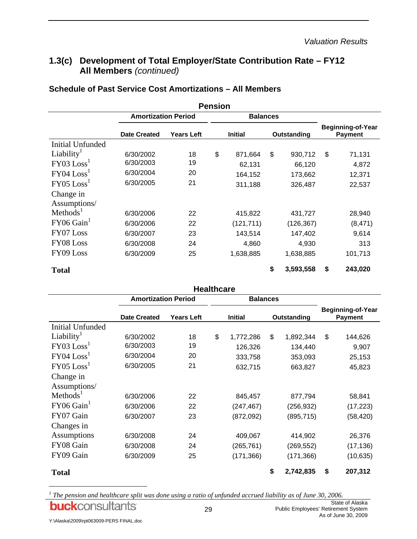# **1.3(c) Development of Total Employer/State Contribution Rate – FY12 All Members** *(continued)*

|                           |                            |                   | <b>Pension</b> |                 |    |             |                                            |
|---------------------------|----------------------------|-------------------|----------------|-----------------|----|-------------|--------------------------------------------|
|                           | <b>Amortization Period</b> |                   |                | <b>Balances</b> |    |             |                                            |
|                           | <b>Date Created</b>        | <b>Years Left</b> |                | <b>Initial</b>  |    | Outstanding | <b>Beginning-of-Year</b><br><b>Payment</b> |
| <b>Initial Unfunded</b>   |                            |                   |                |                 |    |             |                                            |
| Liability <sup>1</sup>    | 6/30/2002                  | 18                | \$             | 871,664         | \$ | 930,712     | \$<br>71,131                               |
| FY03 Loss <sup>1</sup>    | 6/30/2003                  | 19                |                | 62,131          |    | 66,120      | 4,872                                      |
| $FY04$ $Loss1$            | 6/30/2004                  | 20                |                | 164,152         |    | 173,662     | 12,371                                     |
| $FY05$ $Loss1$            | 6/30/2005                  | 21                |                | 311,188         |    | 326,487     | 22,537                                     |
| Change in<br>Assumptions/ |                            |                   |                |                 |    |             |                                            |
| Methods <sup>1</sup>      | 6/30/2006                  | 22                |                | 415,822         |    | 431,727     | 28,940                                     |
| $FY06$ Gain <sup>1</sup>  | 6/30/2006                  | 22                |                | (121, 711)      |    | (126, 367)  | (8, 471)                                   |
| FY07 Loss                 | 6/30/2007                  | 23                |                | 143,514         |    | 147,402     | 9,614                                      |
| FY08 Loss                 | 6/30/2008                  | 24                |                | 4,860           |    | 4,930       | 313                                        |
| FY09 Loss                 | 6/30/2009                  | 25                |                | 1,638,885       |    | 1,638,885   | 101,713                                    |
| <b>Total</b>              |                            |                   |                |                 | \$ | 3,593,558   | \$<br>243,020                              |

#### **Schedule of Past Service Cost Amortizations – All Members**

|                        |                            |                   | <b>Healthcare</b> |                 |             |            |                                            |           |  |
|------------------------|----------------------------|-------------------|-------------------|-----------------|-------------|------------|--------------------------------------------|-----------|--|
|                        | <b>Amortization Period</b> |                   |                   | <b>Balances</b> |             |            |                                            |           |  |
|                        | <b>Date Created</b>        | <b>Years Left</b> |                   | <b>Initial</b>  | Outstanding |            | <b>Beginning-of-Year</b><br><b>Payment</b> |           |  |
| Initial Unfunded       |                            |                   |                   |                 |             |            |                                            |           |  |
| Liability <sup>1</sup> | 6/30/2002                  | 18                | \$                | 1,772,286       | \$          | 1,892,344  | \$                                         | 144,626   |  |
| FY03 Loss <sup>1</sup> | 6/30/2003                  | 19                |                   | 126,326         |             | 134,440    |                                            | 9,907     |  |
| $FY04$ $Loss1$         | 6/30/2004                  | 20                |                   | 333,758         |             | 353,093    |                                            | 25,153    |  |
| $FY05$ $Loss1$         | 6/30/2005                  | 21                |                   | 632,715         |             | 663,827    |                                            | 45,823    |  |
| Change in              |                            |                   |                   |                 |             |            |                                            |           |  |
| Assumptions/           |                            |                   |                   |                 |             |            |                                            |           |  |
| Methods <sup>1</sup>   | 6/30/2006                  | 22                |                   | 845,457         |             | 877,794    |                                            | 58,841    |  |
| FY06 Gain              | 6/30/2006                  | 22                |                   | (247, 467)      |             | (256, 932) |                                            | (17, 223) |  |
| FY07 Gain              | 6/30/2007                  | 23                |                   | (872,092)       |             | (895, 715) |                                            | (58, 420) |  |
| Changes in             |                            |                   |                   |                 |             |            |                                            |           |  |
| Assumptions            | 6/30/2008                  | 24                |                   | 409,067         |             | 414,902    |                                            | 26,376    |  |
| FY08 Gain              | 6/30/2008                  | 24                |                   | (265, 761)      |             | (269, 552) |                                            | (17, 136) |  |
| FY09 Gain              | 6/30/2009                  | 25                |                   | (171, 366)      |             | (171, 366) |                                            | (10, 635) |  |
| <b>Total</b>           |                            |                   |                   |                 | \$          | 2,742,835  | \$                                         | 207,312   |  |

<sup>&</sup>lt;sup>1</sup> The pension and healthcare split was done using a ratio of unfunded accrued liability as of June 30, 2006. State of Alaska **buck**consultants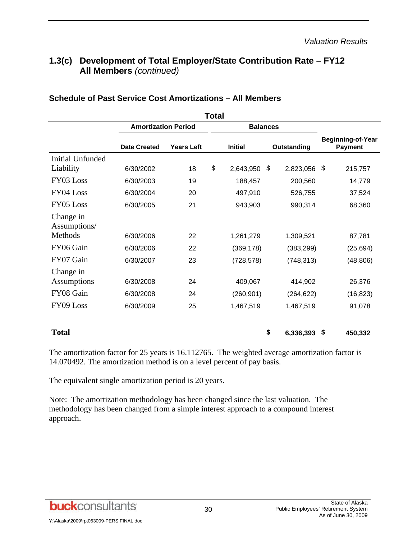# **1.3(c) Development of Total Employer/State Contribution Rate – FY12 All Members** *(continued)*

|                           | <b>Amortization Period</b> |                   | <b>Balances</b> |                 |                                            |
|---------------------------|----------------------------|-------------------|-----------------|-----------------|--------------------------------------------|
|                           | <b>Date Created</b>        | <b>Years Left</b> | <b>Initial</b>  | Outstanding     | <b>Beginning-of-Year</b><br><b>Payment</b> |
| <b>Initial Unfunded</b>   |                            |                   |                 |                 |                                            |
| Liability                 | 6/30/2002                  | 18                | \$<br>2,643,950 | \$<br>2,823,056 | \$<br>215,757                              |
| FY03 Loss                 | 6/30/2003                  | 19                | 188,457         | 200,560         | 14,779                                     |
| FY04 Loss                 | 6/30/2004                  | 20                | 497,910         | 526,755         | 37,524                                     |
| FY05 Loss                 | 6/30/2005                  | 21                | 943,903         | 990,314         | 68,360                                     |
| Change in<br>Assumptions/ |                            |                   |                 |                 |                                            |
| Methods                   | 6/30/2006                  | 22                | 1,261,279       | 1,309,521       | 87,781                                     |
| FY06 Gain                 | 6/30/2006                  | 22                | (369, 178)      | (383, 299)      | (25, 694)                                  |
| FY07 Gain                 | 6/30/2007                  | 23                | (728, 578)      | (748, 313)      | (48, 806)                                  |
| Change in<br>Assumptions  | 6/30/2008                  | 24                | 409,067         | 414,902         | 26,376                                     |
| FY08 Gain                 | 6/30/2008                  | 24                | (260, 901)      | (264, 622)      | (16, 823)                                  |
| FY09 Loss                 | 6/30/2009                  | 25                | 1,467,519       | 1,467,519       | 91,078                                     |
| <b>Total</b>              |                            |                   |                 | \$<br>6,336,393 | \$<br>450,332                              |

#### **Schedule of Past Service Cost Amortizations – All Members**

The amortization factor for 25 years is 16.112765. The weighted average amortization factor is 14.070492. The amortization method is on a level percent of pay basis.

The equivalent single amortization period is 20 years.

Note: The amortization methodology has been changed since the last valuation. The methodology has been changed from a simple interest approach to a compound interest approach.

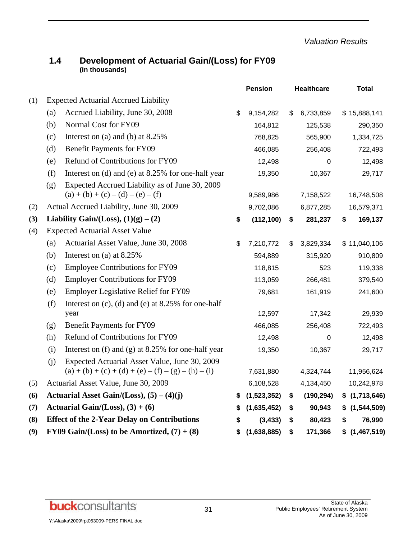*Valuation Results* 

| 1.4 | Development of Actuarial Gain/(Loss) for FY09 |
|-----|-----------------------------------------------|
|     | (in thousands)                                |

|     |     |                                                                                       |    | <b>Pension</b> | <b>Healthcare</b> | <b>Total</b>        |
|-----|-----|---------------------------------------------------------------------------------------|----|----------------|-------------------|---------------------|
| (1) |     | <b>Expected Actuarial Accrued Liability</b>                                           |    |                |                   |                     |
|     | (a) | Accrued Liability, June 30, 2008                                                      | \$ | 9,154,282      | \$<br>6,733,859   | \$15,888,141        |
|     | (b) | Normal Cost for FY09                                                                  |    | 164,812        | 125,538           | 290,350             |
|     | (c) | Interest on (a) and (b) at $8.25\%$                                                   |    | 768,825        | 565,900           | 1,334,725           |
|     | (d) | <b>Benefit Payments for FY09</b>                                                      |    | 466,085        | 256,408           | 722,493             |
|     | (e) | Refund of Contributions for FY09                                                      |    | 12,498         | 0                 | 12,498              |
|     | (f) | Interest on (d) and (e) at 8.25% for one-half year                                    |    | 19,350         | 10,367            | 29,717              |
|     | (g) | Expected Accrued Liability as of June 30, 2009<br>$(a) + (b) + (c) - (d) - (e) - (f)$ |    | 9,589,986      | 7,158,522         | 16,748,508          |
| (2) |     | Actual Accrued Liability, June 30, 2009                                               |    | 9,702,086      | 6,877,285         | 16,579,371          |
| (3) |     | Liability Gain/(Loss), $(1)(g) - (2)$                                                 | \$ | (112, 100)     | \$<br>281,237     | \$<br>169,137       |
| (4) |     | <b>Expected Actuarial Asset Value</b>                                                 |    |                |                   |                     |
|     | (a) | Actuarial Asset Value, June 30, 2008                                                  | \$ | 7,210,772      | \$<br>3,829,334   | \$11,040,106        |
|     | (b) | Interest on (a) at $8.25\%$                                                           |    | 594,889        | 315,920           | 910,809             |
|     | (c) | <b>Employee Contributions for FY09</b>                                                |    | 118,815        | 523               | 119,338             |
|     | (d) | <b>Employer Contributions for FY09</b>                                                |    | 113,059        | 266,481           | 379,540             |
|     | (e) | <b>Employer Legislative Relief for FY09</b>                                           |    | 79,681         | 161,919           | 241,600             |
|     | (f) | Interest on $(c)$ , $(d)$ and $(e)$ at 8.25% for one-half<br>year                     |    | 12,597         | 17,342            | 29,939              |
|     | (g) | <b>Benefit Payments for FY09</b>                                                      |    | 466,085        | 256,408           | 722,493             |
|     | (h) | Refund of Contributions for FY09                                                      |    | 12,498         | 0                 | 12,498              |
|     | (i) | Interest on $(f)$ and $(g)$ at 8.25% for one-half year                                |    | 19,350         | 10,367            | 29,717              |
|     | (i) | Expected Actuarial Asset Value, June 30, 2009                                         |    |                |                   |                     |
|     |     | $(a) + (b) + (c) + (d) + (e) - (f) - (g) - (h) - (i)$                                 |    | 7,631,880      | 4,324,744         | 11,956,624          |
| (5) |     | Actuarial Asset Value, June 30, 2009                                                  |    | 6,108,528      | 4,134,450         | 10,242,978          |
| (6) |     | Actuarial Asset Gain/(Loss), $(5) - (4)(j)$                                           | S  | (1,523,352)    | \$<br>(190, 294)  | \$(1,713,646)       |
| (7) |     | Actuarial Gain/(Loss), $(3) + (6)$                                                    | S  | (1,635,452)    | \$<br>90,943      | \$<br>(1, 544, 509) |
| (8) |     | <b>Effect of the 2-Year Delay on Contributions</b>                                    | S  | (3, 433)       | \$<br>80,423      | \$<br>76,990        |
| (9) |     | FY09 Gain/(Loss) to be Amortized, $(7) + (8)$                                         | \$ | (1,638,885)    | \$<br>171,366     | \$<br>(1,467,519)   |

**buck**consultants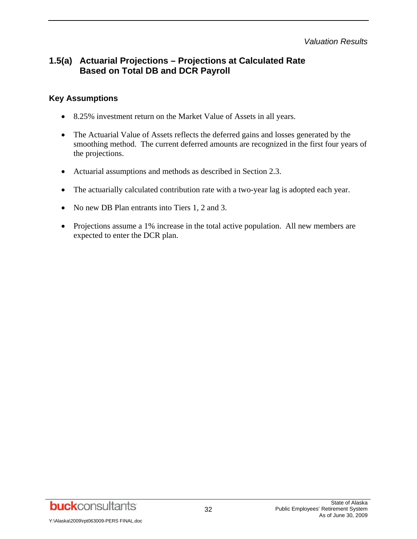#### *Valuation Results*

## **1.5(a) Actuarial Projections – Projections at Calculated Rate Based on Total DB and DCR Payroll**

#### **Key Assumptions**

- 8.25% investment return on the Market Value of Assets in all years.
- The Actuarial Value of Assets reflects the deferred gains and losses generated by the smoothing method. The current deferred amounts are recognized in the first four years of the projections.
- Actuarial assumptions and methods as described in Section 2.3.
- The actuarially calculated contribution rate with a two-year lag is adopted each year.
- No new DB Plan entrants into Tiers 1, 2 and 3.
- Projections assume a 1% increase in the total active population. All new members are expected to enter the DCR plan.

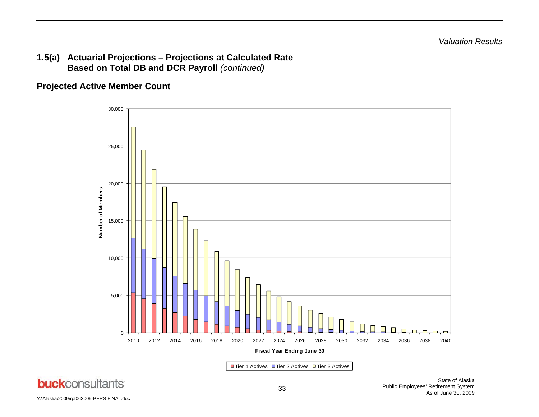#### **1.5(a) Actuarial Projections – Projections at Calculated Rate Based on Total DB and DCR Payroll** *(continued)*

## **Projected Active Member Count**



Y:\Alaska\2009\rpt063009-PERS FINAL.doc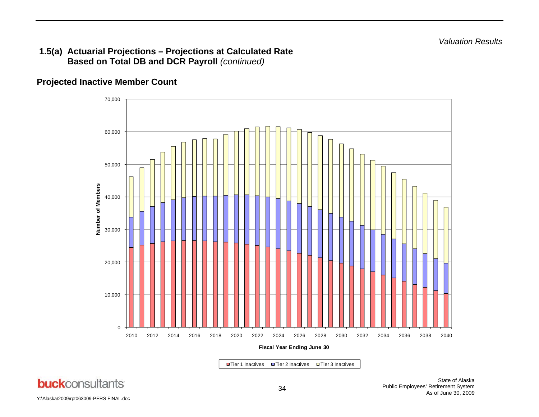#### **1.5(a) Actuarial Projections – Projections at Calculated Rate Based on Total DB and DCR Payroll** *(continued)*

## **Projected Inactive Member Count**



■Tier 1 Inactives  $\Box$  Tier 2 Inactives  $\Box$  Tier 3 Inactives

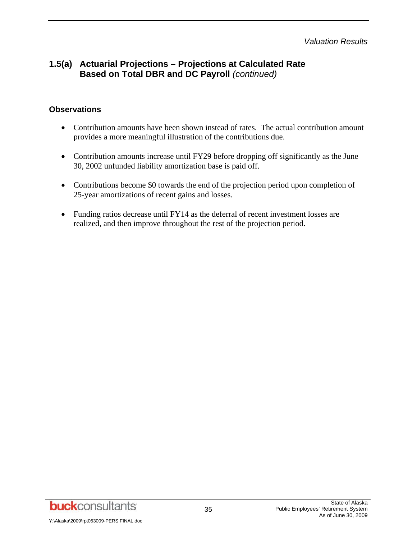*Valuation Results* 

## **1.5(a) Actuarial Projections – Projections at Calculated Rate Based on Total DBR and DC Payroll** *(continued)*

#### **Observations**

- Contribution amounts have been shown instead of rates. The actual contribution amount provides a more meaningful illustration of the contributions due.
- Contribution amounts increase until FY29 before dropping off significantly as the June 30, 2002 unfunded liability amortization base is paid off.
- Contributions become \$0 towards the end of the projection period upon completion of 25-year amortizations of recent gains and losses.
- Funding ratios decrease until FY14 as the deferral of recent investment losses are realized, and then improve throughout the rest of the projection period.

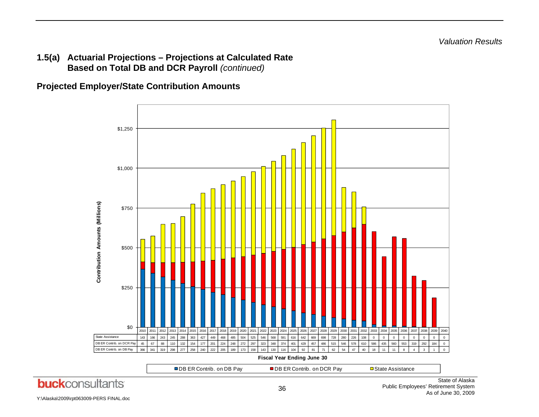#### **1.5(a) Actuarial Projections – Projections at Calculated Rate Based on Total DB and DCR Payroll** *(continued)*

**Projected Employer/State Contribution Amounts** 

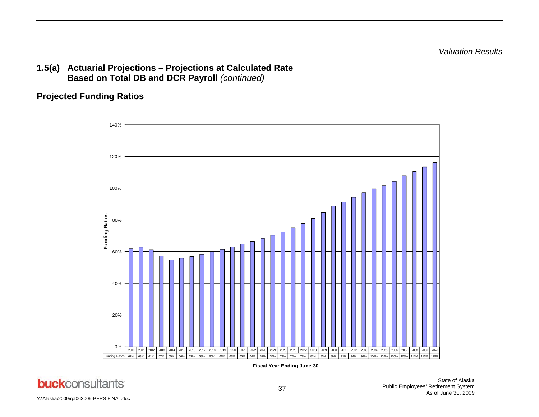*Valuation Results* 

## **1.5(a) Actuarial Projections – Projections at Calculated Rate Based on Total DB and DCR Payroll** *(continued)*

## **Projected Funding Ratios**



**Fiscal Year Ending June 30**

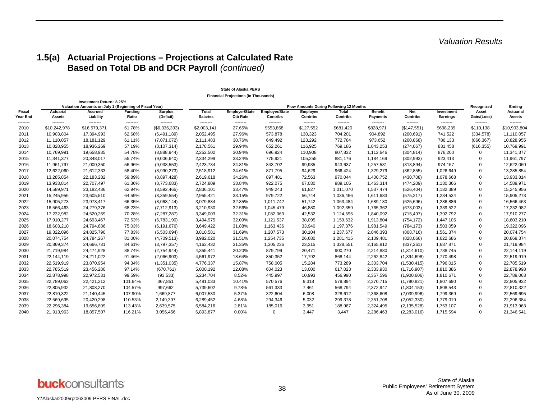## **1.5(a) Actuarial Projections – Projections at Calculated Rate Based on Total DB and DCR Payroll** *(continued)*

|                    |                          |                                                                                    |                         |                             |                          | <b>Financial Projections (in Thousands)</b> |                                          |                       |                                         |                                   |                               |                        |                       |                            |
|--------------------|--------------------------|------------------------------------------------------------------------------------|-------------------------|-----------------------------|--------------------------|---------------------------------------------|------------------------------------------|-----------------------|-----------------------------------------|-----------------------------------|-------------------------------|------------------------|-----------------------|----------------------------|
|                    |                          | Investment Return: 8.25%<br>Valuation Amounts on July 1 (Beginning of Fiscal Year) |                         |                             |                          |                                             |                                          |                       | Flow Amounts During Following 12 Months |                                   |                               |                        | Recoanized            | Ending                     |
| Fiscal<br>Year End | Actuarial<br>Assets      | Accrued<br>Liability                                                               | <b>Funding</b><br>Ratio | <b>Surplus</b><br>(Deficit) | Total<br><b>Salaries</b> | <b>Employer/State</b><br><b>Ctb Rate</b>    | <b>Employer/State</b><br><b>Contribs</b> | Employee<br>Contribs  | Total<br>Contribs                       | <b>Benefit</b><br><b>Payments</b> | <b>Net</b><br><b>Contribs</b> | Investment<br>Earnings | Asset<br>Gain/(Loss)  | <b>Actuarial</b><br>Assets |
| --------<br>2010   | --------<br>\$10,242,978 | --------<br>\$16,579,371                                                           | --------<br>61.78%      | --------<br>(\$6,336,393)   | --------<br>\$2,003,141  | --------<br>27.65%                          | --------<br>\$553,868                    | --------<br>\$127,552 | --------<br>\$681,420                   | --------<br>\$828,971             | --------<br>(\$147,551)       | --------<br>\$698,239  | --------<br>\$110,138 | --------<br>\$10,903,804   |
| 2011               | 10,903,804               | 17,394,993                                                                         | 62.68%                  | (6,491,189)                 | 2,052,495                | 27.96%                                      | 573,878                                  | 130,323               | 704,201                                 | 904,892                           | (200, 691)                    | 741,522                | (334, 578)            | 11,110,057                 |
| 2012               | 11,110,057               | 18,181,129                                                                         | 61.11%                  | (7,071,072)                 | 2,111,483                | 30.76%                                      | 649,492                                  | 123,292               | 772,784                                 | 973,652                           | (200, 868)                    | 786,133                | (866, 367)            | 10,828,955                 |
| 2013               | 10,828,955               | 18,936,269                                                                         | 57.19%                  | (8, 107, 314)               | 2,178,561                | 29.94%                                      | 652,261                                  | 116,925               | 769,186                                 | 1,043,253                         | (274, 067)                    | 831,458                | (616, 355)            | 10,769,991                 |
| 2014               | 10,769,991               | 19,658,935                                                                         | 54.78%                  | (8,888,944)                 | 2,252,502                | 30.94%                                      | 696,924                                  | 110,908               | 807,832                                 | 1,112,646                         | (304, 814)                    | 876,200                | 0                     | 11,341,377                 |
| 2015               | 11,341,377               | 20,348,017                                                                         | 55.74%                  | (9,006,640)                 | 2,334,299                | 33.24%                                      | 775,921                                  | 105,255               | 881,176                                 | 1,184,169                         | (302, 993)                    | 923,413                | 0                     | 11,961,797                 |
| 2016               | 11,961,797               | 21,000,350                                                                         | 56.96%                  | (9,038,553)                 | 2,423,734                | 34.81%                                      | 843,702                                  | 99,935                | 943,637                                 | 1,257,531                         | (313, 894)                    | 974,157                | $\Omega$              | 12,622,060                 |
| 2017               | 12,622,060               | 21,612,333                                                                         | 58.40%                  | (8,990,273)                 | 2,518,912                | 34.61%                                      | 871,795                                  | 94,629                | 966,424                                 | 1,329,279                         | (362, 855)                    | 1,026,649              | $\Omega$              | 13,285,854                 |
| 2018               | 13,285,854               | 22,183,282                                                                         | 59.89%                  | (8,897,428)                 | 2,619,618                | 34.26%                                      | 897,481                                  | 72,563                | 970,044                                 | 1,400,752                         | (430, 708)                    | 1,078,668              | $\Omega$              | 13,933,814                 |
| 2019               | 13,933,814               | 22,707,497                                                                         | 61.36%                  | (8,773,683)                 | 2,724,809                | 33.84%                                      | 922,075                                  | 67,030                | 989,105                                 | 1,463,314                         | (474, 209)                    | 1,130,366              | 0                     | 14,589,971                 |
| 2020               | 14,589,971               | 23,182,436                                                                         | 62.94%                  | (8,592,465)                 | 2,836,101                | 33.47%                                      | 949,243                                  | 61,827                | 1,011,070                               | 1,537,474                         | (526, 404)                    | 1,182,389              | 0                     | 15,245,956                 |
| 2021               | 15,245,956               | 23,605,510                                                                         | 64.59%                  | (8,359,554)                 | 2,955,421                | 33.15%                                      | 979,722                                  | 56,744                | 1,036,466                               | 1,611,683                         | (575, 217)                    | 1,234,534              | $\Omega$              | 15,905,273                 |
| 2022               | 15,905,273               | 23,973,417                                                                         | 66.35%                  | (8,068,144)                 | 3,079,884                | 32.85%                                      | 1,011,742                                | 51,742                | 1,063,484                               | 1,689,180                         | (625, 696)                    | 1,286,886              | $\Omega$              | 16,566,463                 |
| 2023               | 16,566,463               | 24,279,376                                                                         | 68.23%                  | (7,712,913)                 | 3,210,930                | 32.56%                                      | 1,045,479                                | 46,880                | 1,092,359                               | 1,765,362                         | (673,003)                     | 1,339,522              | 0                     | 17,232,982                 |
| 2024               | 17,232,982               | 24,520,269                                                                         | 70.28%                  | (7, 287, 287)               | 3,349,003                | 32.31%                                      | 1,082,063                                | 42,532                | 1,124,595                               | 1,840,092                         | (715, 497)                    | 1,392,792              | $\Omega$              | 17,910,277                 |
| 2025               | 17,910,277               | 24,693,467                                                                         | 72.53%                  | (6,783,190)                 | 3,494,975                | 32.09%                                      | 1,121,537                                | 38,095                | 1,159,632                               | 1,913,804                         | (754, 172)                    | 1,447,105              | $\Omega$              | 18,603,210                 |
| 2026               | 18,603,210               | 24,794,886                                                                         | 75.03%                  | (6, 191, 676)               | 3,649,422                | 31.88%                                      | 1,163,436                                | 33,940                | 1,197,376                               | 1,981,549                         | (784, 173)                    | 1,503,059              | $\Omega$              | 19,322,096                 |
| 2027               | 19,322,096               | 24,825,790                                                                         | 77.83%                  | (5,503,694)                 | 3,810,581                | 31.69%                                      | 1,207,573                                | 30,104                | 1,237,677                               | 2,046,393                         | (808, 716)                    | 1,561,374              | $\Omega$              | 20,074,754                 |
| 2028               | 20,074,754               | 24,784,267                                                                         | 81.00%                  | (4,709,513)                 | 3,982,020                | 31.51%                                      | 1,254,735                                | 26,680                | 1,281,415                               | 2,109,481                         | (828,066)                     | 1,622,686              | $\Omega$              | 20,869,374                 |
| 2029               | 20,869,374               | 24,666,731                                                                         | 84.61%                  | (3,797,357)                 | 4,163,432                | 31.35%                                      | 1,305,236                                | 23,315                | 1,328,551                               | 2,165,812                         | (837, 261)                    | 1,687,871              | $\Omega$              | 21,719,984                 |
| 2030               | 21,719,984               | 24,474,928                                                                         | 88.74%                  | (2,754,944)                 | 4,355,441                | 20.20%                                      | 879.799                                  | 20,471                | 900,270                                 | 2,214,880                         | (1,314,610)                   | 1,738,745              | $\Omega$              | 22,144,119                 |
| 2031               | 22,144,119               | 24,211,022                                                                         | 91.46%                  | (2,066,903)                 | 4,561,972                | 18.64%                                      | 850,352                                  | 17,792                | 868,144                                 | 2,262,842                         | (1,394,698)                   | 1,770,498              | $\Omega$              | 22,519,919                 |
| 2032               | 22,519,919               | 23,870,954                                                                         | 94.34%                  | (1,351,035)                 | 4,776,337                | 15.87%                                      | 758,005                                  | 15,284                | 773,289                                 | 2,303,704                         | (1,530,415)                   | 1,796,015              | $\Omega$              | 22,785,519                 |
| 2033               | 22,785,519               | 23,456,280                                                                         | 97.14%                  | (670, 761)                  | 5,000,192                | 12.08%                                      | 604,023                                  | 13,000                | 617,023                                 | 2,333,930                         | (1,716,907)                   | 1,810,386              | $\Omega$              | 22,878,998                 |
| 2034               | 22,878,998               | 22,972,531                                                                         | 99.59%                  | (93, 533)                   | 5,234,704                | 8.52%                                       | 445,997                                  | 10,993                | 456,990                                 | 2,357,596                         | (1,900,606)                   | 1,810,671              | $\Omega$              | 22,789,063                 |
| 2035               | 22,789,063               | 22,421,212                                                                         | 101.64%                 | 367,851                     | 5,481,033                | 10.41%                                      | 570,576                                  | 9,318                 | 579,894                                 | 2,370,715                         | (1,790,821)                   | 1,807,690              | $\Omega$              | 22,805,932                 |
| 2036               | 22,805,932               | 21,808,270                                                                         | 104.57%                 | 997,662                     | 5,739,602                | 9.78%                                       | 561,333                                  | 7,461                 | 568,794                                 | 2,372,947                         | (1,804,153)                   | 1,808,543              | $\Omega$              | 22,810,322                 |
| 2037               | 22,810,322               | 21,140,445                                                                         | 107.90%                 | 1,669,877                   | 6,007,530                | 5.37%                                       | 322,604                                  | 6,008                 | 328,612                                 | 2,368,608                         | (2,039,996)                   | 1,799,369              | $\Omega$              | 22,569,695                 |
| 2038               | 22,569,695               | 20,420,298                                                                         | 110.53%                 | 2,149,397                   | 6,289,452                | 4.68%                                       | 294,346                                  | 5,032                 | 299,378                                 | 2,351,708                         | (2,052,330)                   | 1,779,019              | $\Omega$              | 22,296,384                 |
| 2039               | 22,296,384               | 19,656,809                                                                         | 113.43%                 | 2,639,575                   | 6,584,216                | 2.81%                                       | 185,016                                  | 3,951                 | 188,967                                 | 2,324,495                         | (2, 135, 528)                 | 1,753,107              | $\Omega$              | 21,913,963                 |
| 2040               | 21,913,963               | 18,857,507                                                                         | 116.21%                 | 3,056,456                   | 6,893,877                | 0.00%                                       | 0                                        | 3,447                 | 3.447                                   | 2,286,463                         | (2, 283, 016)                 | 1,715,594              | 0                     | 21,346,541                 |

#### **State of Alaska PERS**

Y:\Alaska\2009\rpt063009-PERS FINAL.doc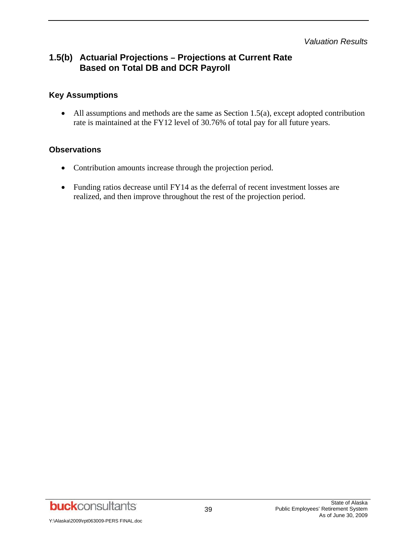*Valuation Results* 

## **1.5(b) Actuarial Projections – Projections at Current Rate Based on Total DB and DCR Payroll**

### **Key Assumptions**

• All assumptions and methods are the same as Section 1.5(a), except adopted contribution rate is maintained at the FY12 level of 30.76% of total pay for all future years.

#### **Observations**

- Contribution amounts increase through the projection period.
- Funding ratios decrease until FY14 as the deferral of recent investment losses are realized, and then improve throughout the rest of the projection period.

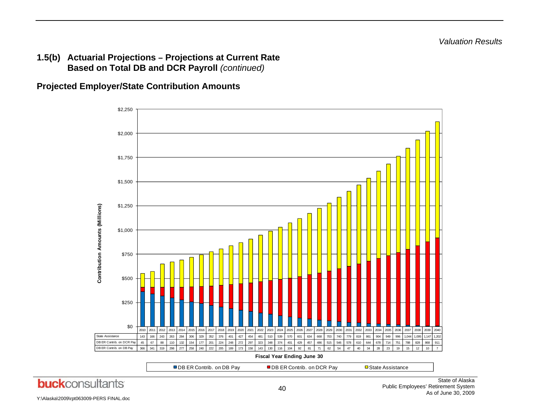**1.5(b) Actuarial Projections – Projections at Current Rate Based on Total DB and DCR Payroll** *(continued)* 

**Projected Employer/State Contribution Amounts** 

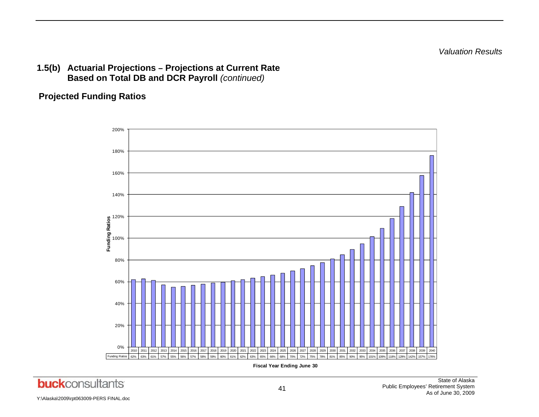*Valuation Results* 

## **1.5(b) Actuarial Projections – Projections at Current Rate Based on Total DB and DCR Payroll** *(continued)*

## **Projected Funding Ratios**

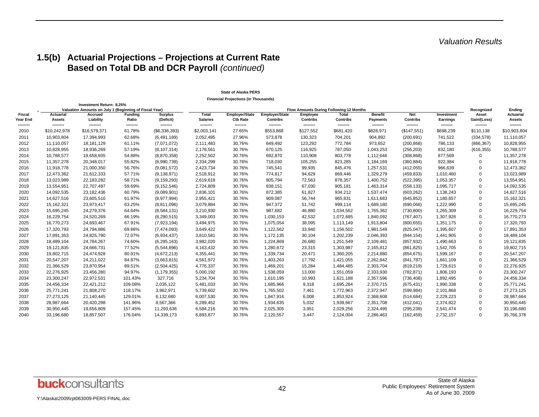## **1.5(b) Actuarial Projections – Projections at Current Rate Based on Total DB and DCR Payroll** *(continued)*

|                           |                                   |                                                                                    |                         |                             |                                 | <b>Financial Projections (in Thousands)</b> |                                          |                       |                                                |                                   |                               |                        |                        |                                   |
|---------------------------|-----------------------------------|------------------------------------------------------------------------------------|-------------------------|-----------------------------|---------------------------------|---------------------------------------------|------------------------------------------|-----------------------|------------------------------------------------|-----------------------------------|-------------------------------|------------------------|------------------------|-----------------------------------|
|                           |                                   | Investment Return: 8.25%<br>Valuation Amounts on July 1 (Beginning of Fiscal Year) |                         |                             |                                 |                                             |                                          |                       | <b>Flow Amounts During Following 12 Months</b> |                                   |                               |                        | Recognized             | Ending                            |
| <b>Fiscal</b><br>Year End | <b>Actuarial</b><br><b>Assets</b> | Accrued<br>Liability                                                               | <b>Funding</b><br>Ratio | <b>Surplus</b><br>(Deficit) | <b>Total</b><br><b>Salaries</b> | <b>Employer/State</b><br><b>Ctb Rate</b>    | <b>Employer/State</b><br><b>Contribs</b> | Employee<br>Contribs  | <b>Total</b><br>Contribs                       | <b>Benefit</b><br><b>Payments</b> | <b>Net</b><br><b>Contribs</b> | Investment<br>Earnings | Asset<br>Gain/(Loss)   | <b>Actuarial</b><br><b>Assets</b> |
| --------<br>2010          | --------<br>\$10,242,978          | --------<br>\$16,579,371                                                           | --------<br>61.78%      | --------<br>(\$6,336,393)   | --------<br>\$2,003,141         | --------<br>27.65%                          | --------<br>\$553,868                    | --------<br>\$127,552 | --------<br>\$681,420                          | --------<br>\$828,971             | ---------<br>(\$147,551)      | --------<br>\$698,239  | ---------<br>\$110,138 | --------<br>\$10,903,804          |
| 2011                      | 10,903,804                        | 17,394,993                                                                         | 62.68%                  | (6,491,189)                 | 2,052,495                       | 27.96%                                      | 573,878                                  | 130,323               | 704,201                                        | 904,892                           | (200, 691)                    | 741,522                | (334, 578)             | 11,110,057                        |
| 2012                      | 11,110,057                        | 18,181,129                                                                         | 61.11%                  | (7,071,072)                 | 2,111,483                       | 30.76%                                      | 649,492                                  | 123,292               | 772,784                                        | 973,652                           | (200, 868)                    | 786,133                | (866, 367)             | 10,828,955                        |
| 2013                      | 10,828,955                        | 18,936,269                                                                         | 57.19%                  | (8, 107, 314)               | 2,178,561                       | 30.76%                                      | 670,125                                  | 116,925               | 787,050                                        | 1,043,253                         | (256, 203)                    | 832,180                | (616, 355)             | 10,788,577                        |
| 2014                      | 10,788,577                        | 19,658,935                                                                         | 54.88%                  | (8,870,358)                 | 2,252,502                       | 30.76%                                      | 692,870                                  | 110,908               | 803,778                                        | 1,112,646                         | (308, 868)                    | 877,569                | $\Omega$               | 11,357,278                        |
| 2015                      | 11,357,278                        | 20,348,017                                                                         | 55.82%                  | (8,990,739)                 | 2,334,299                       | 30.76%                                      | 718,030                                  | 105,255               | 823,285                                        | 1,184,169                         | (360, 884)                    | 922,384                | $\Omega$               | 11,918,778                        |
| 2016                      | 11,918,778                        | 21,000,350                                                                         | 56.76%                  | (9,081,572)                 | 2,423,734                       | 30.76%                                      | 745,541                                  | 99,935                | 845,476                                        | 1,257,531                         | (412, 055)                    | 966,639                | $\Omega$               | 12,473,362                        |
| 2017                      | 12,473,362                        | 21,612,333                                                                         | 57.71%                  | (9, 138, 971)               | 2,518,912                       | 30.76%                                      | 774,817                                  | 94,629                | 869,446                                        | 1,329,279                         | (459, 833)                    | 1,010,460              | 0                      | 13,023,989                        |
| 2018                      | 13,023,989                        | 22,183,282                                                                         | 58.71%                  | (9, 159, 293)               | 2,619,618                       | 30.76%                                      | 805,794                                  | 72,563                | 878,357                                        | 1,400,752                         | (522, 395)                    | 1,053,357              | $\Omega$               | 13,554,951                        |
| 2019                      | 13,554,951                        | 22,707,497                                                                         | 59.69%                  | (9, 152, 546)               | 2,724,809                       | 30.76%                                      | 838,151                                  | 67,030                | 905,181                                        | 1,463,314                         | (558, 133)                    | 1,095,717              | $\mathbf 0$            | 14,092,535                        |
| 2020                      | 14,092,535                        | 23,182,436                                                                         | 60.79%                  | (9,089,901)                 | 2,836,101                       | 30.76%                                      | 872,385                                  | 61,827                | 934,212                                        | 1,537,474                         | (603, 262)                    | 1,138,243              | 0                      | 14,627,516                        |
| 2021                      | 14,627,516                        | 23,605,510                                                                         | 61.97%                  | (8,977,994)                 | 2,955,421                       | 30.76%                                      | 909,087                                  | 56,744                | 965,831                                        | 1,611,683                         | (645, 852)                    | 1,180,657              | 0                      | 15,162,321                        |
| 2022                      | 15,162,321                        | 23,973,417                                                                         | 63.25%                  | (8,811,096)                 | 3,079,884                       | 30.76%                                      | 947,372                                  | 51,742                | 999,114                                        | 1,689,180                         | (690,066)                     | 1,222,990              | 0                      | 15,695,245                        |
| 2023                      | 15,695,245                        | 24,279,376                                                                         | 64.64%                  | (8,584,131)                 | 3,210,930                       | 30.76%                                      | 987,682                                  | 46,880                | 1,034,562                                      | 1,765,362                         | (730, 800)                    | 1,265,309              | 0                      | 16,229,754                        |
| 2024                      | 16,229,754                        | 24,520,269                                                                         | 66.19%                  | (8, 290, 515)               | 3,349,003                       | 30.76%                                      | 1,030,153                                | 42,532                | 1,072,685                                      | 1,840,092                         | (767, 407)                    | 1,307,926              | 0                      | 16,770,273                        |
| 2025                      | 16,770,273                        | 24,693,467                                                                         | 67.91%                  | (7,923,194)                 | 3,494,975                       | 30.76%                                      | 1,075,054                                | 38,095                | 1,113,149                                      | 1,913,804                         | (800, 655)                    | 1,351,175              | $\Omega$               | 17,320,793                        |
| 2026                      | 17,320,793                        | 24,794,886                                                                         | 69.86%                  | (7,474,093)                 | 3,649,422                       | 30.76%                                      | 1,122,562                                | 33,940                | 1,156,502                                      | 1,981,549                         | (825, 047)                    | 1,395,607              | 0                      | 17,891,353                        |
| 2027                      | 17,891,353                        | 24,825,790                                                                         | 72.07%                  | (6,934,437)                 | 3,810,581                       | 30.76%                                      | 1,172,135                                | 30,104                | 1,202,239                                      | 2,046,393                         | (844, 154)                    | 1,441,905              | $\Omega$               | 18,489,104                        |
| 2028                      | 18,489,104                        | 24,784,267                                                                         | 74.60%                  | (6, 295, 163)               | 3,982,020                       | 30.76%                                      | 1,224,869                                | 26,680                | 1,251,549                                      | 2,109,481                         | (857, 932)                    | 1,490,663              | 0                      | 19,121,835                        |
| 2029                      | 19,121,835                        | 24,666,731                                                                         | 77.52%                  | (5,544,896)                 | 4,163,432                       | 30.76%                                      | 1,280,672                                | 23,315                | 1,303,987                                      | 2,165,812                         | (861, 825)                    | 1,542,705              | 0                      | 19,802,715                        |
| 2030                      | 19,802,715                        | 24,474,928                                                                         | 80.91%                  | (4,672,213)                 | 4,355,441                       | 30.76%                                      | 1,339,734                                | 20,471                | 1,360,205                                      | 2,214,880                         | (854, 675)                    | 1,599,167              | $\Omega$               | 20,547,207                        |
| 2031                      | 20,547,207                        | 24,211,022                                                                         | 84.87%                  | (3,663,815)                 | 4,561,972                       | 30.76%                                      | 1,403,263                                | 17,792                | 1,421,055                                      | 2,262,842                         | (841, 787)                    | 1,661,109              | 0                      | 21,366,529                        |
| 2032                      | 21,366,529                        | 23,870,954                                                                         | 89.51%                  | (2,504,425)                 | 4,776,337                       | 30.76%                                      | 1,469,201                                | 15,284                | 1,484,485                                      | 2,303,704                         | (819, 219)                    | 1,729,615              | $\Omega$               | 22,276,925                        |
| 2033                      | 22,276,925                        | 23,456,280                                                                         | 94.97%                  | (1, 179, 355)               | 5,000,192                       | 30.76%                                      | 1,538,059                                | 13,000                | 1,551,059                                      | 2,333,930                         | (782, 871)                    | 1,806,193              | $\Omega$               | 23,300,247                        |
| 2034                      | 23,300,247                        | 22,972,531                                                                         | 101.43%                 | 327,716                     | 5,234,704                       | 30.76%                                      | 1,610,195                                | 10,993                | 1,621,188                                      | 2,357,596                         | (736, 408)                    | 1,892,495              | 0                      | 24,456,334                        |
| 2035                      | 24,456,334                        | 22,421,212                                                                         | 109.08%                 | 2,035,122                   | 5,481,033                       | 30.76%                                      | 1,685,966                                | 9,318                 | 1,695,284                                      | 2,370,715                         | (675, 431)                    | 1,990,338              | 0                      | 25,771,241                        |
| 2036                      | 25,771,241                        | 21,808,270                                                                         | 118.17%                 | 3,962,971                   | 5,739,602                       | 30.76%                                      | 1,765,502                                | 7,461                 | 1,772,963                                      | 2,372,947                         | (599, 984)                    | 2,101,868              | 0                      | 27,273,125                        |
| 2037                      | 27,273,125                        | 21,140,445                                                                         | 129.01%                 | 6,132,680                   | 6,007,530                       | 30.76%                                      | 1,847,916                                | 6,008                 | 1,853,924                                      | 2,368,608                         | (514, 684)                    | 2,229,223              | $\Omega$               | 28,987,664                        |
| 2038                      | 28,987,664                        | 20,420,298                                                                         | 141.96%                 | 8,567,366                   | 6,289,452                       | 30.76%                                      | 1,934,635                                | 5,032                 | 1,939,667                                      | 2,351,708                         | (412, 041)                    | 2,374,822              | $\Omega$               | 30,950,445                        |
| 2039                      | 30,950,445                        | 19,656,809                                                                         | 157.45%                 | 11,293,636                  | 6,584,216                       | 30.76%                                      | 2,025,305                                | 3,951                 | 2,029,256                                      | 2,324,495                         | (295, 239)                    | 2,541,474              | $\Omega$               | 33,196,680                        |
| 2040                      | 33,196,680                        | 18,857,507                                                                         | 176.04%                 | 14,339,173                  | 6,893,877                       | 30.76%                                      | 2,120,557                                | 3,447                 | 2,124,004                                      | 2,286,463                         | (162, 459)                    | 2,732,157              | $\Omega$               | 35,766,378                        |

#### **State of Alaska PERS**

**buck**consultants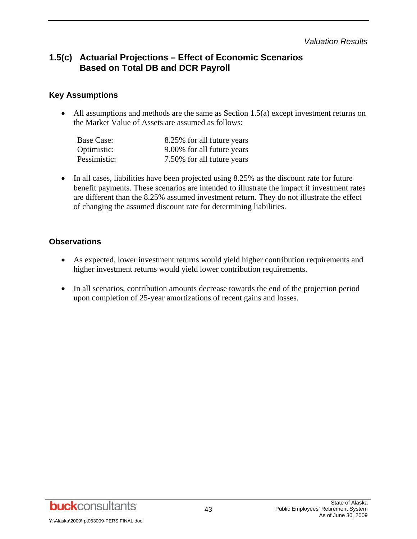*Valuation Results* 

## **1.5(c) Actuarial Projections – Effect of Economic Scenarios Based on Total DB and DCR Payroll**

#### **Key Assumptions**

• All assumptions and methods are the same as Section 1.5(a) except investment returns on the Market Value of Assets are assumed as follows:

| Base Case:   | 8.25% for all future years |
|--------------|----------------------------|
| Optimistic:  | 9.00% for all future years |
| Pessimistic: | 7.50% for all future years |

• In all cases, liabilities have been projected using 8.25% as the discount rate for future benefit payments. These scenarios are intended to illustrate the impact if investment rates are different than the 8.25% assumed investment return. They do not illustrate the effect of changing the assumed discount rate for determining liabilities.

#### **Observations**

- As expected, lower investment returns would yield higher contribution requirements and higher investment returns would yield lower contribution requirements.
- In all scenarios, contribution amounts decrease towards the end of the projection period upon completion of 25-year amortizations of recent gains and losses.

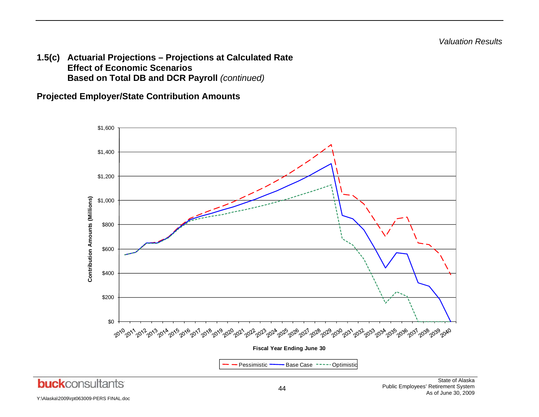**1.5(c) Actuarial Projections – Projections at Calculated Rate Effect of Economic Scenarios Based on Total DB and DCR Payroll** *(continued)*

**Projected Employer/State Contribution Amounts** 

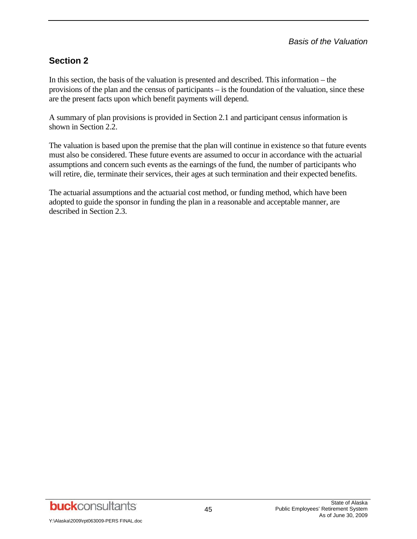# **Section 2**

In this section, the basis of the valuation is presented and described. This information – the provisions of the plan and the census of participants – is the foundation of the valuation, since these are the present facts upon which benefit payments will depend.

A summary of plan provisions is provided in Section 2.1 and participant census information is shown in Section 2.2.

The valuation is based upon the premise that the plan will continue in existence so that future events must also be considered. These future events are assumed to occur in accordance with the actuarial assumptions and concern such events as the earnings of the fund, the number of participants who will retire, die, terminate their services, their ages at such termination and their expected benefits.

The actuarial assumptions and the actuarial cost method, or funding method, which have been adopted to guide the sponsor in funding the plan in a reasonable and acceptable manner, are described in Section 2.3.

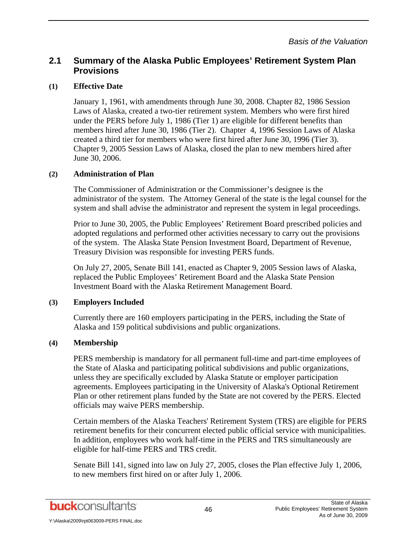#### **(1) Effective Date**

January 1, 1961, with amendments through June 30, 2008. Chapter 82, 1986 Session Laws of Alaska, created a two-tier retirement system. Members who were first hired under the PERS before July 1, 1986 (Tier 1) are eligible for different benefits than members hired after June 30, 1986 (Tier 2). Chapter 4, 1996 Session Laws of Alaska created a third tier for members who were first hired after June 30, 1996 (Tier 3). Chapter 9, 2005 Session Laws of Alaska, closed the plan to new members hired after June 30, 2006.

#### **(2) Administration of Plan**

The Commissioner of Administration or the Commissioner's designee is the administrator of the system. The Attorney General of the state is the legal counsel for the system and shall advise the administrator and represent the system in legal proceedings.

Prior to June 30, 2005, the Public Employees' Retirement Board prescribed policies and adopted regulations and performed other activities necessary to carry out the provisions of the system. The Alaska State Pension Investment Board, Department of Revenue, Treasury Division was responsible for investing PERS funds.

On July 27, 2005, Senate Bill 141, enacted as Chapter 9, 2005 Session laws of Alaska, replaced the Public Employees' Retirement Board and the Alaska State Pension Investment Board with the Alaska Retirement Management Board.

## **(3) Employers Included**

Currently there are 160 employers participating in the PERS, including the State of Alaska and 159 political subdivisions and public organizations.

## **(4) Membership**

PERS membership is mandatory for all permanent full-time and part-time employees of the State of Alaska and participating political subdivisions and public organizations, unless they are specifically excluded by Alaska Statute or employer participation agreements. Employees participating in the University of Alaska's Optional Retirement Plan or other retirement plans funded by the State are not covered by the PERS. Elected officials may waive PERS membership.

Certain members of the Alaska Teachers' Retirement System (TRS) are eligible for PERS retirement benefits for their concurrent elected public official service with municipalities. In addition, employees who work half-time in the PERS and TRS simultaneously are eligible for half-time PERS and TRS credit.

Senate Bill 141, signed into law on July 27, 2005, closes the Plan effective July 1, 2006, to new members first hired on or after July 1, 2006.

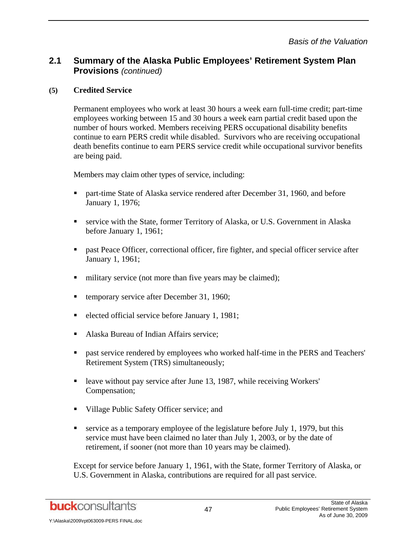### **(5) Credited Service**

Permanent employees who work at least 30 hours a week earn full-time credit; part-time employees working between 15 and 30 hours a week earn partial credit based upon the number of hours worked. Members receiving PERS occupational disability benefits continue to earn PERS credit while disabled. Survivors who are receiving occupational death benefits continue to earn PERS service credit while occupational survivor benefits are being paid.

Members may claim other types of service, including:

- **Part-time State of Alaska service rendered after December 31, 1960, and before** January 1, 1976;
- service with the State, former Territory of Alaska, or U.S. Government in Alaska before January 1, 1961;
- **Example 3** past Peace Officer, correctional officer, fire fighter, and special officer service after January 1, 1961;
- military service (not more than five years may be claimed);
- temporary service after December 31, 1960;
- elected official service before January 1, 1981;
- Alaska Bureau of Indian Affairs service:
- **Past service rendered by employees who worked half-time in the PERS and Teachers'** Retirement System (TRS) simultaneously;
- leave without pay service after June 13, 1987, while receiving Workers' Compensation;
- Village Public Safety Officer service; and
- service as a temporary employee of the legislature before July 1, 1979, but this service must have been claimed no later than July 1, 2003, or by the date of retirement, if sooner (not more than 10 years may be claimed).

Except for service before January 1, 1961, with the State, former Territory of Alaska, or U.S. Government in Alaska, contributions are required for all past service.

**buck**consultants

Y:\Alaska\2009\rpt063009-PERS FINAL.doc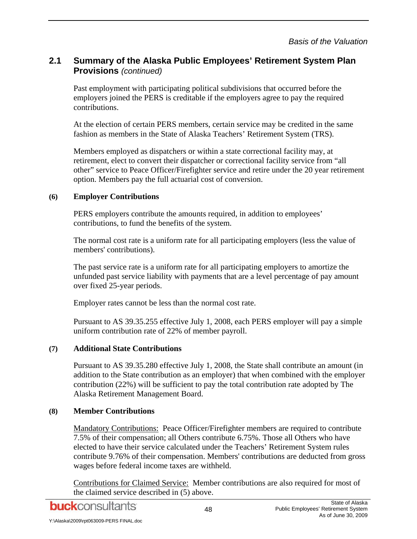Past employment with participating political subdivisions that occurred before the employers joined the PERS is creditable if the employers agree to pay the required contributions.

At the election of certain PERS members, certain service may be credited in the same fashion as members in the State of Alaska Teachers' Retirement System (TRS).

Members employed as dispatchers or within a state correctional facility may, at retirement, elect to convert their dispatcher or correctional facility service from "all other" service to Peace Officer/Firefighter service and retire under the 20 year retirement option. Members pay the full actuarial cost of conversion.

#### **(6) Employer Contributions**

PERS employers contribute the amounts required, in addition to employees' contributions, to fund the benefits of the system.

The normal cost rate is a uniform rate for all participating employers (less the value of members' contributions).

The past service rate is a uniform rate for all participating employers to amortize the unfunded past service liability with payments that are a level percentage of pay amount over fixed 25-year periods.

Employer rates cannot be less than the normal cost rate.

Pursuant to AS 39.35.255 effective July 1, 2008, each PERS employer will pay a simple uniform contribution rate of 22% of member payroll.

## **(7) Additional State Contributions**

Pursuant to AS 39.35.280 effective July 1, 2008, the State shall contribute an amount (in addition to the State contribution as an employer) that when combined with the employer contribution (22%) will be sufficient to pay the total contribution rate adopted by The Alaska Retirement Management Board.

## **(8) Member Contributions**

Mandatory Contributions: Peace Officer/Firefighter members are required to contribute 7.5% of their compensation; all Others contribute 6.75%. Those all Others who have elected to have their service calculated under the Teachers' Retirement System rules contribute 9.76% of their compensation. Members' contributions are deducted from gross wages before federal income taxes are withheld.

Contributions for Claimed Service: Member contributions are also required for most of the claimed service described in (5) above.

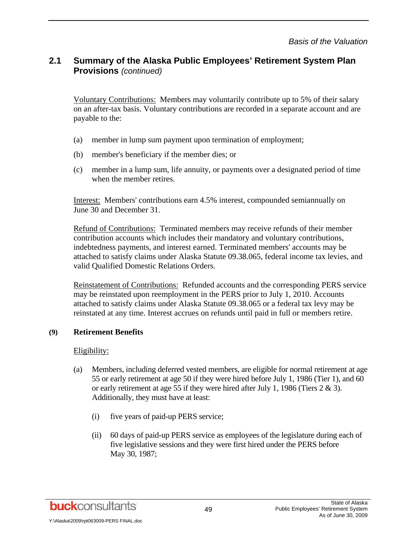Voluntary Contributions: Members may voluntarily contribute up to 5% of their salary on an after-tax basis. Voluntary contributions are recorded in a separate account and are payable to the:

- (a) member in lump sum payment upon termination of employment;
- (b) member's beneficiary if the member dies; or
- (c) member in a lump sum, life annuity, or payments over a designated period of time when the member retires.

Interest: Members' contributions earn 4.5% interest, compounded semiannually on June 30 and December 31.

Refund of Contributions: Terminated members may receive refunds of their member contribution accounts which includes their mandatory and voluntary contributions, indebtedness payments, and interest earned. Terminated members' accounts may be attached to satisfy claims under Alaska Statute 09.38.065, federal income tax levies, and valid Qualified Domestic Relations Orders.

Reinstatement of Contributions: Refunded accounts and the corresponding PERS service may be reinstated upon reemployment in the PERS prior to July 1, 2010. Accounts attached to satisfy claims under Alaska Statute 09.38.065 or a federal tax levy may be reinstated at any time. Interest accrues on refunds until paid in full or members retire.

#### **(9) Retirement Benefits**

#### Eligibility:

- (a) Members, including deferred vested members, are eligible for normal retirement at age 55 or early retirement at age 50 if they were hired before July 1, 1986 (Tier 1), and 60 or early retirement at age 55 if they were hired after July 1, 1986 (Tiers 2 & 3). Additionally, they must have at least:
	- (i) five years of paid-up PERS service;
	- (ii) 60 days of paid-up PERS service as employees of the legislature during each of five legislative sessions and they were first hired under the PERS before May 30, 1987;

**buck**consultants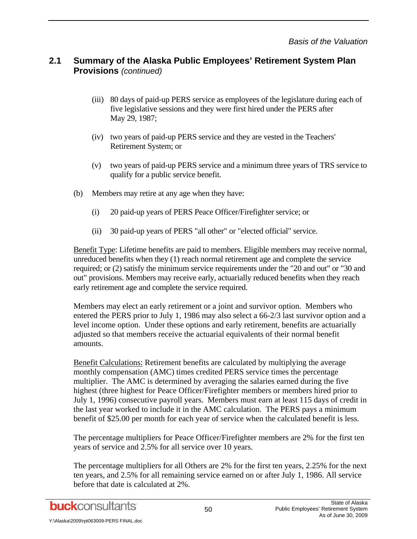- (iii) 80 days of paid-up PERS service as employees of the legislature during each of five legislative sessions and they were first hired under the PERS after May 29, 1987;
- (iv) two years of paid-up PERS service and they are vested in the Teachers' Retirement System; or
- (v) two years of paid-up PERS service and a minimum three years of TRS service to qualify for a public service benefit.
- (b) Members may retire at any age when they have:
	- (i) 20 paid-up years of PERS Peace Officer/Firefighter service; or
	- (ii) 30 paid-up years of PERS "all other" or "elected official" service.

Benefit Type: Lifetime benefits are paid to members. Eligible members may receive normal, unreduced benefits when they (1) reach normal retirement age and complete the service required; or (2) satisfy the minimum service requirements under the "20 and out" or "30 and out" provisions. Members may receive early, actuarially reduced benefits when they reach early retirement age and complete the service required.

Members may elect an early retirement or a joint and survivor option. Members who entered the PERS prior to July 1, 1986 may also select a 66-2/3 last survivor option and a level income option. Under these options and early retirement, benefits are actuarially adjusted so that members receive the actuarial equivalents of their normal benefit amounts.

Benefit Calculations: Retirement benefits are calculated by multiplying the average monthly compensation (AMC) times credited PERS service times the percentage multiplier. The AMC is determined by averaging the salaries earned during the five highest (three highest for Peace Officer/Firefighter members or members hired prior to July 1, 1996) consecutive payroll years. Members must earn at least 115 days of credit in the last year worked to include it in the AMC calculation. The PERS pays a minimum benefit of \$25.00 per month for each year of service when the calculated benefit is less.

The percentage multipliers for Peace Officer/Firefighter members are 2% for the first ten years of service and 2.5% for all service over 10 years.

The percentage multipliers for all Others are 2% for the first ten years, 2.25% for the next ten years, and 2.5% for all remaining service earned on or after July 1, 1986. All service before that date is calculated at 2%.

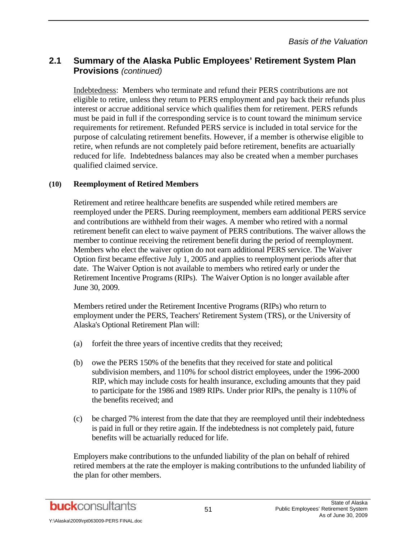Indebtedness: Members who terminate and refund their PERS contributions are not eligible to retire, unless they return to PERS employment and pay back their refunds plus interest or accrue additional service which qualifies them for retirement. PERS refunds must be paid in full if the corresponding service is to count toward the minimum service requirements for retirement. Refunded PERS service is included in total service for the purpose of calculating retirement benefits. However, if a member is otherwise eligible to retire, when refunds are not completely paid before retirement, benefits are actuarially reduced for life. Indebtedness balances may also be created when a member purchases qualified claimed service.

#### **(10) Reemployment of Retired Members**

Retirement and retiree healthcare benefits are suspended while retired members are reemployed under the PERS. During reemployment, members earn additional PERS service and contributions are withheld from their wages. A member who retired with a normal retirement benefit can elect to waive payment of PERS contributions. The waiver allows the member to continue receiving the retirement benefit during the period of reemployment. Members who elect the waiver option do not earn additional PERS service. The Waiver Option first became effective July 1, 2005 and applies to reemployment periods after that date. The Waiver Option is not available to members who retired early or under the Retirement Incentive Programs (RIPs). The Waiver Option is no longer available after June 30, 2009.

Members retired under the Retirement Incentive Programs (RIPs) who return to employment under the PERS, Teachers' Retirement System (TRS), or the University of Alaska's Optional Retirement Plan will:

- (a) forfeit the three years of incentive credits that they received;
- (b) owe the PERS 150% of the benefits that they received for state and political subdivision members, and 110% for school district employees, under the 1996-2000 RIP, which may include costs for health insurance, excluding amounts that they paid to participate for the 1986 and 1989 RIPs. Under prior RIPs, the penalty is 110% of the benefits received; and
- (c) be charged 7% interest from the date that they are reemployed until their indebtedness is paid in full or they retire again. If the indebtedness is not completely paid, future benefits will be actuarially reduced for life.

Employers make contributions to the unfunded liability of the plan on behalf of rehired retired members at the rate the employer is making contributions to the unfunded liability of the plan for other members.

**buck**consultants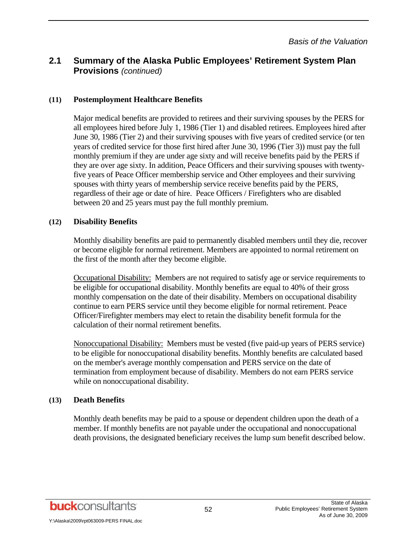#### **(11) Postemployment Healthcare Benefits**

Major medical benefits are provided to retirees and their surviving spouses by the PERS for all employees hired before July 1, 1986 (Tier 1) and disabled retirees. Employees hired after June 30, 1986 (Tier 2) and their surviving spouses with five years of credited service (or ten years of credited service for those first hired after June 30, 1996 (Tier 3)) must pay the full monthly premium if they are under age sixty and will receive benefits paid by the PERS if they are over age sixty. In addition, Peace Officers and their surviving spouses with twentyfive years of Peace Officer membership service and Other employees and their surviving spouses with thirty years of membership service receive benefits paid by the PERS, regardless of their age or date of hire. Peace Officers / Firefighters who are disabled between 20 and 25 years must pay the full monthly premium.

#### **(12) Disability Benefits**

Monthly disability benefits are paid to permanently disabled members until they die, recover or become eligible for normal retirement. Members are appointed to normal retirement on the first of the month after they become eligible.

Occupational Disability: Members are not required to satisfy age or service requirements to be eligible for occupational disability. Monthly benefits are equal to 40% of their gross monthly compensation on the date of their disability. Members on occupational disability continue to earn PERS service until they become eligible for normal retirement. Peace Officer/Firefighter members may elect to retain the disability benefit formula for the calculation of their normal retirement benefits.

Nonoccupational Disability: Members must be vested (five paid-up years of PERS service) to be eligible for nonoccupational disability benefits. Monthly benefits are calculated based on the member's average monthly compensation and PERS service on the date of termination from employment because of disability. Members do not earn PERS service while on nonoccupational disability.

#### **(13) Death Benefits**

Monthly death benefits may be paid to a spouse or dependent children upon the death of a member. If monthly benefits are not payable under the occupational and nonoccupational death provisions, the designated beneficiary receives the lump sum benefit described below.

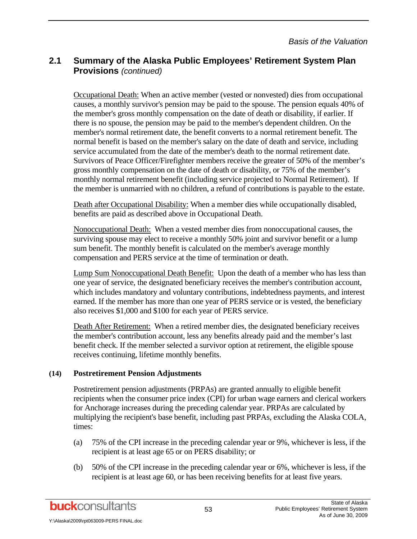Occupational Death: When an active member (vested or nonvested) dies from occupational causes, a monthly survivor's pension may be paid to the spouse. The pension equals 40% of the member's gross monthly compensation on the date of death or disability, if earlier. If there is no spouse, the pension may be paid to the member's dependent children. On the member's normal retirement date, the benefit converts to a normal retirement benefit. The normal benefit is based on the member's salary on the date of death and service, including service accumulated from the date of the member's death to the normal retirement date. Survivors of Peace Officer/Firefighter members receive the greater of 50% of the member's gross monthly compensation on the date of death or disability, or 75% of the member's monthly normal retirement benefit (including service projected to Normal Retirement). If the member is unmarried with no children, a refund of contributions is payable to the estate.

Death after Occupational Disability: When a member dies while occupationally disabled, benefits are paid as described above in Occupational Death.

Nonoccupational Death: When a vested member dies from nonoccupational causes, the surviving spouse may elect to receive a monthly 50% joint and survivor benefit or a lump sum benefit. The monthly benefit is calculated on the member's average monthly compensation and PERS service at the time of termination or death.

Lump Sum Nonoccupational Death Benefit: Upon the death of a member who has less than one year of service, the designated beneficiary receives the member's contribution account, which includes mandatory and voluntary contributions, indebtedness payments, and interest earned. If the member has more than one year of PERS service or is vested, the beneficiary also receives \$1,000 and \$100 for each year of PERS service.

Death After Retirement: When a retired member dies, the designated beneficiary receives the member's contribution account, less any benefits already paid and the member's last benefit check. If the member selected a survivor option at retirement, the eligible spouse receives continuing, lifetime monthly benefits.

#### **(14) Postretirement Pension Adjustments**

Postretirement pension adjustments (PRPAs) are granted annually to eligible benefit recipients when the consumer price index (CPI) for urban wage earners and clerical workers for Anchorage increases during the preceding calendar year. PRPAs are calculated by multiplying the recipient's base benefit, including past PRPAs, excluding the Alaska COLA, times:

- (a) 75% of the CPI increase in the preceding calendar year or 9%, whichever is less, if the recipient is at least age 65 or on PERS disability; or
- (b) 50% of the CPI increase in the preceding calendar year or 6%, whichever is less, if the recipient is at least age 60, or has been receiving benefits for at least five years.

**buck**consultants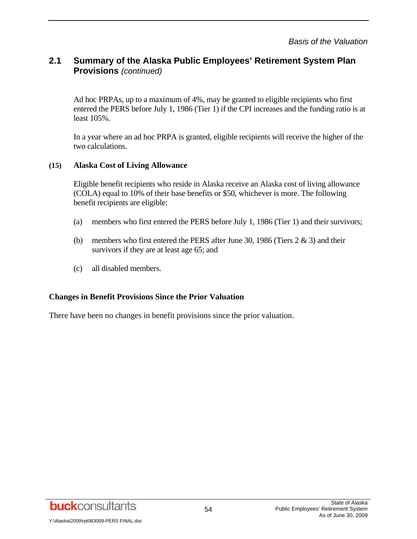Ad hoc PRPAs, up to a maximum of 4%, may be granted to eligible recipients who first entered the PERS before July 1, 1986 (Tier 1) if the CPI increases and the funding ratio is at least 105%.

In a year where an ad hoc PRPA is granted, eligible recipients will receive the higher of the two calculations.

#### **(15) Alaska Cost of Living Allowance**

Eligible benefit recipients who reside in Alaska receive an Alaska cost of living allowance (COLA) equal to 10% of their base benefits or \$50, whichever is more. The following benefit recipients are eligible:

- (a) members who first entered the PERS before July 1, 1986 (Tier 1) and their survivors;
- (b) members who first entered the PERS after June 30, 1986 (Tiers  $2 \& 3$ ) and their survivors if they are at least age 65; and
- (c) all disabled members.

#### **Changes in Benefit Provisions Since the Prior Valuation**

There have been no changes in benefit provisions since the prior valuation.

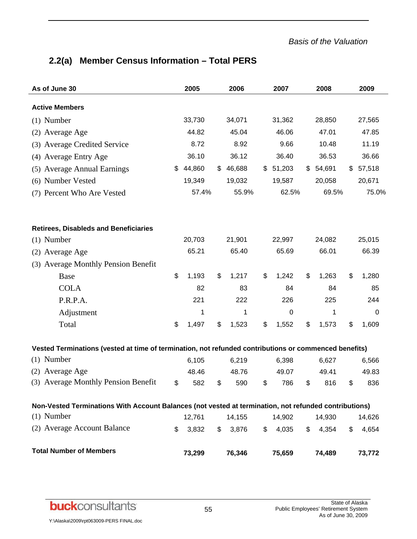# **2.2(a) Member Census Information – Total PERS**

| As of June 30                                                                                         | 2005         |               | 2006   | 2007        | 2008        | 2009        |
|-------------------------------------------------------------------------------------------------------|--------------|---------------|--------|-------------|-------------|-------------|
| <b>Active Members</b>                                                                                 |              |               |        |             |             |             |
| $(1)$ Number                                                                                          | 33,730       |               | 34,071 | 31,362      | 28,850      | 27,565      |
| (2) Average Age                                                                                       | 44.82        |               | 45.04  | 46.06       | 47.01       | 47.85       |
| (3) Average Credited Service                                                                          | 8.72         |               | 8.92   | 9.66        | 10.48       | 11.19       |
| (4) Average Entry Age                                                                                 | 36.10        |               | 36.12  | 36.40       | 36.53       | 36.66       |
| (5) Average Annual Earnings                                                                           | \$<br>44,860 | \$            | 46,688 | \$51,203    | \$54,691    | \$57,518    |
| (6) Number Vested                                                                                     | 19,349       |               | 19,032 | 19,587      | 20,058      | 20,671      |
| (7) Percent Who Are Vested                                                                            | 57.4%        |               | 55.9%  | 62.5%       | 69.5%       | 75.0%       |
| <b>Retirees, Disableds and Beneficiaries</b>                                                          |              |               |        |             |             |             |
| $(1)$ Number                                                                                          | 20,703       |               | 21,901 | 22,997      | 24,082      | 25,015      |
| (2) Average Age                                                                                       | 65.21        |               | 65.40  | 65.69       | 66.01       | 66.39       |
| (3) Average Monthly Pension Benefit                                                                   |              |               |        |             |             |             |
| Base                                                                                                  | \$<br>1,193  | \$            | 1,217  | \$<br>1,242 | \$<br>1,263 | \$<br>1,280 |
| <b>COLA</b>                                                                                           | 82           |               | 83     | 84          | 84          | 85          |
| P.R.P.A.                                                                                              | 221          |               | 222    | 226         | 225         | 244         |
| Adjustment                                                                                            | 1            |               | 1      | $\pmb{0}$   | 1           | 0           |
| Total                                                                                                 | \$<br>1,497  | \$            | 1,523  | \$<br>1,552 | \$<br>1,573 | \$<br>1,609 |
| Vested Terminations (vested at time of termination, not refunded contributions or commenced benefits) |              |               |        |             |             |             |
| Number<br>(1)                                                                                         | 6,105        |               | 6,219  | 6,398       | 6,627       | 6,566       |
| (2) Average Age                                                                                       | 48.46        |               | 48.76  | 49.07       | 49.41       | 49.83       |
| (3) Average Monthly Pension Benefit                                                                   | \$<br>582    | \$            | 590    | \$<br>786   | \$<br>816   | \$<br>836   |
| Non-Vested Terminations With Account Balances (not vested at termination, not refunded contributions) |              |               |        |             |             |             |
| $(1)$ Number                                                                                          | 12,761       |               | 14,155 | 14,902      | 14,930      | 14,626      |
| (2) Average Account Balance                                                                           | \$<br>3,832  | $\mathsf{\$}$ | 3,876  | \$<br>4,035 | \$<br>4,354 | \$<br>4,654 |
| <b>Total Number of Members</b>                                                                        | 73,299       |               | 76,346 | 75,659      | 74,489      | 73,772      |



Y:\Alaska\2009\rpt063009-PERS FINAL.doc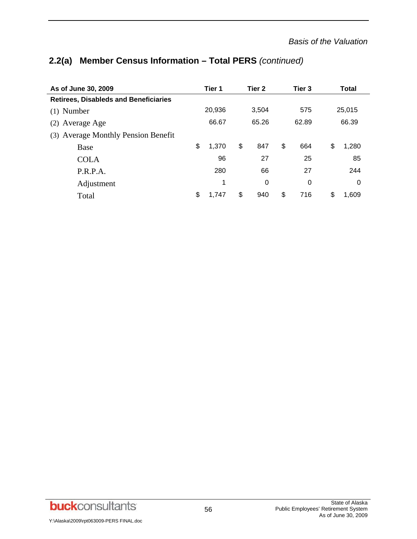# **2.2(a) Member Census Information – Total PERS** *(continued)*

| As of June 30, 2009                           |    | Tier 1 |       | Tier 2   |     | Tier 3   | Total  |       |  |
|-----------------------------------------------|----|--------|-------|----------|-----|----------|--------|-------|--|
| <b>Retirees, Disableds and Beneficiaries</b>  |    |        |       |          |     |          |        |       |  |
| $(1)$ Number                                  |    | 20,936 | 3,504 |          | 575 |          | 25,015 |       |  |
| Average Age<br>(2)                            |    | 66.67  | 65.26 |          |     | 62.89    |        | 66.39 |  |
| <b>Average Monthly Pension Benefit</b><br>(3) |    |        |       |          |     |          |        |       |  |
| Base                                          | \$ | 1,370  | \$    | 847      | \$  | 664      | \$     | 1,280 |  |
| <b>COLA</b>                                   |    | 96     |       | 27       |     | 25       |        | 85    |  |
| P.R.P.A.                                      |    | 280    |       | 66       |     | 27       |        | 244   |  |
| Adjustment                                    |    | 1      |       | $\Omega$ |     | $\Omega$ |        | 0     |  |
| Total                                         | \$ | 1.747  | \$    | 940      | \$  | 716      | \$     | 1.609 |  |

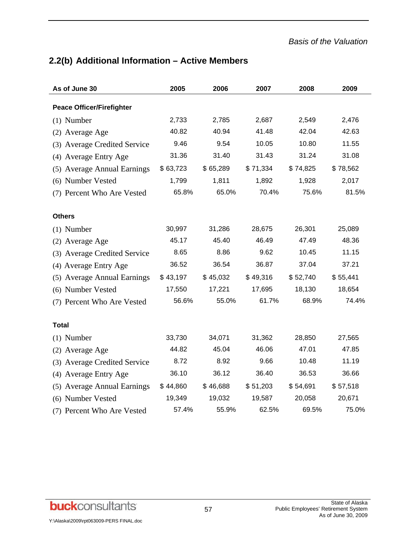# **2.2(b) Additional Information – Active Members**

| As of June 30                    | 2005     | 2006     | 2007     | 2008     | 2009     |
|----------------------------------|----------|----------|----------|----------|----------|
| <b>Peace Officer/Firefighter</b> |          |          |          |          |          |
| $(1)$ Number                     | 2,733    | 2,785    | 2,687    | 2,549    | 2,476    |
| (2) Average Age                  | 40.82    | 40.94    | 41.48    | 42.04    | 42.63    |
| (3) Average Credited Service     | 9.46     | 9.54     | 10.05    | 10.80    | 11.55    |
| (4) Average Entry Age            | 31.36    | 31.40    | 31.43    | 31.24    | 31.08    |
| (5) Average Annual Earnings      | \$63,723 | \$65,289 | \$71,334 | \$74,825 | \$78,562 |
| (6) Number Vested                | 1,799    | 1,811    | 1,892    | 1,928    | 2,017    |
| (7) Percent Who Are Vested       | 65.8%    | 65.0%    | 70.4%    | 75.6%    | 81.5%    |
| <b>Others</b>                    |          |          |          |          |          |
| $(1)$ Number                     | 30,997   | 31,286   | 28,675   | 26,301   | 25,089   |
| (2) Average Age                  | 45.17    | 45.40    | 46.49    | 47.49    | 48.36    |
| (3) Average Credited Service     | 8.65     | 8.86     | 9.62     | 10.45    | 11.15    |
| (4) Average Entry Age            | 36.52    | 36.54    | 36.87    | 37.04    | 37.21    |
| (5) Average Annual Earnings      | \$43,197 | \$45,032 | \$49,316 | \$52,740 | \$55,441 |
| (6) Number Vested                | 17,550   | 17,221   | 17,695   | 18,130   | 18,654   |
| (7) Percent Who Are Vested       | 56.6%    | 55.0%    | 61.7%    | 68.9%    | 74.4%    |
| <b>Total</b>                     |          |          |          |          |          |
| $(1)$ Number                     | 33,730   | 34,071   | 31,362   | 28,850   | 27,565   |
| (2) Average Age                  | 44.82    | 45.04    | 46.06    | 47.01    | 47.85    |
| (3) Average Credited Service     | 8.72     | 8.92     | 9.66     | 10.48    | 11.19    |
| (4) Average Entry Age            | 36.10    | 36.12    | 36.40    | 36.53    | 36.66    |
| (5) Average Annual Earnings      | \$44,860 | \$46,688 | \$51,203 | \$54,691 | \$57,518 |
| (6) Number Vested                | 19,349   | 19,032   | 19,587   | 20,058   | 20,671   |
| (7) Percent Who Are Vested       | 57.4%    | 55.9%    | 62.5%    | 69.5%    | 75.0%    |

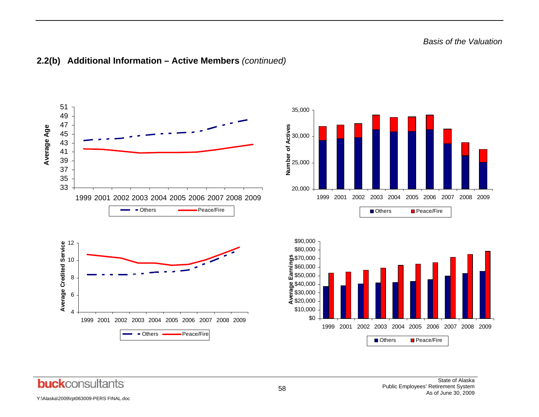

#### **2.2(b) Additional Information – Active Members** *(continued)*

**buck**consultants

Y:\Alaska\2009\rpt063009-PERS FINAL.doc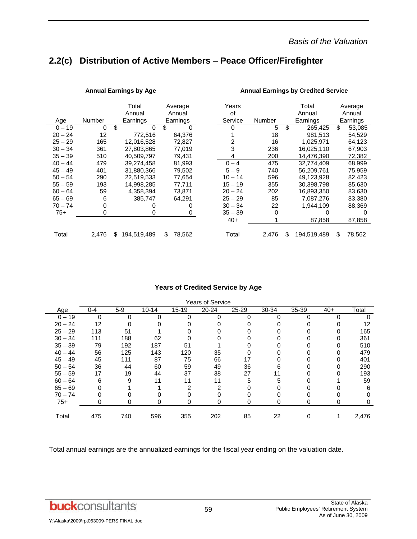# **2.2(c) Distribution of Active Members** – **Peace Officer/Firefighter**

|           |        | Total             | Average      | Years     |          | Total             | Average      |
|-----------|--------|-------------------|--------------|-----------|----------|-------------------|--------------|
|           |        | Annual            | Annual       | of        |          | Annual            | Annual       |
| Age       | Number | Earnings          | Earnings     | Service   | Number   | Earnings          | Earnings     |
| $0 - 19$  | 0      | \$<br>0           | \$<br>0      | $\Omega$  | 5        | \$<br>265,425     | \$<br>53,085 |
| $20 - 24$ | 12     | 772.516           | 64.376       |           | 18       | 981.513           | 54.529       |
| $25 - 29$ | 165    | 12,016,528        | 72,827       | 2         | 16       | 1,025,971         | 64,123       |
| $30 - 34$ | 361    | 27,803,865        | 77,019       | 3         | 236      | 16,025,110        | 67,903       |
| $35 - 39$ | 510    | 40,509,797        | 79,431       | 4         | 200      | 14,476,390        | 72,382       |
| $40 - 44$ | 479    | 39,274,458        | 81,993       | $0 - 4$   | 475      | 32,774,409        | 68,999       |
| $45 - 49$ | 401    | 31.880.366        | 79.502       | $5 - 9$   | 740      | 56.209.761        | 75.959       |
| $50 - 54$ | 290    | 22.519.533        | 77,654       | $10 - 14$ | 596      | 49.123.928        | 82,423       |
| $55 - 59$ | 193    | 14,998,285        | 77,711       | $15 - 19$ | 355      | 30,398,798        | 85,630       |
| $60 - 64$ | 59     | 4,358,394         | 73.871       | $20 - 24$ | 202      | 16,893,350        | 83,630       |
| $65 - 69$ | 6      | 385,747           | 64.291       | $25 - 29$ | 85       | 7,087,276         | 83,380       |
| $70 - 74$ | 0      | 0                 | 0            | $30 - 34$ | 22       | 1,944,109         | 88,369       |
| $75+$     | 0      | 0                 | 0            | $35 - 39$ | $\Omega$ | 0                 | 0            |
|           |        |                   |              | $40+$     |          | 87,858            | 87,858       |
| Total     | 2,476  | 194,519,489<br>\$ | 78,562<br>\$ | Total     | 2,476    | \$<br>194,519,489 | \$<br>78,562 |
|           |        |                   |              |           |          |                   |              |

#### Annual Earnings by Age **Annual Earnings by Credited Service Annual Earnings by Credited Service**

#### **Years of Credited Service by Age**

| <b>Years of Service</b> |         |       |           |           |           |       |       |       |       |       |  |
|-------------------------|---------|-------|-----------|-----------|-----------|-------|-------|-------|-------|-------|--|
| Age                     | $0 - 4$ | $5-9$ | $10 - 14$ | $15 - 19$ | $20 - 24$ | 25-29 | 30-34 | 35-39 | $40+$ | Total |  |
| $0 - 19$                | 0       | 0     |           | O         | 0         | 0     |       |       |       |       |  |
| $20 - 24$               | 12      |       |           |           |           |       |       |       |       | 12    |  |
| $25 - 29$               | 113     | 51    |           |           |           |       |       |       |       | 165   |  |
| $30 - 34$               | 111     | 188   | 62        |           |           |       |       |       |       | 361   |  |
| $35 - 39$               | 79      | 192   | 187       | 51        |           |       |       |       |       | 510   |  |
| $40 - 44$               | 56      | 125   | 143       | 120       | 35        |       |       |       |       | 479   |  |
| $45 - 49$               | 45      | 111   | 87        | 75        | 66        | 17    |       |       |       | 401   |  |
| $50 - 54$               | 36      | 44    | 60        | 59        | 49        | 36    | 6     |       |       | 290   |  |
| $55 - 59$               | 17      | 19    | 44        | 37        | 38        | 27    |       |       |       | 193   |  |
| $60 - 64$               | 6       | 9     | 11        | 11        | 11        | 5     | 5     |       |       | 59    |  |
| $65 - 69$               |         |       |           | 2         | 2         |       |       |       |       | 6     |  |
| $70 - 74$               |         |       |           |           |           |       |       |       |       |       |  |
| $75+$                   | 0       | 0     | 0         | 0         | 0         | 0     | 0     | 0     | 0     | 0     |  |
| Total                   | 475     | 740   | 596       | 355       | 202       | 85    | 22    |       |       | 2,476 |  |

Total annual earnings are the annualized earnings for the fiscal year ending on the valuation date.

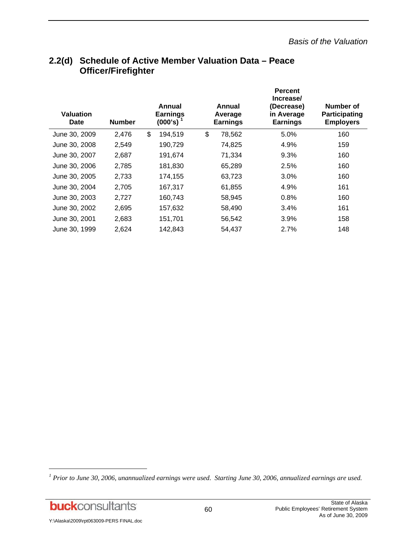| <b>Valuation</b><br>Date | <b>Number</b> | Annual<br><b>Earnings</b><br>$(000's)$ <sup>1</sup> | Annual<br>Average<br><b>Earnings</b> | <b>Percent</b><br>Increase/<br>(Decrease)<br>in Average<br><b>Earnings</b> | Number of<br>Participating<br><b>Employers</b> |
|--------------------------|---------------|-----------------------------------------------------|--------------------------------------|----------------------------------------------------------------------------|------------------------------------------------|
| June 30, 2009            | 2,476         | \$<br>194,519                                       | \$<br>78,562                         | 5.0%                                                                       | 160                                            |
| June 30, 2008            | 2,549         | 190,729                                             | 74,825                               | 4.9%                                                                       | 159                                            |
| June 30, 2007            | 2,687         | 191,674                                             | 71,334                               | 9.3%                                                                       | 160                                            |
| June 30, 2006            | 2,785         | 181,830                                             | 65,289                               | 2.5%                                                                       | 160                                            |
| June 30, 2005            | 2,733         | 174,155                                             | 63,723                               | 3.0%                                                                       | 160                                            |
| June 30, 2004            | 2,705         | 167,317                                             | 61,855                               | 4.9%                                                                       | 161                                            |
| June 30, 2003            | 2,727         | 160,743                                             | 58,945                               | 0.8%                                                                       | 160                                            |
| June 30, 2002            | 2,695         | 157,632                                             | 58,490                               | 3.4%                                                                       | 161                                            |
| June 30, 2001            | 2,683         | 151,701                                             | 56,542                               | 3.9%                                                                       | 158                                            |
| June 30, 1999            | 2,624         | 142,843                                             | 54,437                               | 2.7%                                                                       | 148                                            |

## **2.2(d) Schedule of Active Member Valuation Data – Peace Officer/Firefighter**

**buck**consultants

l

<sup>&</sup>lt;sup>1</sup> Prior to June 30, 2006, unannualized earnings were used. Starting June 30, 2006, annualized earnings are used.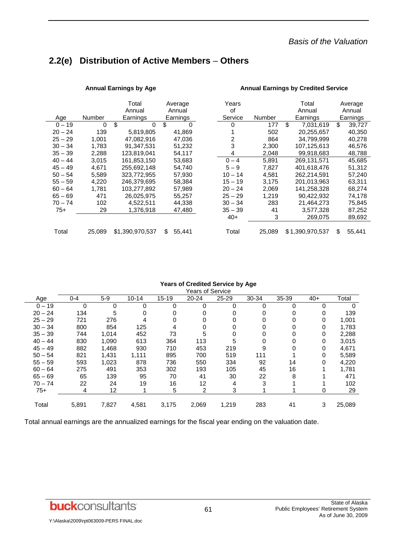## **2.2(e) Distribution of Active Members** – **Others**

|           |        | Total<br>Annual | Average<br>Annual | Years<br>οf |        | Total<br>Annual | Average<br>Annual |
|-----------|--------|-----------------|-------------------|-------------|--------|-----------------|-------------------|
| Age       | Number | Earnings        | Earnings          | Service     | Number | Earnings        | Earnings          |
| $0 - 19$  | 0      | \$<br>$\Omega$  | \$<br>0           | 0           | 177    | \$<br>7,031,619 | \$<br>39,727      |
| $20 - 24$ | 139    | 5,819,805       | 41,869            |             | 502    | 20,255,657      | 40,350            |
| $25 - 29$ | 1,001  | 47,082,916      | 47,036            | 2           | 864    | 34,799,999      | 40,278            |
| $30 - 34$ | 1,783  | 91,347,531      | 51,232            | 3           | 2,300  | 107,125,613     | 46,576            |
| $35 - 39$ | 2,288  | 123,819,041     | 54,117            | 4           | 2,048  | 99,918,683      | 48,788            |
| $40 - 44$ | 3,015  | 161,853,150     | 53,683            | $0 - 4$     | 5,891  | 269,131,571     | 45,685            |
| $45 - 49$ | 4.671  | 255,692,148     | 54.740            | $5 - 9$     | 7.827  | 401,618,476     | 51,312            |
| $50 - 54$ | 5.589  | 323.772.955     | 57,930            | $10 - 14$   | 4.581  | 262.214.591     | 57,240            |
| $55 - 59$ | 4.220  | 246.379.695     | 58,384            | $15 - 19$   | 3.175  | 201.013.963     | 63,311            |
| $60 - 64$ | 1,781  | 103,277,892     | 57,989            | $20 - 24$   | 2,069  | 141,258,328     | 68,274            |
| $65 - 69$ | 471    | 26.025.975      | 55.257            | $25 - 29$   | 1.219  | 90.422.932      | 74,178            |
| $70 - 74$ | 102    | 4,522,511       | 44,338            | $30 - 34$   | 283    | 21,464,273      | 75,845            |
| 75+       | 29     | 1,376,918       | 47,480            | $35 - 39$   | 41     | 3,577,328       | 87,252            |
|           |        |                 |                   | $40+$       | 3      | 269.075         | 89,692            |
| Total     | 25,089 | \$1,390,970,537 | 55,441<br>\$.     | Total       | 25,089 | \$1,390,970,537 | \$<br>55,441      |

#### Annual Earnings by Age **Annual Earnings by Credited Service Annual Earnings by Credited Service**

#### **Years of Credited Service by Age**

|           | Years of Service |       |           |           |       |           |       |          |       |          |  |  |  |  |
|-----------|------------------|-------|-----------|-----------|-------|-----------|-------|----------|-------|----------|--|--|--|--|
| Age       | $0 - 4$          | $5-9$ | $10 - 14$ | $15 - 19$ | 20-24 | $25 - 29$ | 30-34 | 35-39    | $40+$ | Total    |  |  |  |  |
| $0 - 19$  | $\Omega$         | 0     | 0         | 0         | 0     | 0         | 0     | $\Omega$ | 0     | $\Omega$ |  |  |  |  |
| $20 - 24$ | 134              | 5     | 0         | 0         | 0     | 0         | 0     | 0        | 0     | 139      |  |  |  |  |
| $25 - 29$ | 721              | 276   | 4         |           | 0     |           | 0     | 0        | 0     | 1,001    |  |  |  |  |
| $30 - 34$ | 800              | 854   | 125       | 4         | 0     |           | 0     | 0        | 0     | 1,783    |  |  |  |  |
| $35 - 39$ | 744              | 1,014 | 452       | 73        | 5     | 0         | 0     | 0        | 0     | 2,288    |  |  |  |  |
| $40 - 44$ | 830              | 1,090 | 613       | 364       | 113   | 5         | 0     | 0        | 0     | 3,015    |  |  |  |  |
| $45 - 49$ | 882              | 1,468 | 930       | 710       | 453   | 219       | 9     | 0        | 0     | 4,671    |  |  |  |  |
| $50 - 54$ | 821              | 1,431 | 1.111     | 895       | 700   | 519       | 111   |          |       | 5,589    |  |  |  |  |
| $55 - 59$ | 593              | 1,023 | 878       | 736       | 550   | 334       | 92    | 14       | 0     | 4,220    |  |  |  |  |
| $60 - 64$ | 275              | 491   | 353       | 302       | 193   | 105       | 45    | 16       |       | 1,781    |  |  |  |  |
| $65 - 69$ | 65               | 139   | 95        | 70        | 41    | 30        | 22    | 8        |       | 471      |  |  |  |  |
| $70 - 74$ | 22               | 24    | 19        | 16        | 12    | 4         | 3     |          |       | 102      |  |  |  |  |
| $75+$     | 4                | 12    |           | 5         | 2     | 3         |       |          | 0     | 29       |  |  |  |  |
| Total     | 5,891            | 7,827 | 4,581     | 3,175     | 2,069 | 1,219     | 283   | 41       | 3     | 25,089   |  |  |  |  |

Total annual earnings are the annualized earnings for the fiscal year ending on the valuation date.

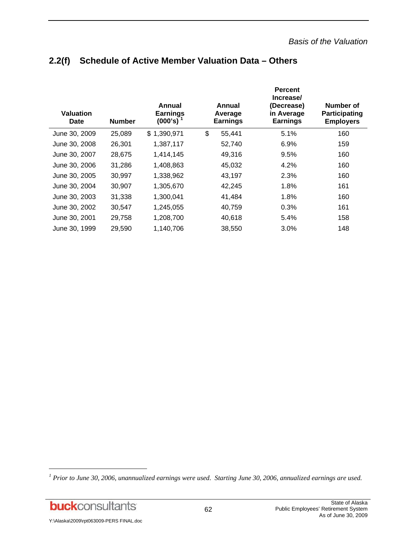| <b>Valuation</b><br><b>Date</b> | <b>Number</b> | Annual<br><b>Earnings</b><br>$(000's)$ <sup>1</sup> | Annual<br>Average<br><b>Earnings</b> | <b>Percent</b><br>Increase/<br>(Decrease)<br>in Average<br><b>Earnings</b> | Number of<br>Participating<br><b>Employers</b> |
|---------------------------------|---------------|-----------------------------------------------------|--------------------------------------|----------------------------------------------------------------------------|------------------------------------------------|
| June 30, 2009                   | 25,089        | \$1,390,971                                         | \$<br>55,441                         | 5.1%                                                                       | 160                                            |
| June 30, 2008                   | 26,301        | 1,387,117                                           | 52,740                               | 6.9%                                                                       | 159                                            |
| June 30, 2007                   | 28,675        | 1,414,145                                           | 49,316                               | 9.5%                                                                       | 160                                            |
| June 30, 2006                   | 31,286        | 1,408,863                                           | 45,032                               | 4.2%                                                                       | 160                                            |
| June 30, 2005                   | 30,997        | 1,338,962                                           | 43,197                               | 2.3%                                                                       | 160                                            |
| June 30, 2004                   | 30,907        | 1,305,670                                           | 42,245                               | 1.8%                                                                       | 161                                            |
| June 30, 2003                   | 31,338        | 1,300,041                                           | 41,484                               | 1.8%                                                                       | 160                                            |
| June 30, 2002                   | 30,547        | 1,245,055                                           | 40,759                               | 0.3%                                                                       | 161                                            |
| June 30, 2001                   | 29,758        | 1,208,700                                           | 40,618                               | 5.4%                                                                       | 158                                            |
| June 30, 1999                   | 29,590        | 1,140,706                                           | 38,550                               | 3.0%                                                                       | 148                                            |

## **2.2(f) Schedule of Active Member Valuation Data – Others**

**buck**consultants

l

<sup>&</sup>lt;sup>1</sup> Prior to June 30, 2006, unannualized earnings were used. Starting June 30, 2006, annualized earnings are used.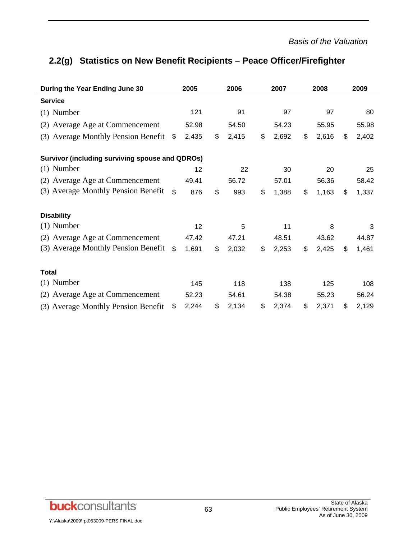# **2.2(g) Statistics on New Benefit Recipients – Peace Officer/Firefighter**

| During the Year Ending June 30                  | 2005           |       | 2006 |       | 2007        | 2008        | 2009 |       |  |
|-------------------------------------------------|----------------|-------|------|-------|-------------|-------------|------|-------|--|
| <b>Service</b>                                  |                |       |      |       |             |             |      |       |  |
| $(1)$ Number                                    |                | 121   |      | 91    | 97          | 97          |      | 80    |  |
| (2) Average Age at Commencement                 |                | 52.98 |      | 54.50 | 54.23       | 55.95       |      | 55.98 |  |
| (3) Average Monthly Pension Benefit             | \$             | 2,435 | \$   | 2,415 | \$<br>2,692 | \$<br>2,616 | \$   | 2,402 |  |
| Survivor (including surviving spouse and QDROs) |                |       |      |       |             |             |      |       |  |
| $(1)$ Number                                    |                | 12    |      | 22    | 30          | 20          |      | 25    |  |
| (2) Average Age at Commencement                 |                | 49.41 |      | 56.72 | 57.01       | 56.36       |      | 58.42 |  |
| (3) Average Monthly Pension Benefit             | -\$            | 876   | \$   | 993   | \$<br>1,388 | \$<br>1,163 | \$   | 1,337 |  |
| <b>Disability</b>                               |                |       |      |       |             |             |      |       |  |
| $(1)$ Number                                    |                | 12    |      | 5     | 11          | 8           |      | 3     |  |
| (2) Average Age at Commencement                 |                | 47.42 |      | 47.21 | 48.51       | 43.62       |      | 44.87 |  |
| (3) Average Monthly Pension Benefit             | $\mathfrak{L}$ | 1,691 | \$   | 2,032 | \$<br>2,253 | \$<br>2,425 | \$   | 1,461 |  |
| <b>Total</b>                                    |                |       |      |       |             |             |      |       |  |
| $(1)$ Number                                    |                | 145   |      | 118   | 138         | 125         |      | 108   |  |
| (2) Average Age at Commencement                 |                | 52.23 |      | 54.61 | 54.38       | 55.23       |      | 56.24 |  |
| (3) Average Monthly Pension Benefit             | \$             | 2,244 | \$   | 2,134 | \$<br>2,374 | \$<br>2,371 | \$   | 2,129 |  |

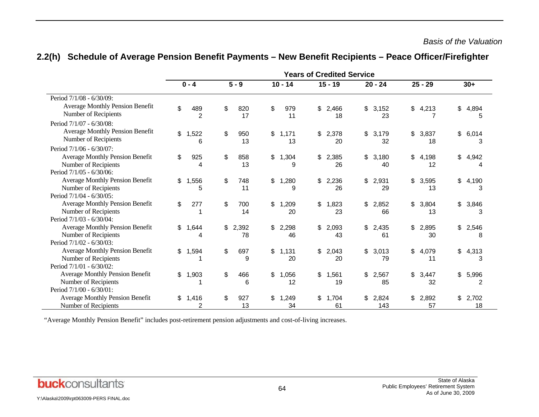|                                                                                            | <b>Years of Credited Service</b> |                       |         |             |                |               |                |             |    |              |    |             |    |                         |
|--------------------------------------------------------------------------------------------|----------------------------------|-----------------------|---------|-------------|----------------|---------------|----------------|-------------|----|--------------|----|-------------|----|-------------------------|
|                                                                                            | $0 - 4$                          |                       | $5 - 9$ |             |                | $10 - 14$     |                | $15 - 19$   |    | $20 - 24$    |    | $25 - 29$   |    | $30+$                   |
| Period 7/1/08 - 6/30/09:                                                                   |                                  |                       |         |             |                |               |                |             |    |              |    |             |    |                         |
| <b>Average Monthly Pension Benefit</b><br>Number of Recipients                             | \$                               | 489<br>$\overline{2}$ | \$      | 820<br>17   | \$             | 979<br>11     | \$             | 2,466<br>18 | \$ | 3,152<br>23  | \$ | 4,213       | \$ | 4,894<br>5              |
| Period 7/1/07 - 6/30/08:                                                                   |                                  |                       |         |             |                |               |                |             |    |              |    |             |    |                         |
| <b>Average Monthly Pension Benefit</b><br>Number of Recipients                             | \$                               | 1,522<br>6            | \$      | 950<br>13   |                | \$1,171<br>13 | \$             | 2,378<br>20 | \$ | 3,179<br>32  | \$ | 3,837<br>18 | \$ | 6,014<br>3              |
| Period 7/1/06 - 6/30/07:                                                                   |                                  |                       |         |             |                |               |                |             |    |              |    |             |    |                         |
| <b>Average Monthly Pension Benefit</b><br>Number of Recipients<br>Period 7/1/05 - 6/30/06: | \$                               | 925<br>4              | \$      | 858<br>13   | \$             | 1,304<br>9    | \$             | 2,385<br>26 | \$ | 3,180<br>40  | \$ | 4,198<br>12 | \$ | 4,942<br>4              |
| <b>Average Monthly Pension Benefit</b><br>Number of Recipients                             | \$                               | 1,556<br>5            | \$      | 748<br>11   | \$             | 1,280<br>9    | \$             | 2,236<br>26 | \$ | 2,931<br>29  | \$ | 3,595<br>13 | \$ | 4,190<br>3              |
| Period 7/1/04 - 6/30/05:                                                                   |                                  |                       |         |             |                |               |                |             |    |              |    |             |    |                         |
| <b>Average Monthly Pension Benefit</b><br>Number of Recipients<br>Period 7/1/03 - 6/30/04: | \$                               | 277                   | \$      | 700<br>14   | \$             | 1,209<br>20   | \$             | 1,823<br>23 | \$ | 2,852<br>66  | \$ | 3,804<br>13 | \$ | 3,846<br>3              |
| <b>Average Monthly Pension Benefit</b>                                                     |                                  |                       |         |             |                |               |                |             |    |              |    |             |    |                         |
| Number of Recipients<br>Period 7/1/02 - 6/30/03:                                           | \$                               | 1,644                 | \$      | 2,392<br>78 | \$             | 2,298<br>46   | \$             | 2,093<br>43 | \$ | 2,435<br>61  | \$ | 2,895<br>30 | \$ | 2,546<br>8              |
| <b>Average Monthly Pension Benefit</b><br>Number of Recipients                             | \$                               | 1,594                 | \$      | 697<br>9    | $\mathfrak{S}$ | 1,131<br>20   | $\mathfrak{S}$ | 2,043<br>20 | \$ | 3,013<br>79  | \$ | 4,079<br>11 | \$ | 4,313<br>3              |
| Period 7/1/01 - 6/30/02:                                                                   |                                  |                       |         |             |                |               |                |             |    |              |    |             |    |                         |
| <b>Average Monthly Pension Benefit</b><br>Number of Recipients<br>Period 7/1/00 - 6/30/01: | \$                               | 1,903                 | \$      | 466<br>6    | \$             | 1,056<br>12   | \$             | 1,561<br>19 | \$ | 2,567<br>85  | \$ | 3,447<br>32 | \$ | 5,996<br>$\overline{2}$ |
| <b>Average Monthly Pension Benefit</b><br>Number of Recipients                             | \$                               | 1,416<br>2            | \$      | 927<br>13   | \$             | 1,249<br>34   | \$             | 1,704<br>61 | \$ | 2,824<br>143 | \$ | 2,892<br>57 | \$ | 2,702<br>18             |

## **2.2(h) Schedule of Average Pension Benefit Payments – New Benefit Recipients – Peace Officer/Firefighter**

"Average Monthly Pension Benefit" includes post-retirement pension adjustments and cost-of-living increases.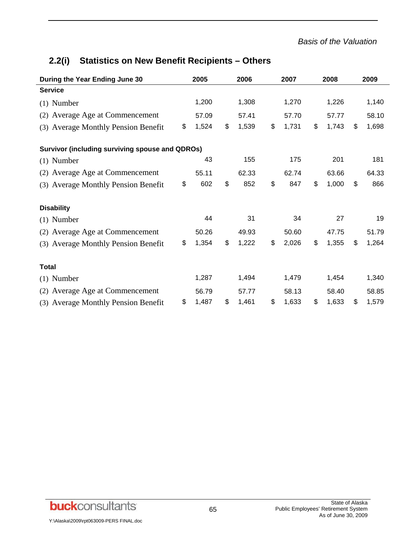#### *Basis of the Valuation*

# **2.2(i) Statistics on New Benefit Recipients – Others**

| During the Year Ending June 30                         | 2005 |       | 2006        |    | 2007  | 2008        | 2009 |       |  |
|--------------------------------------------------------|------|-------|-------------|----|-------|-------------|------|-------|--|
| <b>Service</b>                                         |      |       |             |    |       |             |      |       |  |
| $(1)$ Number                                           |      | 1,200 | 1,308       |    | 1,270 | 1,226       |      | 1,140 |  |
| (2) Average Age at Commencement                        |      | 57.09 | 57.41       |    | 57.70 | 57.77       |      | 58.10 |  |
| (3) Average Monthly Pension Benefit                    | \$   | 1,524 | \$<br>1,539 | \$ | 1,731 | \$<br>1,743 | \$   | 1,698 |  |
| <b>Survivor (including surviving spouse and QDROs)</b> |      |       |             |    |       |             |      |       |  |
| $(1)$ Number                                           |      | 43    | 155         |    | 175   | 201         |      | 181   |  |
| (2) Average Age at Commencement                        |      | 55.11 | 62.33       |    | 62.74 | 63.66       |      | 64.33 |  |
| (3) Average Monthly Pension Benefit                    | \$   | 602   | \$<br>852   | \$ | 847   | \$<br>1,000 | \$   | 866   |  |
| <b>Disability</b>                                      |      |       |             |    |       |             |      |       |  |
| $(1)$ Number                                           |      | 44    | 31          |    | 34    | 27          |      | 19    |  |
| (2) Average Age at Commencement                        |      | 50.26 | 49.93       |    | 50.60 | 47.75       |      | 51.79 |  |
| (3) Average Monthly Pension Benefit                    | \$   | 1,354 | \$<br>1,222 | \$ | 2,026 | \$<br>1,355 | \$   | 1,264 |  |
| <b>Total</b>                                           |      |       |             |    |       |             |      |       |  |
| $(1)$ Number                                           |      | 1,287 | 1,494       |    | 1,479 | 1,454       |      | 1,340 |  |
| (2) Average Age at Commencement                        |      | 56.79 | 57.77       |    | 58.13 | 58.40       |      | 58.85 |  |
| (3) Average Monthly Pension Benefit                    | \$   | 1,487 | \$<br>1,461 | \$ | 1,633 | \$<br>1,633 | \$   | 1,579 |  |

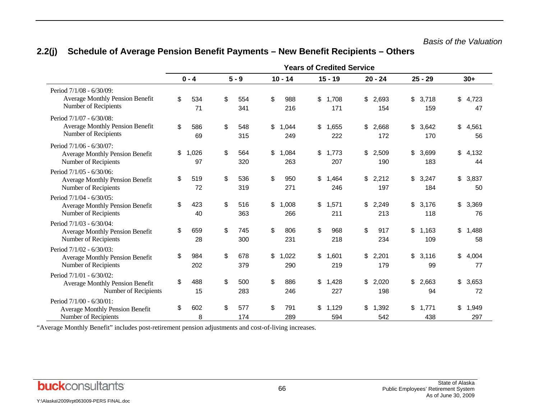#### **Years of Credited Service 0 - 4 5 - 9 10 - 14 15 - 19 20 - 24 25 - 29 30+** Period 7/1/08 - 6/30/09: Average Monthly Pension Benefit Number of Recipients \$ 534 71 \$ 554 341 \$ 988 216 \$ 1,708 171 \$ 2,693 154 \$ 3,718 159 \$ 4,723 47 Period 7/1/07 - 6/30/08: Average Monthly Pension Benefit Number of Recipients \$ 586 69 \$ 548 315 \$ 1,044 249 \$ 1,655 222 \$ 2,668 172 \$ 3,642 170 \$ 4,561 56 Period 7/1/06 - 6/30/07: Average Monthly Pension Benefit Number of Recipients \$ 1,026 97 \$ 564 320 \$ 1,084 263 \$ 1,773 207 \$ 2,509 190 \$ 3,699 183 \$ 4,132 44 Period 7/1/05 - 6/30/06: Average Monthly Pension Benefit Number of Recipients \$ 519 72 \$ 536 319 \$ 950 271 \$ 1,464 246 \$ 2,212 197 \$ 3,247 184 \$ 3,837 50 Period 7/1/04 - 6/30/05: Average Monthly Pension Benefit Number of Recipients \$ 423 40 \$ 516 363 \$ 1,008 266 \$ 1,571 211 \$ 2,249 213 \$ 3,176 118 \$ 3,369 76 Period 7/1/03 - 6/30/04: Average Monthly Pension Benefit Number of Recipients \$ 659 28 \$ 745 300 \$ 806 231 \$ 968 218 \$ 917 234 \$ 1,163 109 \$ 1,488 58 Period 7/1/02 - 6/30/03: Average Monthly Pension Benefit Number of Recipients \$ 984 202 \$ 678 379 \$ 1,022 290 \$ 1,601 219 \$ 2,201 179 \$ 3,116 99 \$ 4,004 77 Period 7/1/01 - 6/30/02: Average Monthly Pension Benefit Number of Recipients \$ 488 15 \$ 500 283 \$ 886 246 \$ 1,428 227 \$ 2,020 198 \$ 2,663 94 \$ 3,653 72 Period 7/1/00 - 6/30/01: Average Monthly Pension Benefit Number of Recipients \$ 602 8 \$ 577 174 \$ 791 289 \$ 1,129 594 \$ 1,392 542 \$ 1,771 438 \$ 1,949 297

## **2.2(j) Schedule of Average Pension Benefit Payments – New Benefit Recipients – Others**

"Average Monthly Benefit" includes post-retirement pension adjustments and cost-of-living increases.

**buck**consultants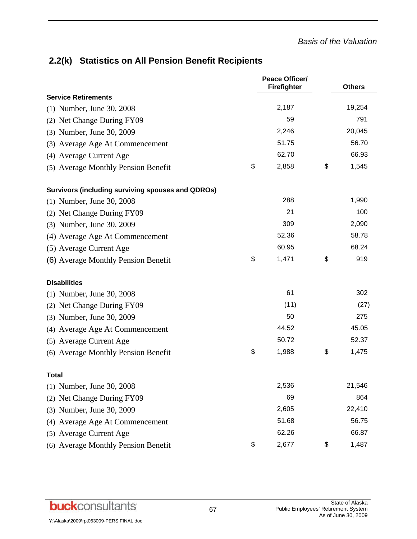## **2.2(k) Statistics on All Pension Benefit Recipients**

|                                                          | <b>Peace Officer/</b><br>Firefighter | <b>Others</b> |
|----------------------------------------------------------|--------------------------------------|---------------|
| <b>Service Retirements</b>                               |                                      |               |
| (1) Number, June 30, 2008                                | 2,187                                | 19,254        |
| (2) Net Change During FY09                               | 59                                   | 791           |
| (3) Number, June 30, 2009                                | 2,246                                | 20,045        |
| (3) Average Age At Commencement                          | 51.75                                | 56.70         |
| (4) Average Current Age                                  | 62.70                                | 66.93         |
| (5) Average Monthly Pension Benefit                      | \$<br>2,858                          | \$<br>1,545   |
| <b>Survivors (including surviving spouses and QDROs)</b> |                                      |               |
| (1) Number, June 30, 2008                                | 288                                  | 1,990         |
| (2) Net Change During FY09                               | 21                                   | 100           |
| (3) Number, June 30, 2009                                | 309                                  | 2,090         |
| (4) Average Age At Commencement                          | 52.36                                | 58.78         |
| (5) Average Current Age                                  | 60.95                                | 68.24         |
| (6) Average Monthly Pension Benefit                      | \$<br>1,471                          | \$<br>919     |
| <b>Disabilities</b>                                      |                                      |               |
| (1) Number, June 30, 2008                                | 61                                   | 302           |
| (2) Net Change During FY09                               | (11)                                 | (27)          |
| (3) Number, June 30, 2009                                | 50                                   | 275           |
| (4) Average Age At Commencement                          | 44.52                                | 45.05         |
| (5) Average Current Age                                  | 50.72                                | 52.37         |
| (6) Average Monthly Pension Benefit                      | \$<br>1,988                          | \$<br>1,475   |
| <b>Total</b>                                             |                                      |               |
| (1) Number, June 30, 2008                                | 2,536                                | 21,546        |
| Net Change During FY09<br>(2)                            | 69                                   | 864           |
| (3) Number, June 30, 2009                                | 2,605                                | 22,410        |
| (4) Average Age At Commencement                          | 51.68                                | 56.75         |
| (5) Average Current Age                                  | 62.26                                | 66.87         |
| (6) Average Monthly Pension Benefit                      | \$<br>2,677                          | \$<br>1,487   |

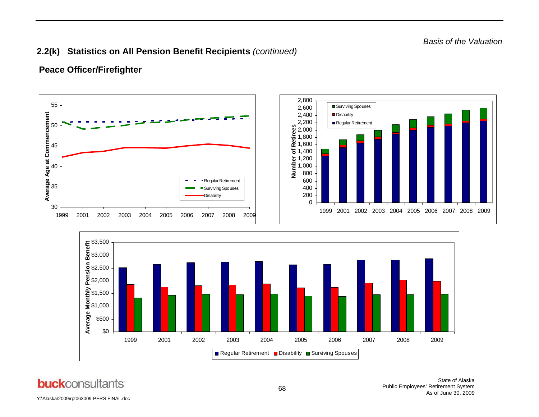## **2.2(k) Statistics on All Pension Benefit Recipients** *(continued)*

## **Peace Officer/Firefighter**

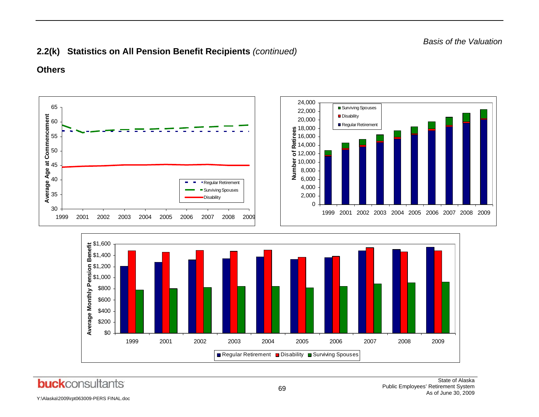## **2.2(k) Statistics on All Pension Benefit Recipients** *(continued)*

## **Others**

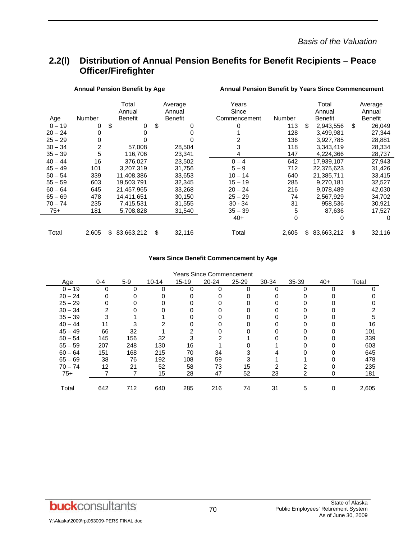## **2.2(l) Distribution of Annual Pension Benefits for Benefit Recipients – Peace Officer/Firefighter**

|           |        | Total          | Average        | Years        |        | Total            | Average        |
|-----------|--------|----------------|----------------|--------------|--------|------------------|----------------|
|           |        | Annual         | Annual         | Since        |        | Annual           | Annual         |
| Age       | Number | <b>Benefit</b> | <b>Benefit</b> | Commencement | Number | <b>Benefit</b>   | <b>Benefit</b> |
| $0 - 19$  | 0      | \$<br>0        | \$<br>0        | 0            | 113    | \$<br>2,943,556  | \$<br>26,049   |
| $20 - 24$ | 0      | 0              |                |              | 128    | 3,499,981        | 27,344         |
| $25 - 29$ | 0      | 0              |                | 2            | 136    | 3,927,785        | 28,881         |
| $30 - 34$ | 2      | 57.008         | 28,504         | 3            | 118    | 3,343,419        | 28,334         |
| $35 - 39$ | 5      | 116,706        | 23,341         | 4            | 147    | 4,224,366        | 28,737         |
| $40 - 44$ | 16     | 376.027        | 23.502         | $0 - 4$      | 642    | 17,939,107       | 27,943         |
| $45 - 49$ | 101    | 3,207,319      | 31,756         | $5 - 9$      | 712    | 22,375,623       | 31,426         |
| $50 - 54$ | 339    | 11,408,386     | 33,653         | $10 - 14$    | 640    | 21,385,711       | 33,415         |
| $55 - 59$ | 603    | 19,503,791     | 32,345         | $15 - 19$    | 285    | 9,270,181        | 32,527         |
| $60 - 64$ | 645    | 21,457,965     | 33,268         | $20 - 24$    | 216    | 9,078,489        | 42,030         |
| $65 - 69$ | 478    | 14.411.651     | 30.150         | $25 - 29$    | 74     | 2,567,929        | 34,702         |
| $70 - 74$ | 235    | 7,415,531      | 31,555         | $30 - 34$    | 31     | 958,536          | 30,921         |
| 75+       | 181    | 5,708,828      | 31,540         | $35 - 39$    | 5      | 87,636           | 17,527         |
|           |        |                |                | $40+$        | 0      | 0                | 0              |
| Total     | 2,605  | 83,663,212     | \$<br>32,116   | Total        | 2,605  | \$<br>83,663,212 | \$<br>32,116   |
|           |        |                |                |              |        |                  |                |

#### Annual Pension Benefit by Age **Annual Pension Benefit by Years Since Commencement**

#### **Years Since Benefit Commencement by Age**

|           |         |       |           |           | Years Since Commencement |           |       |       |       |       |
|-----------|---------|-------|-----------|-----------|--------------------------|-----------|-------|-------|-------|-------|
| Age       | $0 - 4$ | $5-9$ | $10 - 14$ | $15 - 19$ | $20 - 24$                | $25 - 29$ | 30-34 | 35-39 | $40+$ | Total |
| $0 - 19$  | 0       | 0     | 0         | $\Omega$  | 0                        |           |       | 0     |       |       |
| $20 - 24$ |         |       |           |           |                          |           |       |       |       |       |
| $25 - 29$ |         |       |           |           |                          |           |       |       |       |       |
| $30 - 34$ |         |       |           |           |                          |           |       |       |       |       |
| $35 - 39$ |         |       |           |           |                          |           |       |       |       |       |
| $40 - 44$ |         |       |           |           |                          |           |       |       |       | 16    |
| $45 - 49$ | 66      | 32    |           | っ         |                          |           |       |       |       | 101   |
| $50 - 54$ | 145     | 156   | 32        |           |                          |           |       |       |       | 339   |
| $55 - 59$ | 207     | 248   | 130       | 16        |                          |           |       |       |       | 603   |
| $60 - 64$ | 151     | 168   | 215       | 70        | 34                       |           |       |       |       | 645   |
| $65 - 69$ | 38      | 76    | 192       | 108       | 59                       |           |       |       |       | 478   |
| $70 - 74$ | 12      | 21    | 52        | 58        | 73                       | 15        |       |       |       | 235   |
| $75+$     |         |       | 15        | 28        | 47                       | 52        | 23    | 2     |       | 181   |
|           |         |       |           |           |                          |           |       |       |       |       |
| Total     | 642     | 712   | 640       | 285       | 216                      | 74        | 31    | 5     | 0     | 2,605 |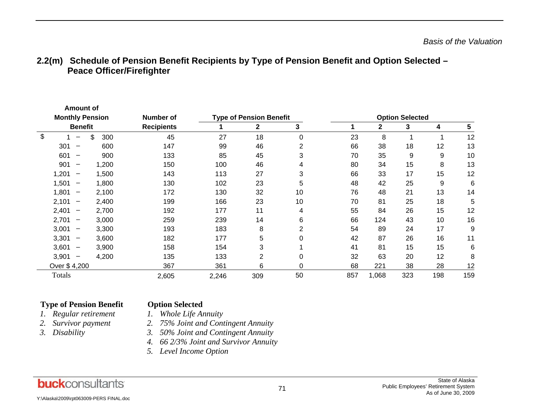|                         | <b>Amount of</b>                  |  |           |                   |       |                                |    |     |             |                        |     |     |
|-------------------------|-----------------------------------|--|-----------|-------------------|-------|--------------------------------|----|-----|-------------|------------------------|-----|-----|
| <b>Monthly Pension</b>  |                                   |  |           | Number of         |       | <b>Type of Pension Benefit</b> |    |     |             | <b>Option Selected</b> |     |     |
|                         | <b>Benefit</b>                    |  |           | <b>Recipients</b> |       | $\mathbf{2}$                   | 3  |     | $\mathbf 2$ | 3                      | 4   | 5   |
| $\sqrt[6]{\frac{1}{2}}$ |                                   |  | \$<br>300 | 45                | 27    | 18                             | 0  | 23  | 8           |                        |     | 12  |
|                         | 301<br>$\overline{\phantom{0}}$   |  | 600       | 147               | 99    | 46                             | 2  | 66  | 38          | 18                     | 12  | 13  |
|                         | 601                               |  | 900       | 133               | 85    | 45                             | 3  | 70  | 35          | 9                      | 9   | 10  |
|                         | 901<br>$\overline{\phantom{m}}$   |  | 1,200     | 150               | 100   | 46                             | 4  | 80  | 34          | 15                     | 8   | 13  |
|                         | 1,201<br>$\overline{\phantom{m}}$ |  | 1,500     | 143               | 113   | 27                             | 3  | 66  | 33          | 17                     | 15  | 12  |
|                         | 1,501<br>$\qquad \qquad$          |  | 1,800     | 130               | 102   | 23                             | 5  | 48  | 42          | 25                     | 9   | 6   |
|                         | 1,801<br>-                        |  | 2,100     | 172               | 130   | 32                             | 10 | 76  | 48          | 21                     | 13  | 14  |
|                         | 2,101<br>$\qquad \qquad$          |  | 2,400     | 199               | 166   | 23                             | 10 | 70  | 81          | 25                     | 18  | 5   |
|                         | 2,401<br>$\qquad \qquad$          |  | 2,700     | 192               | 177   | 11                             | 4  | 55  | 84          | 26                     | 15  | 12  |
|                         | 2,701<br>$\overline{\phantom{m}}$ |  | 3,000     | 259               | 239   | 14                             | 6  | 66  | 124         | 43                     | 10  | 16  |
|                         | 3,001<br>$\qquad \qquad$          |  | 3,300     | 193               | 183   | 8                              | 2  | 54  | 89          | 24                     | 17  | 9   |
|                         | 3,301<br>$\qquad \qquad$          |  | 3,600     | 182               | 177   | 5                              | 0  | 42  | 87          | 26                     | 16  | 11  |
|                         | 3,601<br>$\qquad \qquad$          |  | 3,900     | 158               | 154   | 3                              |    | 41  | 81          | 15                     | 15  | 6   |
|                         | 3,901<br>$\qquad \qquad -$        |  | 4,200     | 135               | 133   | $\overline{2}$                 | 0  | 32  | 63          | 20                     | 12  | 8   |
|                         | Over \$4,200                      |  |           | 367               | 361   | 6                              | 0  | 68  | 221         | 38                     | 28  | 12  |
|                         | Totals                            |  |           | 2,605             | 2,246 | 309                            | 50 | 857 | 1,068       | 323                    | 198 | 159 |

## **2.2(m) Schedule of Pension Benefit Recipients by Type of Pension Benefit and Option Selected – Peace Officer/Firefighter**

#### **Type of Pension Benefit Option Selected**

- *1.*
- *2.*
- *3.*
- *Regular retirement 1. Whole Life Annuity*  2. 75% Joint and Contingent Annuity
- *Disability 3. 50% Joint and Contingent Annuity*
- *4. 66 2/3% Joint and Survivor Annuity*
- *5. Level Income Option*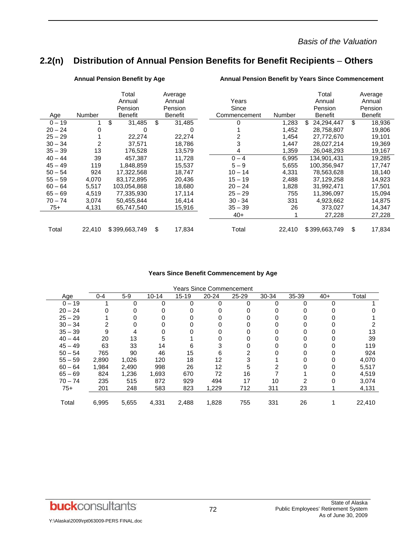## **2.2(n) Distribution of Annual Pension Benefits for Benefit Recipients** – **Others**

|           |        | Total<br>Annual<br>Pension | Average<br>Annual<br>Pension | Years<br>Since |        | Total<br>Annual<br>Pension | Average<br>Annual<br>Pension |
|-----------|--------|----------------------------|------------------------------|----------------|--------|----------------------------|------------------------------|
| Age       | Number | Benefit                    | <b>Benefit</b>               | Commencement   | Number | <b>Benefit</b>             | Benefit                      |
| $0 - 19$  |        | \$<br>31,485               | \$<br>31,485                 | 0              | 1,283  | 24,294,447<br>\$.          | \$<br>18,936                 |
| $20 - 24$ | 0      | 0                          | 0                            |                | 1,452  | 28,758,807                 | 19,806                       |
| $25 - 29$ |        | 22,274                     | 22,274                       | 2              | 1,454  | 27,772,670                 | 19,101                       |
| $30 - 34$ | 2      | 37,571                     | 18,786                       | 3              | 1,447  | 28,027,214                 | 19,369                       |
| $35 - 39$ | 13     | 176.528                    | 13,579                       | 4              | 1,359  | 26,048,293                 | 19,167                       |
| $40 - 44$ | 39     | 457.387                    | 11,728                       | $0 - 4$        | 6,995  | 134.901.431                | 19,285                       |
| $45 - 49$ | 119    | 1.848.859                  | 15,537                       | $5 - 9$        | 5,655  | 100,356,947                | 17,747                       |
| $50 - 54$ | 924    | 17,322,568                 | 18,747                       | $10 - 14$      | 4,331  | 78,563,628                 | 18,140                       |
| $55 - 59$ | 4,070  | 83,172,895                 | 20,436                       | $15 - 19$      | 2,488  | 37,129,258                 | 14,923                       |
| $60 - 64$ | 5,517  | 103.054.868                | 18,680                       | $20 - 24$      | 1,828  | 31,992,471                 | 17,501                       |
| $65 - 69$ | 4,519  | 77.335.930                 | 17,114                       | $25 - 29$      | 755    | 11,396,097                 | 15,094                       |
| $70 - 74$ | 3,074  | 50,455,844                 | 16,414                       | $30 - 34$      | 331    | 4,923,662                  | 14,875                       |
| 75+       | 4,131  | 65,747,540                 | 15,916                       | $35 - 39$      | 26     | 373,027                    | 14,347                       |
|           |        |                            |                              | $40+$          |        | 27,228                     | 27,228                       |
| Total     | 22,410 | \$399,663,749              | \$<br>17,834                 | Total          | 22,410 | \$399,663,749              | \$<br>17,834                 |

Annual Pension Benefit by Age **Annual Pension Benefit by Years Since Commencement** 

#### **Years Since Benefit Commencement by Age**

|           |         |       |           |           | <b>Years Since Commencement</b> |           |       |       |       |        |
|-----------|---------|-------|-----------|-----------|---------------------------------|-----------|-------|-------|-------|--------|
| Age       | $0 - 4$ | $5-9$ | $10 - 14$ | $15 - 19$ | $20 - 24$                       | $25 - 29$ | 30-34 | 35-39 | $40+$ | Total  |
| $0 - 19$  |         | ∩     | 0         | 0         |                                 |           |       | 0     |       |        |
| $20 - 24$ |         |       |           |           |                                 |           |       |       |       |        |
| $25 - 29$ |         |       |           |           |                                 |           |       |       |       |        |
| $30 - 34$ |         |       |           |           |                                 |           |       |       |       |        |
| $35 - 39$ | 9       |       | ი         | 0         |                                 |           |       |       |       | 13     |
| $40 - 44$ | 20      | 13    | 5         |           |                                 |           |       |       |       | 39     |
| $45 - 49$ | 63      | 33    | 14        | 6         | 3                               |           |       |       |       | 119    |
| $50 - 54$ | 765     | 90    | 46        | 15        | 6                               |           |       |       |       | 924    |
| $55 - 59$ | 2,890   | 1,026 | 120       | 18        | 12                              |           |       |       |       | 4,070  |
| $60 - 64$ | 1,984   | 2,490 | 998       | 26        | 12                              | 5         |       |       |       | 5,517  |
| $65 - 69$ | 824     | 1,236 | 1,693     | 670       | 72                              | 16        |       |       |       | 4,519  |
| $70 - 74$ | 235     | 515   | 872       | 929       | 494                             | 17        | 10    |       |       | 3,074  |
| $75+$     | 201     | 248   | 583       | 823       | 1,229                           | 712       | 311   | 23    |       | 4,131  |
| Total     | 6,995   | 5,655 | 4,331     | 2,488     | 1,828                           | 755       | 331   | 26    |       | 22,410 |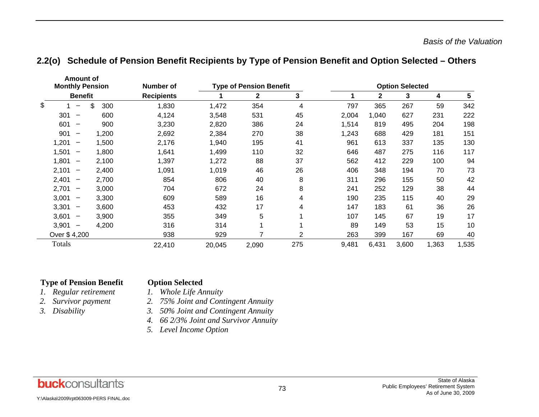|                        | <b>Amount of</b>         |           |                   |        |                                |                |       |                        |       |       |       |
|------------------------|--------------------------|-----------|-------------------|--------|--------------------------------|----------------|-------|------------------------|-------|-------|-------|
| <b>Monthly Pension</b> |                          |           | Number of         |        | <b>Type of Pension Benefit</b> |                |       | <b>Option Selected</b> |       |       |       |
|                        | <b>Benefit</b>           |           | <b>Recipients</b> |        | $\mathbf{2}$                   | 3              |       | 2                      | 3     | 4     | 5     |
| \$                     |                          | \$<br>300 | 1,830             | 1,472  | 354                            | 4              | 797   | 365                    | 267   | 59    | 342   |
| 301                    |                          | 600       | 4,124             | 3,548  | 531                            | 45             | 2,004 | 1,040                  | 627   | 231   | 222   |
| 601                    |                          | 900       | 3,230             | 2,820  | 386                            | 24             | 1,514 | 819                    | 495   | 204   | 198   |
| 901                    | $\overline{\phantom{m}}$ | 1,200     | 2,692             | 2,384  | 270                            | 38             | 1,243 | 688                    | 429   | 181   | 151   |
| 1,201                  |                          | 1,500     | 2,176             | 1,940  | 195                            | 41             | 961   | 613                    | 337   | 135   | 130   |
| 1,501                  | $\overline{\phantom{m}}$ | 1,800     | 1,641             | 1,499  | 110                            | 32             | 646   | 487                    | 275   | 116   | 117   |
| 1,801                  | $\overline{\phantom{m}}$ | 2,100     | 1,397             | 1,272  | 88                             | 37             | 562   | 412                    | 229   | 100   | 94    |
| 2,101                  | $\overline{\phantom{m}}$ | 2,400     | 1,091             | 1,019  | 46                             | 26             | 406   | 348                    | 194   | 70    | 73    |
| 2,401                  | $\overline{\phantom{m}}$ | 2,700     | 854               | 806    | 40                             | 8              | 311   | 296                    | 155   | 50    | 42    |
| 2,701                  | $\overline{\phantom{0}}$ | 3,000     | 704               | 672    | 24                             | 8              | 241   | 252                    | 129   | 38    | 44    |
| 3,001                  | $\qquad \qquad$          | 3,300     | 609               | 589    | 16                             | 4              | 190   | 235                    | 115   | 40    | 29    |
| 3,301                  | $\overline{\phantom{m}}$ | 3,600     | 453               | 432    | 17                             | 4              | 147   | 183                    | 61    | 36    | 26    |
| 3,601                  | $\overline{\phantom{m}}$ | 3,900     | 355               | 349    | 5                              |                | 107   | 145                    | 67    | 19    | 17    |
| 3,901                  |                          | 4,200     | 316               | 314    | 1                              |                | 89    | 149                    | 53    | 15    | 10    |
| Over \$4,200           |                          |           | 938               | 929    | 7                              | $\overline{2}$ | 263   | 399                    | 167   | 69    | 40    |
| Totals                 |                          |           | 22,410            | 20,045 | 2,090                          | 275            | 9,481 | 6,431                  | 3,600 | 1,363 | 1,535 |

### **2.2(o) Schedule of Pension Benefit Recipients by Type of Pension Benefit and Option Selected – Others**

#### **Type of Pension Benefit Option Selected**

# *Regular retirement 1. Whole Life Annuity*

- *1.*
- *2.*
- *3.*
- *Survivor payment 2. 75% Joint and Contingent Annuity*
- *Disability 3. 50% Joint and Contingent Annuity*
- *4. 66 2/3% Joint and Survivor Annuity*
- *5. Level Income Option*

Y:\Alaska\2009\rpt063009-PERS FINAL.doc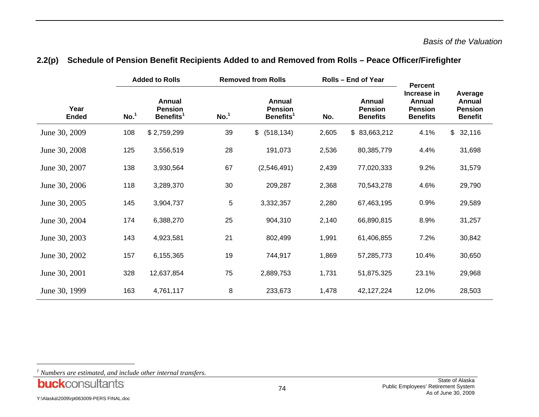|                      |                  | <b>Added to Rolls</b>                             |                  | <b>Removed from Rolls</b>                         |       | <b>Rolls - End of Year</b>                  | <b>Percent</b>                                                    |                                                       |  |
|----------------------|------------------|---------------------------------------------------|------------------|---------------------------------------------------|-------|---------------------------------------------|-------------------------------------------------------------------|-------------------------------------------------------|--|
| Year<br><b>Ended</b> | No. <sup>1</sup> | Annual<br><b>Pension</b><br>Benefits <sup>1</sup> | No. <sup>1</sup> | Annual<br><b>Pension</b><br>Benefits <sup>1</sup> | No.   | Annual<br><b>Pension</b><br><b>Benefits</b> | Increase in<br><b>Annual</b><br><b>Pension</b><br><b>Benefits</b> | Average<br>Annual<br><b>Pension</b><br><b>Benefit</b> |  |
| June 30, 2009        | 108              | \$2,759,299                                       | 39               | (518, 134)<br>\$                                  | 2,605 | \$83,663,212                                | 4.1%                                                              | \$32,116                                              |  |
| June 30, 2008        | 125              | 3,556,519                                         | 28               | 191,073                                           | 2,536 | 80,385,779                                  | 4.4%                                                              | 31,698                                                |  |
| June 30, 2007        | 138              | 3,930,564                                         | 67               | (2,546,491)                                       | 2,439 | 77,020,333                                  | 9.2%                                                              | 31,579                                                |  |
| June 30, 2006        | 118              | 3,289,370                                         | 30               | 209,287                                           | 2,368 | 70,543,278                                  | 4.6%                                                              | 29,790                                                |  |
| June 30, 2005        | 145              | 3,904,737                                         | 5                | 3,332,357                                         | 2,280 | 67,463,195                                  | 0.9%                                                              | 29,589                                                |  |
| June 30, 2004        | 174              | 6,388,270                                         | 25               | 904,310                                           | 2,140 | 66,890,815                                  | 8.9%                                                              | 31,257                                                |  |
| June 30, 2003        | 143              | 4,923,581                                         | 21               | 802,499                                           | 1,991 | 61,406,855                                  | 7.2%                                                              | 30,842                                                |  |
| June 30, 2002        | 157              | 6,155,365                                         | 19               | 744,917                                           | 1,869 | 57,285,773                                  | 10.4%                                                             | 30,650                                                |  |
| June 30, 2001        | 328              | 12,637,854                                        | 75               | 2,889,753                                         | 1,731 | 51,875,325                                  | 23.1%                                                             | 29,968                                                |  |
| June 30, 1999        | 163              | 4,761,117                                         | 8                | 233,673                                           | 1,478 | 42, 127, 224                                | 12.0%                                                             | 28,503                                                |  |

#### **2.2(p) Schedule of Pension Benefit Recipients Added to and Removed from Rolls – Peace Officer/Firefighter**

*<sup>1</sup> Numbers are estimated, and include other internal transfers.*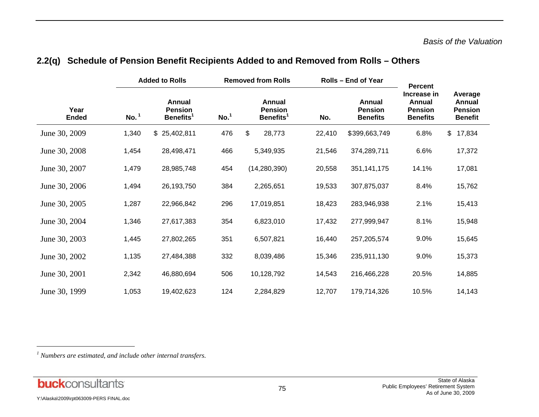|                      |                  | <b>Added to Rolls</b>                             |                  | <b>Removed from Rolls</b>                         |        | <b>Rolls - End of Year</b>                  | <b>Percent</b>                                             |                                                       |  |
|----------------------|------------------|---------------------------------------------------|------------------|---------------------------------------------------|--------|---------------------------------------------|------------------------------------------------------------|-------------------------------------------------------|--|
| Year<br><b>Ended</b> | No. <sup>1</sup> | Annual<br><b>Pension</b><br>Benefits <sup>1</sup> | No. <sup>1</sup> | Annual<br><b>Pension</b><br>Benefits <sup>1</sup> | No.    | Annual<br><b>Pension</b><br><b>Benefits</b> | Increase in<br>Annual<br><b>Pension</b><br><b>Benefits</b> | Average<br>Annual<br><b>Pension</b><br><b>Benefit</b> |  |
| June 30, 2009        | 1,340            | \$25,402,811                                      | 476              | \$<br>28,773                                      | 22,410 | \$399,663,749                               | 6.8%                                                       | \$17,834                                              |  |
| June 30, 2008        | 1,454            | 28,498,471                                        | 466              | 5,349,935                                         | 21,546 | 374,289,711                                 | 6.6%                                                       | 17,372                                                |  |
| June 30, 2007        | 1,479            | 28,985,748                                        | 454              | (14, 280, 390)                                    | 20,558 | 351, 141, 175                               | 14.1%                                                      | 17,081                                                |  |
| June 30, 2006        | 1,494            | 26,193,750                                        | 384              | 2,265,651                                         | 19,533 | 307,875,037                                 | 8.4%                                                       | 15,762                                                |  |
| June 30, 2005        | 1,287            | 22,966,842                                        | 296              | 17,019,851                                        | 18,423 | 283,946,938                                 | 2.1%                                                       | 15,413                                                |  |
| June 30, 2004        | 1,346            | 27,617,383                                        | 354              | 6,823,010                                         | 17,432 | 277,999,947                                 | 8.1%                                                       | 15,948                                                |  |
| June 30, 2003        | 1,445            | 27,802,265                                        | 351              | 6,507,821                                         | 16,440 | 257,205,574                                 | 9.0%                                                       | 15,645                                                |  |
| June 30, 2002        | 1,135            | 27,484,388                                        | 332              | 8,039,486                                         | 15,346 | 235,911,130                                 | 9.0%                                                       | 15,373                                                |  |
| June 30, 2001        | 2,342            | 46,880,694                                        | 506              | 10,128,792                                        | 14,543 | 216,466,228                                 | 20.5%                                                      | 14,885                                                |  |
| June 30, 1999        | 1,053            | 19,402,623                                        | 124              | 2,284,829                                         | 12,707 | 179,714,326                                 | 10.5%                                                      | 14,143                                                |  |

## **2.2(q) Schedule of Pension Benefit Recipients Added to and Removed from Rolls – Others**

*1 Numbers are estimated, and include other internal transfers.*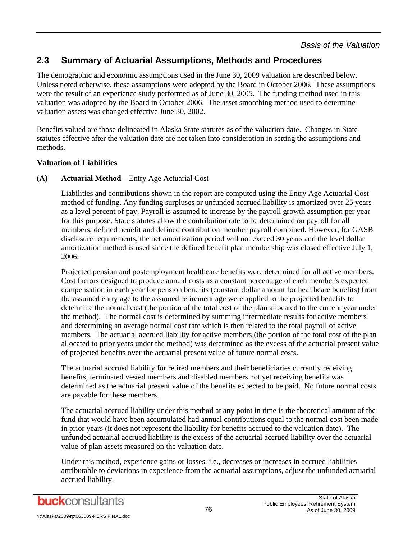## **2.3 Summary of Actuarial Assumptions, Methods and Procedures**

The demographic and economic assumptions used in the June 30, 2009 valuation are described below. Unless noted otherwise, these assumptions were adopted by the Board in October 2006. These assumptions were the result of an experience study performed as of June 30, 2005. The funding method used in this valuation was adopted by the Board in October 2006. The asset smoothing method used to determine valuation assets was changed effective June 30, 2002.

Benefits valued are those delineated in Alaska State statutes as of the valuation date. Changes in State statutes effective after the valuation date are not taken into consideration in setting the assumptions and methods.

#### **Valuation of Liabilities**

#### **(A) Actuarial Method** – Entry Age Actuarial Cost

 Liabilities and contributions shown in the report are computed using the Entry Age Actuarial Cost method of funding. Any funding surpluses or unfunded accrued liability is amortized over 25 years as a level percent of pay. Payroll is assumed to increase by the payroll growth assumption per year for this purpose. State statutes allow the contribution rate to be determined on payroll for all members, defined benefit and defined contribution member payroll combined. However, for GASB disclosure requirements, the net amortization period will not exceed 30 years and the level dollar amortization method is used since the defined benefit plan membership was closed effective July 1, 2006.

 Projected pension and postemployment healthcare benefits were determined for all active members. Cost factors designed to produce annual costs as a constant percentage of each member's expected compensation in each year for pension benefits (constant dollar amount for healthcare benefits) from the assumed entry age to the assumed retirement age were applied to the projected benefits to determine the normal cost (the portion of the total cost of the plan allocated to the current year under the method). The normal cost is determined by summing intermediate results for active members and determining an average normal cost rate which is then related to the total payroll of active members. The actuarial accrued liability for active members (the portion of the total cost of the plan allocated to prior years under the method) was determined as the excess of the actuarial present value of projected benefits over the actuarial present value of future normal costs.

 The actuarial accrued liability for retired members and their beneficiaries currently receiving benefits, terminated vested members and disabled members not yet receiving benefits was determined as the actuarial present value of the benefits expected to be paid. No future normal costs are payable for these members.

 The actuarial accrued liability under this method at any point in time is the theoretical amount of the fund that would have been accumulated had annual contributions equal to the normal cost been made in prior years (it does not represent the liability for benefits accrued to the valuation date). The unfunded actuarial accrued liability is the excess of the actuarial accrued liability over the actuarial value of plan assets measured on the valuation date.

 Under this method, experience gains or losses, i.e., decreases or increases in accrued liabilities attributable to deviations in experience from the actuarial assumptions, adjust the unfunded actuarial accrued liability.

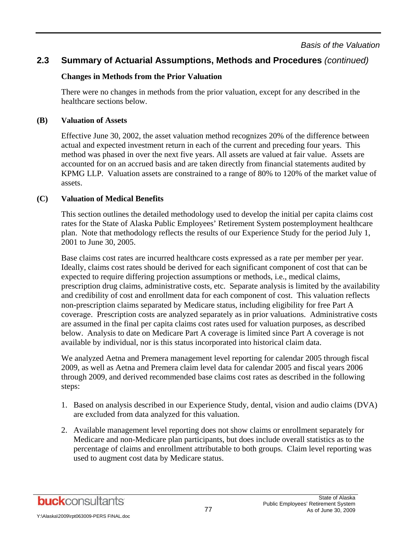## **2.3 Summary of Actuarial Assumptions, Methods and Procedures** *(continued)*

#### **Changes in Methods from the Prior Valuation**

 There were no changes in methods from the prior valuation, except for any described in the healthcare sections below.

#### **(B) Valuation of Assets**

Effective June 30, 2002, the asset valuation method recognizes 20% of the difference between actual and expected investment return in each of the current and preceding four years. This method was phased in over the next five years. All assets are valued at fair value. Assets are accounted for on an accrued basis and are taken directly from financial statements audited by KPMG LLP. Valuation assets are constrained to a range of 80% to 120% of the market value of assets.

#### **(C) Valuation of Medical Benefits**

This section outlines the detailed methodology used to develop the initial per capita claims cost rates for the State of Alaska Public Employees' Retirement System postemployment healthcare plan. Note that methodology reflects the results of our Experience Study for the period July 1, 2001 to June 30, 2005.

Base claims cost rates are incurred healthcare costs expressed as a rate per member per year. Ideally, claims cost rates should be derived for each significant component of cost that can be expected to require differing projection assumptions or methods, i.e., medical claims, prescription drug claims, administrative costs, etc. Separate analysis is limited by the availability and credibility of cost and enrollment data for each component of cost. This valuation reflects non-prescription claims separated by Medicare status, including eligibility for free Part A coverage. Prescription costs are analyzed separately as in prior valuations. Administrative costs are assumed in the final per capita claims cost rates used for valuation purposes, as described below. Analysis to date on Medicare Part A coverage is limited since Part A coverage is not available by individual, nor is this status incorporated into historical claim data.

We analyzed Aetna and Premera management level reporting for calendar 2005 through fiscal 2009, as well as Aetna and Premera claim level data for calendar 2005 and fiscal years 2006 through 2009, and derived recommended base claims cost rates as described in the following steps:

- 1. Based on analysis described in our Experience Study, dental, vision and audio claims (DVA) are excluded from data analyzed for this valuation.
- 2. Available management level reporting does not show claims or enrollment separately for Medicare and non-Medicare plan participants, but does include overall statistics as to the percentage of claims and enrollment attributable to both groups. Claim level reporting was used to augment cost data by Medicare status.

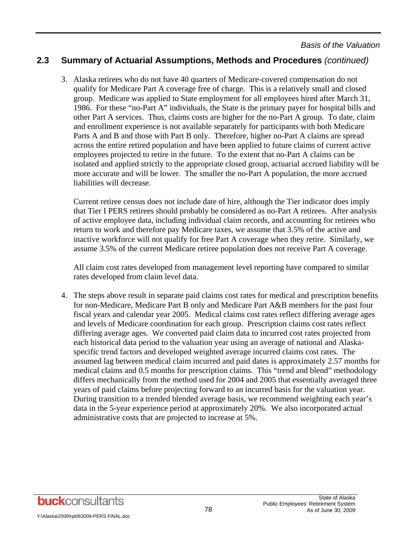## **2.3 Summary of Actuarial Assumptions, Methods and Procedures** *(continued)*

3. Alaska retirees who do not have 40 quarters of Medicare-covered compensation do not qualify for Medicare Part A coverage free of charge. This is a relatively small and closed group. Medicare was applied to State employment for all employees hired after March 31, 1986. For these "no-Part A" individuals, the State is the primary payer for hospital bills and other Part A services. Thus, claims costs are higher for the no-Part A group. To date, claim and enrollment experience is not available separately for participants with both Medicare Parts A and B and those with Part B only. Therefore, higher no-Part A claims are spread across the entire retired population and have been applied to future claims of current active employees projected to retire in the future. To the extent that no-Part A claims can be isolated and applied strictly to the appropriate closed group, actuarial accrued liability will be more accurate and will be lower. The smaller the no-Part A population, the more accrued liabilities will decrease.

Current retiree census does not include date of hire, although the Tier indicator does imply that Tier I PERS retirees should probably be considered as no-Part A retirees. After analysis of active employee data, including individual claim records, and accounting for retirees who return to work and therefore pay Medicare taxes, we assume that 3.5% of the active and inactive workforce will not qualify for free Part A coverage when they retire. Similarly, we assume 3.5% of the current Medicare retiree population does not receive Part A coverage.

All claim cost rates developed from management level reporting have compared to similar rates developed from claim level data.

4. The steps above result in separate paid claims cost rates for medical and prescription benefits for non-Medicare, Medicare Part B only and Medicare Part A&B members for the past four fiscal years and calendar year 2005. Medical claims cost rates reflect differing average ages and levels of Medicare coordination for each group. Prescription claims cost rates reflect differing average ages. We converted paid claim data to incurred cost rates projected from each historical data period to the valuation year using an average of national and Alaskaspecific trend factors and developed weighted average incurred claims cost rates. The assumed lag between medical claim incurred and paid dates is approximately 2.57 months for medical claims and 0.5 months for prescription claims. This "trend and blend" methodology differs mechanically from the method used for 2004 and 2005 that essentially averaged three years of paid claims before projecting forward to an incurred basis for the valuation year. During transition to a trended blended average basis, we recommend weighting each year's data in the 5-year experience period at approximately 20%. We also incorporated actual administrative costs that are projected to increase at 5%.

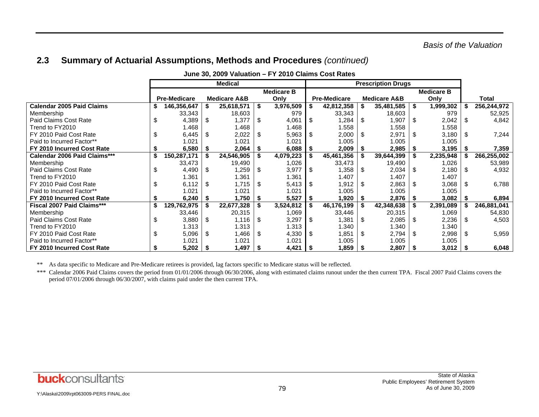## **2.3 Summary of Actuarial Assumptions, Methods and Procedures** *(continued)*

| . . <b>___________________</b>    |  |                     |                |                         |    |                   |      |                     |                           |                         |      |                   |      |             |
|-----------------------------------|--|---------------------|----------------|-------------------------|----|-------------------|------|---------------------|---------------------------|-------------------------|------|-------------------|------|-------------|
|                                   |  |                     | <b>Medical</b> |                         |    |                   |      |                     | <b>Prescription Drugs</b> |                         |      |                   |      |             |
|                                   |  |                     |                |                         |    | <b>Medicare B</b> |      |                     |                           |                         |      | <b>Medicare B</b> |      |             |
|                                   |  | <b>Pre-Medicare</b> |                | <b>Medicare A&amp;B</b> |    | Only              |      | <b>Pre-Medicare</b> |                           | <b>Medicare A&amp;B</b> |      | Only              |      | Total       |
| <b>Calendar 2005 Paid Claims</b>  |  | 146,356,647         |                | 25,618,571              | S  | 3,976,509         |      | 42,812,358          |                           | 35,481,585              | - \$ | 1,999,302         |      | 256,244,972 |
| Membership                        |  | 33,343              |                | 18,603                  |    | 979               |      | 33,343              |                           | 18,603                  |      | 979               |      | 52,925      |
| Paid Claims Cost Rate             |  | 4,389               | S              | 1,377                   | S  | 4,061             | -S   | 1,284               | -S                        | 1,907                   | - \$ | 2,042             | - \$ | 4,842       |
| Trend to FY2010                   |  | 1.468               |                | 1.468                   |    | 1.468             |      | 1.558               |                           | 1.558                   |      | 1.558             |      |             |
| FY 2010 Paid Cost Rate            |  | 6,445               |                | 2,022                   | S  | 5,963             | - \$ | 2,000               | -S                        | 2,971                   | -S   | 3,180             | - \$ | 7,244       |
| Paid to Incurred Factor**         |  | 1.021               |                | 1.021                   |    | 1.021             |      | 1.005               |                           | 1.005                   |      | 1.005             |      |             |
| FY 2010 Incurred Cost Rate        |  | 6,580               |                | 2,064                   |    | 6,088             |      | 2,009               |                           | 2,985                   | - 35 | 3,195             |      | 7,359       |
| Calendar 2006 Paid Claims***      |  | 150,287,171         |                | 24,546,905              |    | 4,079,223         |      | 45,461,356          |                           | 39,644,399              |      | 2,235,948         |      | 266,255,002 |
| Membership                        |  | 33,473              |                | 19,490                  |    | 1,026             |      | 33,473              |                           | 19,490                  |      | 1,026             |      | 53,989      |
| Paid Claims Cost Rate             |  | 4,490               | S              | 1,259                   | S  | 3,977             | - \$ | 1,358               | \$                        | 2,034                   | - \$ | 2,180             | - \$ | 4,932       |
| Trend to FY2010                   |  | 1.361               |                | 1.361                   |    | 1.361             |      | 1.407               |                           | 1.407                   |      | 1.407             |      |             |
| FY 2010 Paid Cost Rate            |  | 6,112               | S              | 1,715                   | \$ | 5,413             | - \$ | 1,912               | \$                        | 2,863                   | - \$ | 3,068             | \$   | 6,788       |
| Paid to Incurred Factor**         |  | 1.021               |                | 1.021                   |    | 1.021             |      | 1.005               |                           | 1.005                   |      | 1.005             |      |             |
| FY 2010 Incurred Cost Rate        |  | 6,240               |                | 1,750                   |    | 5,527             |      | 1,920               |                           | 2,876                   |      | 3,082             |      | 6,894       |
| <b>Fiscal 2007 Paid Claims***</b> |  | 129,762,975         |                | 22,677,328              |    | 3,524,812         |      | 46,176,199          |                           | 42,348,638              |      | 2,391,089         |      | 246,881,041 |
| Membership                        |  | 33,446              |                | 20,315                  |    | 1,069             |      | 33,446              |                           | 20,315                  |      | 1,069             |      | 54,830      |
| Paid Claims Cost Rate             |  | 3,880               | \$.            | 1,116                   | S  | 3,297             | - \$ | 1,381               | \$.                       | 2,085                   | - \$ | 2,236             | -S   | 4,503       |
| Trend to FY2010                   |  | 1.313               |                | 1.313                   |    | 1.313             |      | 1.340               |                           | 1.340                   |      | 1.340             |      |             |
| FY 2010 Paid Cost Rate            |  | 5,096               | \$.            | 1,466                   | S  | 4,330             | 1 S  | 1,851               | \$.                       | 2,794                   | - \$ | 2,998             | \$   | 5,959       |
| Paid to Incurred Factor**         |  | 1.021               |                | 1.021                   |    | 1.021             |      | 1.005               |                           | 1.005                   |      | 1.005             |      |             |
| FY 2010 Incurred Cost Rate        |  | 5,202               |                | 1,497                   |    | 4,421             |      | 1,859               | . ა                       | 2,807                   | l 56 | $3,012$   \$      |      | 6,048       |

**June 30, 2009 Valuation – FY 2010 Claims Cost Rates** 

\*\* As data specific to Medicare and Pre-Medicare retirees is provided, lag factors specific to Medicare status will be reflected.

\*\*\* Calendar 2006 Paid Claims covers the period from 01/01/2006 through 06/30/2006, along with estimated claims runout under the then current TPA. Fiscal 2007 Paid Claims covers the period 07/01/2006 through 06/30/2007, with claims paid under the then current TPA.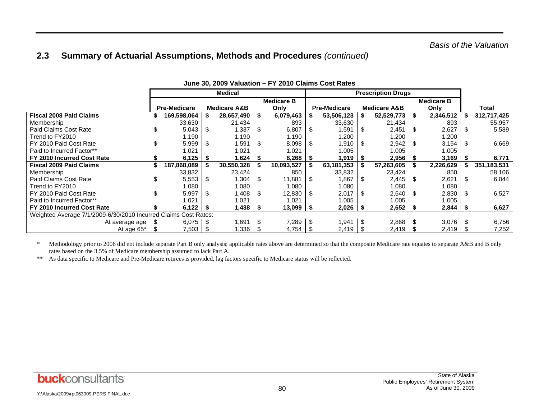## **2.3 Summary of Actuarial Assumptions, Methods and Procedures** *(continued)*

|                                                                 |    |                     |      | <b>Medical</b>          |      |               | <b>Prescription Drugs</b> |                     |     |                         |      |                   |     |               |
|-----------------------------------------------------------------|----|---------------------|------|-------------------------|------|---------------|---------------------------|---------------------|-----|-------------------------|------|-------------------|-----|---------------|
|                                                                 |    | <b>Medicare B</b>   |      |                         |      |               |                           |                     |     |                         |      | <b>Medicare B</b> |     |               |
|                                                                 |    | <b>Pre-Medicare</b> |      | <b>Medicare A&amp;B</b> |      | Only          |                           | <b>Pre-Medicare</b> |     | <b>Medicare A&amp;B</b> |      | Only              |     | Total         |
| <b>Fiscal 2008 Paid Claims</b>                                  |    | 169,598,064         |      | 28,657,490              | - \$ | 6,079,463     |                           | 53,506,123          |     | 52,529,773              | - 56 | 2,346,512         |     | 312,717,425   |
| Membership                                                      |    | 33,630              |      | 21,434                  |      | 893           |                           | 33,630              |     | 21,434                  |      | 893               |     | 55,957        |
| Paid Claims Cost Rate                                           | \$ | 5,043               | \$   | 1,337                   | S.   | 6,807         | \$                        | 1,591               | \$  | 2,451                   | -S   | 2,627             | -SS | 5,589         |
| Trend to FY2010                                                 |    | 1.190               |      | 1.190                   |      | 1.190         |                           | .200                |     | 1.200                   |      | 1.200             |     |               |
| FY 2010 Paid Cost Rate                                          |    | 5,999               | \$.  | 1,591                   | S.   | 8,098         | - \$                      | 1,910               | 1 S | 2,942                   |      | 3,154             | 1 S | 6,669         |
| Paid to Incurred Factor**                                       |    | 1.021               |      | 1.021                   |      | .021          |                           | 1.005               |     | 1.005                   |      | 1.005             |     |               |
| FY 2010 Incurred Cost Rate                                      |    | 6,125               |      | 624. ا                  |      | 8,268         |                           | 1,919               |     | 2,956                   |      | 3,169             |     | 6,771         |
| <b>Fiscal 2009 Paid Claims</b>                                  | S. | 187,868,089         |      | 30,550,328              |      | 10,093,527    | Ŝ.                        | 63,181,353          |     | 57,263,605              |      | 2,226,629         |     | 351, 183, 531 |
| Membership                                                      |    | 33,832              |      | 23,424                  |      | 850           |                           | 33,832              |     | 23,424                  |      | 850               |     | 58,106        |
| Paid Claims Cost Rate                                           | \$ | 5,553               | S.   | 1,304                   | \$   | 11,881        | \$                        | 1,867               | \$  | 2,445                   | - \$ | 2,621             | -S  | 6,044         |
| Trend to FY2010                                                 |    | 1.080               |      | 1.080                   |      | 1.080         |                           | 1.080               |     | 1.080                   |      | 1.080             |     |               |
| FY 2010 Paid Cost Rate                                          |    | 5,997               | \$.  | 1,408                   | -S   | 12,830        | - \$                      | 2,017               | \$. | 2,640                   |      | 2,830             |     | 6,527         |
| Paid to Incurred Factor**                                       |    | 1.021               |      | 1.021                   |      | 1.021         |                           | 1.005               |     | 1.005                   |      | 1.005             |     |               |
| FY 2010 Incurred Cost Rate                                      |    | 6,122               | - 55 | 1,438                   |      | $13,099$   \$ |                           | $2,026$   \$        |     | $2,652$   \$            |      | $2,844$   \$      |     | 6,627         |
| Weighted Average 7/1/2009-6/30/2010 Incurred Claims Cost Rates: |    |                     |      |                         |      |               |                           |                     |     |                         |      |                   |     |               |
| At average age                                                  |    | 6,075               |      | 1,691                   | \$   |               |                           | 1,941               |     | 2,868                   |      |                   |     | 6,756         |
| At age 65*                                                      |    | 7,503               |      | 336. ا                  |      | 4,754         |                           | 2,419               |     | 2,419                   |      | 2,419             |     | 7,252         |

#### **June 30, 2009 Valuation – FY 2010 Claims Cost Rates**

\* Methodology prior to 2006 did not include separate Part B only analysis; applicable rates above are determined so that the composite Medicare rate equates to separate A&B and B only rates based on the 3.5% of Medicare membership assumed to lack Part A.

\*\* As data specific to Medicare and Pre-Medicare retirees is provided, lag factors specific to Medicare status will be reflected.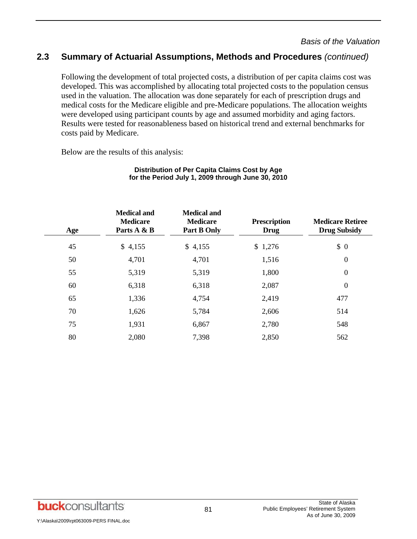## **2.3 Summary of Actuarial Assumptions, Methods and Procedures** *(continued)*

Following the development of total projected costs, a distribution of per capita claims cost was developed. This was accomplished by allocating total projected costs to the population census used in the valuation. The allocation was done separately for each of prescription drugs and medical costs for the Medicare eligible and pre-Medicare populations. The allocation weights were developed using participant counts by age and assumed morbidity and aging factors. Results were tested for reasonableness based on historical trend and external benchmarks for costs paid by Medicare.

Below are the results of this analysis:

| Age | <b>Medical and</b><br><b>Medicare</b><br>Parts A & B | <b>Medical and</b><br><b>Medicare</b><br>Part B Only | <b>Prescription</b><br><b>Drug</b> | <b>Medicare Retiree</b><br><b>Drug Subsidy</b> |
|-----|------------------------------------------------------|------------------------------------------------------|------------------------------------|------------------------------------------------|
| 45  | \$4,155                                              | \$4,155                                              | \$1,276                            | \$0                                            |
| 50  | 4,701                                                | 4,701                                                | 1,516                              | $\boldsymbol{0}$                               |
| 55  | 5,319                                                | 5,319                                                | 1,800                              | $\boldsymbol{0}$                               |
| 60  | 6,318                                                | 6,318                                                | 2,087                              | $\overline{0}$                                 |
| 65  | 1,336                                                | 4,754                                                | 2,419                              | 477                                            |
| 70  | 1,626                                                | 5,784                                                | 2,606                              | 514                                            |
| 75  | 1,931                                                | 6,867                                                | 2,780                              | 548                                            |
| 80  | 2,080                                                | 7,398                                                | 2,850                              | 562                                            |

#### **Distribution of Per Capita Claims Cost by Age for the Period July 1, 2009 through June 30, 2010**

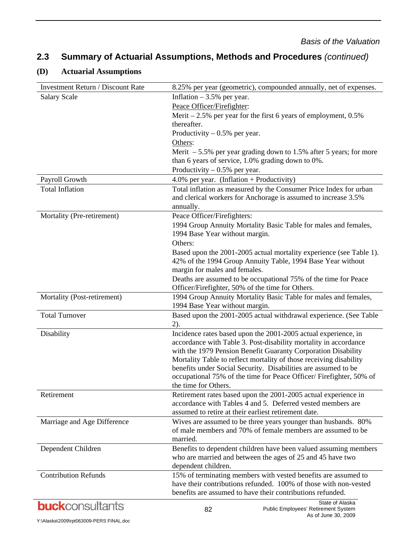## **2.3 Summary of Actuarial Assumptions, Methods and Procedures** *(continued)*

#### **(D) Actuarial Assumptions**

| Investment Return / Discount Rate | 8.25% per year (geometric), compounded annually, net of expenses.                                                                                                                                                                  |
|-----------------------------------|------------------------------------------------------------------------------------------------------------------------------------------------------------------------------------------------------------------------------------|
| <b>Salary Scale</b>               | Inflation $-3.5%$ per year.                                                                                                                                                                                                        |
|                                   | Peace Officer/Firefighter:                                                                                                                                                                                                         |
|                                   | Merit $-2.5\%$ per year for the first 6 years of employment, 0.5%                                                                                                                                                                  |
|                                   | thereafter.                                                                                                                                                                                                                        |
|                                   | Productivity $-0.5%$ per year.                                                                                                                                                                                                     |
|                                   | Others:                                                                                                                                                                                                                            |
|                                   | Merit $-5.5\%$ per year grading down to 1.5% after 5 years; for more                                                                                                                                                               |
|                                   | than 6 years of service, 1.0% grading down to 0%.                                                                                                                                                                                  |
|                                   | Productivity $-0.5%$ per year.                                                                                                                                                                                                     |
| Payroll Growth                    | 4.0% per year. (Inflation + Productivity)                                                                                                                                                                                          |
| <b>Total Inflation</b>            | Total inflation as measured by the Consumer Price Index for urban<br>and clerical workers for Anchorage is assumed to increase 3.5%<br>annually.                                                                                   |
| Mortality (Pre-retirement)        | Peace Officer/Firefighters:                                                                                                                                                                                                        |
|                                   | 1994 Group Annuity Mortality Basic Table for males and females,<br>1994 Base Year without margin.                                                                                                                                  |
|                                   | Others:                                                                                                                                                                                                                            |
|                                   | Based upon the 2001-2005 actual mortality experience (see Table 1).<br>42% of the 1994 Group Annuity Table, 1994 Base Year without<br>margin for males and females.                                                                |
|                                   | Deaths are assumed to be occupational 75% of the time for Peace<br>Officer/Firefighter, 50% of the time for Others.                                                                                                                |
| Mortality (Post-retirement)       | 1994 Group Annuity Mortality Basic Table for males and females,                                                                                                                                                                    |
|                                   | 1994 Base Year without margin.                                                                                                                                                                                                     |
| <b>Total Turnover</b>             | Based upon the 2001-2005 actual withdrawal experience. (See Table<br>$2)$ .                                                                                                                                                        |
| Disability                        | Incidence rates based upon the 2001-2005 actual experience, in<br>accordance with Table 3. Post-disability mortality in accordance<br>with the 1979 Pension Benefit Guaranty Corporation Disability                                |
|                                   | Mortality Table to reflect mortality of those receiving disability<br>benefits under Social Security. Disabilities are assumed to be<br>occupational 75% of the time for Peace Officer/Firefighter, 50% of<br>the time for Others. |
| Retirement                        | Retirement rates based upon the 2001-2005 actual experience in<br>accordance with Tables 4 and 5. Deferred vested members are<br>assumed to retire at their earliest retirement date.                                              |
| Marriage and Age Difference       | Wives are assumed to be three years younger than husbands. 80%<br>of male members and 70% of female members are assumed to be<br>married.                                                                                          |
| Dependent Children                | Benefits to dependent children have been valued assuming members<br>who are married and between the ages of 25 and 45 have two<br>dependent children.                                                                              |
| <b>Contribution Refunds</b>       | 15% of terminating members with vested benefits are assumed to<br>have their contributions refunded. 100% of those with non-vested<br>benefits are assumed to have their contributions refunded.                                   |
| <b>buck</b> consultants           | State of Alaska<br>82<br>Public Employees' Retirement System                                                                                                                                                                       |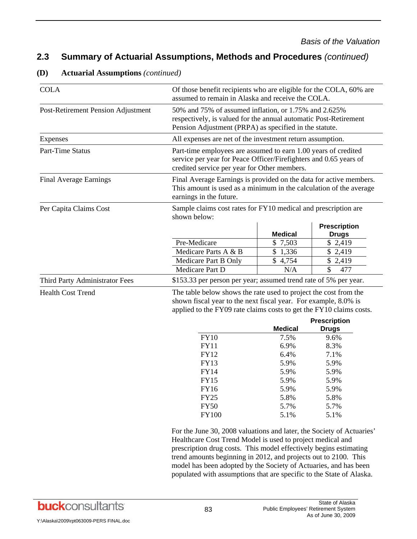## **2.3 Summary of Actuarial Assumptions, Methods and Procedures** *(continued)*

| <b>COLA</b>                        | Of those benefit recipients who are eligible for the COLA, 60% are<br>assumed to remain in Alaska and receive the COLA.                                                                                                                                                                                                                         |                |                                     |  |
|------------------------------------|-------------------------------------------------------------------------------------------------------------------------------------------------------------------------------------------------------------------------------------------------------------------------------------------------------------------------------------------------|----------------|-------------------------------------|--|
| Post-Retirement Pension Adjustment | 50% and 75% of assumed inflation, or 1.75% and 2.625%<br>respectively, is valued for the annual automatic Post-Retirement<br>Pension Adjustment (PRPA) as specified in the statute.                                                                                                                                                             |                |                                     |  |
| Expenses                           | All expenses are net of the investment return assumption.                                                                                                                                                                                                                                                                                       |                |                                     |  |
| Part-Time Status                   | Part-time employees are assumed to earn 1.00 years of credited<br>service per year for Peace Officer/Firefighters and 0.65 years of<br>credited service per year for Other members.                                                                                                                                                             |                |                                     |  |
| <b>Final Average Earnings</b>      | Final Average Earnings is provided on the data for active members.<br>This amount is used as a minimum in the calculation of the average<br>earnings in the future.                                                                                                                                                                             |                |                                     |  |
| Per Capita Claims Cost             | Sample claims cost rates for FY10 medical and prescription are                                                                                                                                                                                                                                                                                  |                |                                     |  |
|                                    | shown below:                                                                                                                                                                                                                                                                                                                                    |                |                                     |  |
|                                    |                                                                                                                                                                                                                                                                                                                                                 | <b>Medical</b> | <b>Prescription</b><br><b>Drugs</b> |  |
|                                    | Pre-Medicare                                                                                                                                                                                                                                                                                                                                    | \$7,503        | \$2,419                             |  |
|                                    | Medicare Parts A & B                                                                                                                                                                                                                                                                                                                            | \$1,336        | \$2,419                             |  |
|                                    | Medicare Part B Only                                                                                                                                                                                                                                                                                                                            | \$4,754        | \$2,419                             |  |
|                                    | Medicare Part D                                                                                                                                                                                                                                                                                                                                 | N/A            | \$<br>477                           |  |
| Third Party Administrator Fees     | \$153.33 per person per year; assumed trend rate of 5% per year.                                                                                                                                                                                                                                                                                |                |                                     |  |
| <b>Health Cost Trend</b>           | The table below shows the rate used to project the cost from the<br>shown fiscal year to the next fiscal year. For example, 8.0% is<br>applied to the FY09 rate claims costs to get the FY10 claims costs.                                                                                                                                      |                |                                     |  |
|                                    |                                                                                                                                                                                                                                                                                                                                                 | <b>Medical</b> | <b>Prescription</b>                 |  |
|                                    | <b>FY10</b>                                                                                                                                                                                                                                                                                                                                     | 7.5%           | <b>Drugs</b><br>9.6%                |  |
|                                    | <b>FY11</b>                                                                                                                                                                                                                                                                                                                                     | 6.9%           | 8.3%                                |  |
|                                    | FY12                                                                                                                                                                                                                                                                                                                                            | 6.4%           | 7.1%                                |  |
|                                    | <b>FY13</b>                                                                                                                                                                                                                                                                                                                                     | 5.9%           | 5.9%                                |  |
|                                    | <b>FY14</b>                                                                                                                                                                                                                                                                                                                                     | 5.9%           | 5.9%                                |  |
|                                    | <b>FY15</b>                                                                                                                                                                                                                                                                                                                                     | 5.9%           | 5.9%                                |  |
|                                    | FY16                                                                                                                                                                                                                                                                                                                                            | 5.9%           | 5.9%                                |  |
|                                    | <b>FY25</b>                                                                                                                                                                                                                                                                                                                                     | 5.8%           | 5.8%                                |  |
|                                    | <b>FY50</b>                                                                                                                                                                                                                                                                                                                                     | 5.7%           | 5.7%                                |  |
|                                    | <b>FY100</b>                                                                                                                                                                                                                                                                                                                                    | 5.1%           | 5.1%                                |  |
|                                    | For the June 30, 2008 valuations and later, the Society of Actuaries'<br>Healthcare Cost Trend Model is used to project medical and<br>prescription drug costs. This model effectively begins estimating<br>trend amounts beginning in 2012, and projects out to 2100. This<br>model has been adopted by the Society of Actuaries, and has been |                |                                     |  |

#### **(D) Actuarial Assumptions** *(continued)*

Y:\Alaska\2009\rpt063009-PERS FINAL.doc

populated with assumptions that are specific to the State of Alaska.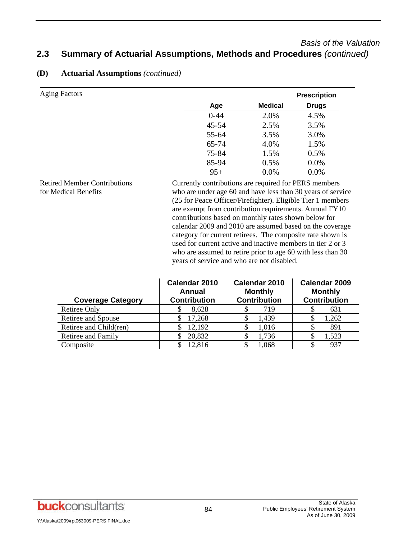## *Basis of the Valuation*  **2.3 Summary of Actuarial Assumptions, Methods and Procedures** *(continued)*

| <b>Aging Factors</b> |          |                | <b>Prescription</b> |
|----------------------|----------|----------------|---------------------|
|                      | Age      | <b>Medical</b> | <b>Drugs</b>        |
|                      | $0 - 44$ | 2.0%           | 4.5%                |
|                      | 45-54    | 2.5%           | 3.5%                |
|                      | 55-64    | 3.5%           | 3.0%                |
|                      | 65-74    | 4.0%           | 1.5%                |
|                      | 75-84    | 1.5%           | 0.5%                |
|                      | 85-94    | 0.5%           | 0.0%                |
|                      | $95+$    | 0.0%           | 0.0%                |

#### **(D) Actuarial Assumptions** *(continued)*

Retired Member Contributions for Medical Benefits Currently contributions are required for PERS members who are under age 60 and have less than 30 years of service (25 for Peace Officer/Firefighter). Eligible Tier 1 members are exempt from contribution requirements. Annual FY10 contributions based on monthly rates shown below for calendar 2009 and 2010 are assumed based on the coverage category for current retirees. The composite rate shown is used for current active and inactive members in tier 2 or 3 who are assumed to retire prior to age 60 with less than 30 years of service and who are not disabled.

| <b>Coverage Category</b> | Calendar 2010<br>Annual<br><b>Contribution</b> | Calendar 2010<br><b>Monthly</b><br><b>Contribution</b> | Calendar 2009<br><b>Monthly</b><br><b>Contribution</b> |
|--------------------------|------------------------------------------------|--------------------------------------------------------|--------------------------------------------------------|
| Retiree Only             | 8,628                                          | 719                                                    | 631                                                    |
| Retiree and Spouse       | 17,268                                         | 1,439                                                  | 1,262                                                  |
| Retiree and Child(ren)   | 12,192<br>S                                    | 1,016                                                  | 891                                                    |
| Retiree and Family       | 20,832                                         | 1,736                                                  | 1,523                                                  |
| Composite                | 12.816                                         | 1,068                                                  | 937                                                    |

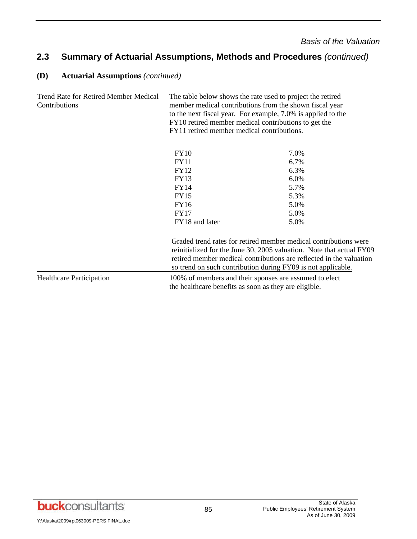## **2.3 Summary of Actuarial Assumptions, Methods and Procedures** *(continued)*

| <b>Trend Rate for Retired Member Medical</b><br>Contributions | The table below shows the rate used to project the retired<br>member medical contributions from the shown fiscal year<br>to the next fiscal year. For example, 7.0% is applied to the<br>FY10 retired member medical contributions to get the<br>FY11 retired member medical contributions. |                                                                                                                                                                                                                                                                                 |  |
|---------------------------------------------------------------|---------------------------------------------------------------------------------------------------------------------------------------------------------------------------------------------------------------------------------------------------------------------------------------------|---------------------------------------------------------------------------------------------------------------------------------------------------------------------------------------------------------------------------------------------------------------------------------|--|
|                                                               | <b>FY10</b>                                                                                                                                                                                                                                                                                 | 7.0%                                                                                                                                                                                                                                                                            |  |
|                                                               | <b>FY11</b>                                                                                                                                                                                                                                                                                 | 6.7%                                                                                                                                                                                                                                                                            |  |
|                                                               | FY12                                                                                                                                                                                                                                                                                        | 6.3%                                                                                                                                                                                                                                                                            |  |
|                                                               | <b>FY13</b>                                                                                                                                                                                                                                                                                 | 6.0%                                                                                                                                                                                                                                                                            |  |
|                                                               | <b>FY14</b>                                                                                                                                                                                                                                                                                 | 5.7%                                                                                                                                                                                                                                                                            |  |
|                                                               | <b>FY15</b>                                                                                                                                                                                                                                                                                 | 5.3%                                                                                                                                                                                                                                                                            |  |
|                                                               | FY16                                                                                                                                                                                                                                                                                        | 5.0%                                                                                                                                                                                                                                                                            |  |
|                                                               | <b>FY17</b>                                                                                                                                                                                                                                                                                 | 5.0%                                                                                                                                                                                                                                                                            |  |
|                                                               | FY18 and later                                                                                                                                                                                                                                                                              | 5.0%                                                                                                                                                                                                                                                                            |  |
|                                                               |                                                                                                                                                                                                                                                                                             | Graded trend rates for retired member medical contributions were<br>reinitialized for the June 30, 2005 valuation. Note that actual FY09<br>retired member medical contributions are reflected in the valuation<br>so trend on such contribution during FY09 is not applicable. |  |
| <b>Healthcare Participation</b>                               |                                                                                                                                                                                                                                                                                             | 100% of members and their spouses are assumed to elect                                                                                                                                                                                                                          |  |
|                                                               | the healthcare benefits as soon as they are eligible.                                                                                                                                                                                                                                       |                                                                                                                                                                                                                                                                                 |  |
|                                                               |                                                                                                                                                                                                                                                                                             |                                                                                                                                                                                                                                                                                 |  |

#### **(D) Actuarial Assumptions** *(continued)*

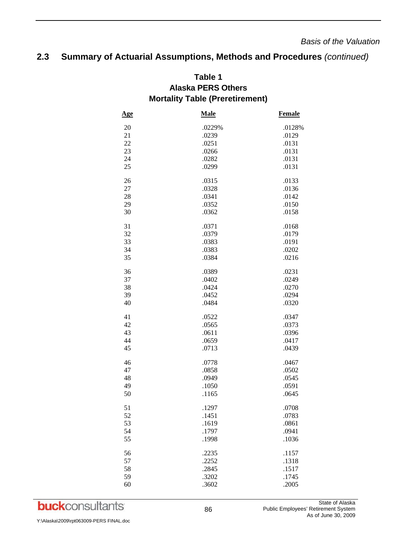## **2.3 Summary of Actuarial Assumptions, Methods and Procedures** *(continued)*

|            | זיוסו נמות א<br>TANIC IT TO CUI CHICHI, |               |
|------------|-----------------------------------------|---------------|
| <u>Age</u> | <b>Male</b>                             | <b>Female</b> |
| 20         | .0229%                                  | .0128%        |
| 21         | .0239                                   | .0129         |
| 22         | .0251                                   | .0131         |
| 23         | .0266                                   | .0131         |
| 24         | .0282                                   | .0131         |
| 25         | .0299                                   | .0131         |
| 26         | .0315                                   | .0133         |
| 27         | .0328                                   | .0136         |
| 28         | .0341                                   | .0142         |
| 29         | .0352                                   | .0150         |
| 30         | .0362                                   | .0158         |
| 31         | .0371                                   | .0168         |
| 32         | .0379                                   | .0179         |
| 33         | .0383                                   | .0191         |
| 34         | .0383                                   | .0202         |
| 35         | .0384                                   | .0216         |
| 36         | .0389                                   | .0231         |
| 37         | .0402                                   | .0249         |
| 38         | .0424                                   | .0270         |
| 39         | .0452                                   | .0294         |
| 40         | .0484                                   | .0320         |
| 41         | .0522                                   | .0347         |
| 42         | .0565                                   | .0373         |
| 43         | .0611                                   | .0396         |
| 44         | .0659                                   | .0417         |
| 45         | .0713                                   | .0439         |
| 46         | .0778                                   | .0467         |
| 47         | .0858                                   | .0502         |
| 48         | .0949                                   | .0545         |
| 49         | .1050                                   | .0591         |
| 50         | .1165                                   | .0645         |
| 51         | .1297                                   | .0708         |
| 52         | .1451                                   | .0783         |
| 53         | .1619                                   | .0861         |
| 54         | .1797                                   | .0941         |
| 55         | .1998                                   | .1036         |
| 56         | .2235                                   | .1157         |
| 57         | .2252                                   | .1318         |
| 58         | .2845                                   | .1517         |
| 59         | .3202                                   | .1745         |
| 60         | .3602                                   | .2005         |

## **Table 1 Alaska PERS Others Mortality Table (Preretirement)**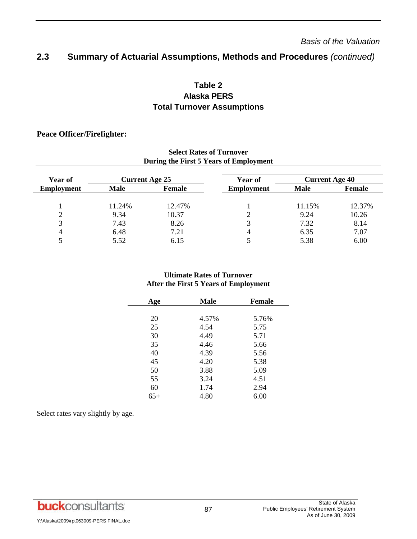#### **2.3 Summary of Actuarial Assumptions, Methods and Procedures** *(continued)*

## **Table 2 Alaska PERS Total Turnover Assumptions**

#### **Peace Officer/Firefighter:**

| Select Rates of Turnover<br>During the First 5 Years of Employment |                       |        |                   |                       |               |
|--------------------------------------------------------------------|-----------------------|--------|-------------------|-----------------------|---------------|
| <b>Year of</b>                                                     | <b>Current Age 25</b> |        | Year of           | <b>Current Age 40</b> |               |
| <b>Employment</b>                                                  | <b>Male</b>           | Female | <b>Employment</b> | <b>Male</b>           | <b>Female</b> |
|                                                                    | 11.24%                | 12.47% |                   | 11.15%                | 12.37%        |
|                                                                    | 9.34                  | 10.37  |                   | 9.24                  | 10.26         |
| 3                                                                  | 7.43                  | 8.26   | 3                 | 7.32                  | 8.14          |
| 4                                                                  | 6.48                  | 7.21   | 4                 | 6.35                  | 7.07          |
|                                                                    | 5.52                  | 6.15   |                   | 5.38                  | 6.00          |

# **Select Rates of Turnover**

#### **Ultimate Rates of Turnover After the First 5 Years of Employment**

| Age   | <b>Male</b> | <b>Female</b> |
|-------|-------------|---------------|
|       |             |               |
| 20    | 4.57%       | 5.76%         |
| 25    | 4.54        | 5.75          |
| 30    | 4.49        | 5.71          |
| 35    | 4.46        | 5.66          |
| 40    | 4.39        | 5.56          |
| 45    | 4.20        | 5.38          |
| 50    | 3.88        | 5.09          |
| 55    | 3.24        | 4.51          |
| 60    | 1.74        | 2.94          |
| $65+$ | 4.80        | 6.00          |
|       |             |               |

Select rates vary slightly by age.

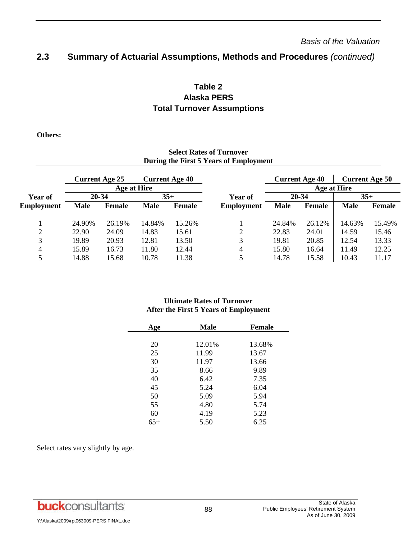#### **2.3 Summary of Actuarial Assumptions, Methods and Procedures** *(continued)*

## **Table 2 Alaska PERS Total Turnover Assumptions**

**Others:** 

#### **Select Rates of Turnover During the First 5 Years of Employment**

|            | <b>Current Age 25</b> |             |             | <b>Current Age 40</b> |                   | <b>Current Age 40</b> |             |             | <b>Current Age 50</b> |
|------------|-----------------------|-------------|-------------|-----------------------|-------------------|-----------------------|-------------|-------------|-----------------------|
|            |                       | Age at Hire |             |                       |                   |                       | Age at Hire |             |                       |
| Year of    | 20-34                 |             | $35+$       |                       | Year of           | 20-34                 |             |             | $35 +$                |
| Employment | <b>Male</b>           | Female      | <b>Male</b> | Female                | <b>Employment</b> | <b>Male</b>           | Female      | <b>Male</b> | <b>Female</b>         |
|            |                       |             |             |                       |                   |                       |             |             |                       |
|            | 24.90%                | 26.19%      | 14.84%      | 15.26%                |                   | 24.84%                | 26.12%      | 14.63%      | 15.49%                |
| 2          | 22.90                 | 24.09       | 14.83       | 15.61                 | 2                 | 22.83                 | 24.01       | 14.59       | 15.46                 |
| 3          | 19.89                 | 20.93       | 12.81       | 13.50                 | 3                 | 19.81                 | 20.85       | 12.54       | 13.33                 |
| 4          | 15.89                 | 16.73       | 11.80       | 12.44                 | 4                 | 15.80                 | 16.64       | 11.49       | 12.25                 |
|            | 14.88                 | 15.68       | 10.78       | 11.38                 | 5                 | 14.78                 | 15.58       | 10.43       | 11.17                 |

#### **Ultimate Rates of Turnover After the First 5 Years of Employment**

| Age | <b>Male</b> | <b>Female</b> |
|-----|-------------|---------------|
|     |             |               |
| 20  | 12.01%      | 13.68%        |
| 25  | 11.99       | 13.67         |
| 30  | 11.97       | 13.66         |
| 35  | 8.66        | 9.89          |
| 40  | 6.42        | 7.35          |
| 45  | 5.24        | 6.04          |
| 50  | 5.09        | 5.94          |
| 55  | 4.80        | 5.74          |
| 60  | 4.19        | 5.23          |
| 65+ | 5.50        | 6.25          |
|     |             |               |

Select rates vary slightly by age.

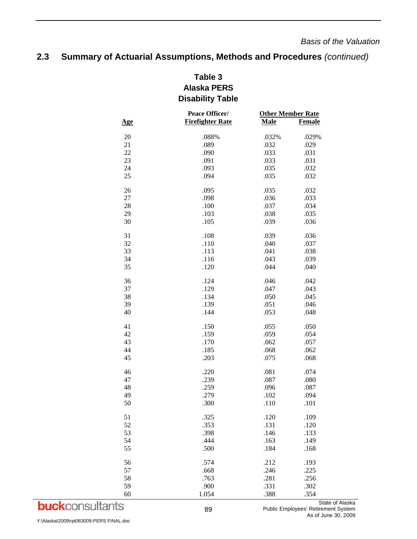## **2.3 Summary of Actuarial Assumptions, Methods and Procedures** *(continued)*

## **Table 3 Alaska PERS Disability Table**

|            | Peace Officer/          | <b>Other Member Rate</b> |               |  |
|------------|-------------------------|--------------------------|---------------|--|
| <u>Age</u> | <b>Firefighter Rate</b> | <b>Male</b>              | <b>Female</b> |  |
| 20         | .088%                   | .032%                    | .029%         |  |
| 21         | .089                    | .032                     | .029          |  |
| 22         | .090                    | .033                     | .031          |  |
| 23         | .091                    | .033                     | .031          |  |
| 24         | .093                    | .035                     | .032          |  |
| 25         | .094                    |                          |               |  |
|            |                         | .035                     | .032          |  |
| 26         | .095                    | .035                     | .032          |  |
| 27         | .098                    | .036                     | .033          |  |
| 28         | .100                    | .037                     | .034          |  |
| 29         | .103                    | .038                     | .035          |  |
| 30         | .105                    | .039                     | .036          |  |
| 31         | .108                    | .039                     | .036          |  |
| 32         | .110                    | .040                     | .037          |  |
| 33         | .113                    | .041                     | .038          |  |
| 34         | .116                    | .043                     | .039          |  |
| 35         | .120                    | .044                     | .040          |  |
| 36         | .124                    | .046                     | .042          |  |
| 37         | .129                    | .047                     | .043          |  |
| 38         | .134                    | .050                     | .045          |  |
| 39         | .139                    | .051                     | .046          |  |
| 40         | .144                    | .053                     | .048          |  |
|            |                         |                          |               |  |
| 41         | .150                    | .055                     | .050          |  |
| 42         | .159                    | .059                     | .054          |  |
| 43         | .170                    | .062                     | .057          |  |
| 44         | .185                    | .068                     | .062          |  |
| 45         | .203                    | .075                     | .068          |  |
| 46         | .220                    | .081                     | .074          |  |
| 47         | .239                    | .087                     | .080          |  |
| 48         | .259                    | .096                     | .087          |  |
| 49         | .279                    | .102                     | .094          |  |
| 50         | .300                    | .110                     | .101          |  |
| 51         | .325                    | .120                     | .109          |  |
| 52         | .353                    | .131                     | .120          |  |
| 53         | .398                    | .146                     | .133          |  |
| 54         | .444                    | .163                     | .149          |  |
| 55         | .500                    | .184                     | .168          |  |
| 56         | .574                    | .212                     | .193          |  |
| 57         | .668                    | .246                     | .225          |  |
| 58         | .763                    | .281                     | .256          |  |
| 59         | .900                    | .331                     | .302          |  |
| 60         | 1.054                   | .388                     | .354          |  |
|            |                         |                          |               |  |

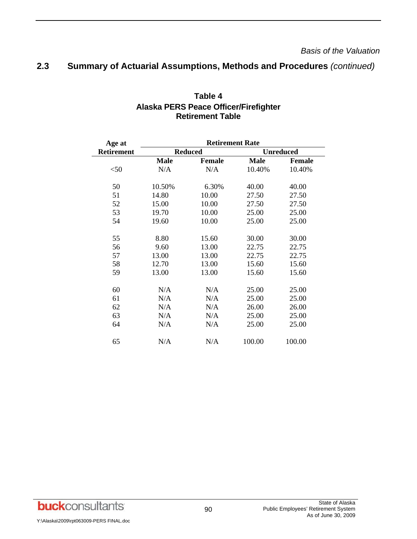## **2.3 Summary of Actuarial Assumptions, Methods and Procedures** *(continued)*

| Age at            | <b>Retirement Rate</b> |                |                  |               |
|-------------------|------------------------|----------------|------------------|---------------|
| <b>Retirement</b> |                        | <b>Reduced</b> | <b>Unreduced</b> |               |
|                   | <b>Male</b>            | <b>Female</b>  | <b>Male</b>      | <b>Female</b> |
| $<$ 50            | N/A                    | N/A            | 10.40%           | 10.40%        |
| 50                | 10.50%                 | 6.30%          | 40.00            | 40.00         |
| 51                | 14.80                  | 10.00          | 27.50            | 27.50         |
| 52                | 15.00                  | 10.00          | 27.50            | 27.50         |
| 53                | 19.70                  | 10.00          | 25.00            | 25.00         |
| 54                | 19.60                  | 10.00          | 25.00            | 25.00         |
| 55                | 8.80                   | 15.60          | 30.00            | 30.00         |
| 56                | 9.60                   | 13.00          | 22.75            | 22.75         |
| 57                | 13.00                  | 13.00          | 22.75            | 22.75         |
| 58                | 12.70                  | 13.00          | 15.60            | 15.60         |
| 59                | 13.00                  | 13.00          | 15.60            | 15.60         |
| 60                | N/A                    | N/A            | 25.00            | 25.00         |
| 61                | N/A                    | N/A            | 25.00            | 25.00         |
| 62                | N/A                    | N/A            | 26.00            | 26.00         |
| 63                | N/A                    | N/A            | 25.00            | 25.00         |
| 64                | N/A                    | N/A            | 25.00            | 25.00         |
| 65                | N/A                    | N/A            | 100.00           | 100.00        |

## **Table 4 Alaska PERS Peace Officer/Firefighter Retirement Table**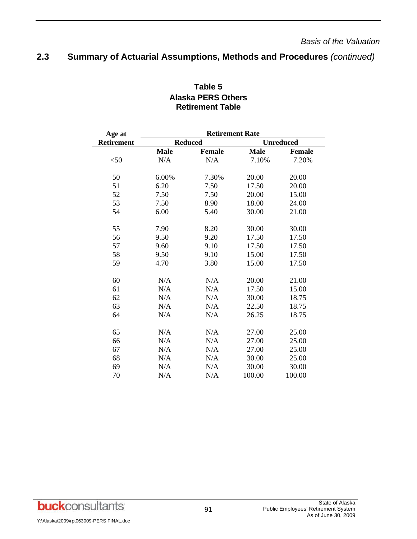## **2.3 Summary of Actuarial Assumptions, Methods and Procedures** *(continued)*

| Age at            | <b>Retirement Rate</b> |                |             |                  |  |  |  |  |  |
|-------------------|------------------------|----------------|-------------|------------------|--|--|--|--|--|
| <b>Retirement</b> |                        | <b>Reduced</b> |             | <b>Unreduced</b> |  |  |  |  |  |
|                   | <b>Male</b>            | <b>Female</b>  | <b>Male</b> | <b>Female</b>    |  |  |  |  |  |
| $<$ 50            | N/A                    | N/A            | 7.10%       | 7.20%            |  |  |  |  |  |
| 50                | 6.00%                  | 7.30%          | 20.00       | 20.00            |  |  |  |  |  |
| 51                | 6.20                   | 7.50           | 17.50       | 20.00            |  |  |  |  |  |
| 52                | 7.50                   | 7.50           | 20.00       | 15.00            |  |  |  |  |  |
| 53                | 7.50                   | 8.90           | 18.00       | 24.00            |  |  |  |  |  |
| 54                | 6.00                   | 5.40           | 30.00       | 21.00            |  |  |  |  |  |
| 55                | 7.90                   | 8.20           | 30.00       | 30.00            |  |  |  |  |  |
| 56                | 9.50                   | 9.20           | 17.50       | 17.50            |  |  |  |  |  |
| 57                | 9.60                   | 9.10           | 17.50       | 17.50            |  |  |  |  |  |
| 58                | 9.50                   | 9.10           | 15.00       | 17.50            |  |  |  |  |  |
| 59                | 4.70                   | 3.80           | 15.00       | 17.50            |  |  |  |  |  |
| 60                | N/A                    | N/A            | 20.00       | 21.00            |  |  |  |  |  |
| 61                | N/A                    | N/A            | 17.50       | 15.00            |  |  |  |  |  |
| 62                | N/A                    | N/A            | 30.00       | 18.75            |  |  |  |  |  |
| 63                | N/A                    | N/A            | 22.50       | 18.75            |  |  |  |  |  |
| 64                | N/A                    | N/A            | 26.25       | 18.75            |  |  |  |  |  |
| 65                | N/A                    | N/A            | 27.00       | 25.00            |  |  |  |  |  |
| 66                | N/A                    | N/A            | 27.00       | 25.00            |  |  |  |  |  |
| 67                | N/A                    | N/A            | 27.00       | 25.00            |  |  |  |  |  |
| 68                | N/A                    | N/A            | 30.00       | 25.00            |  |  |  |  |  |
| 69                | N/A                    | N/A            | 30.00       | 30.00            |  |  |  |  |  |
| 70                | N/A                    | N/A            | 100.00      | 100.00           |  |  |  |  |  |

## **Table 5 Alaska PERS Others Retirement Table**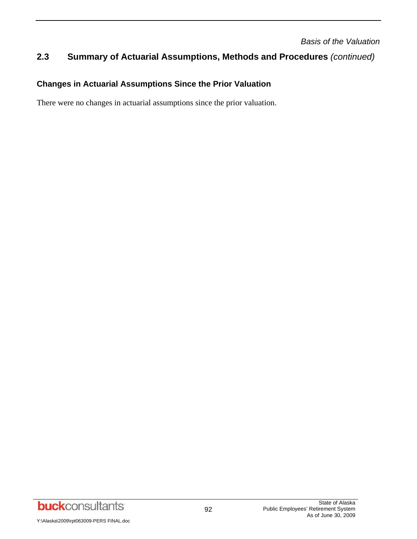## **2.3 Summary of Actuarial Assumptions, Methods and Procedures** *(continued)*

## **Changes in Actuarial Assumptions Since the Prior Valuation**

There were no changes in actuarial assumptions since the prior valuation.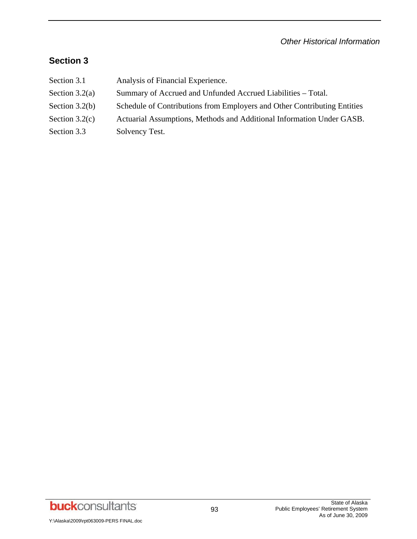## **Section 3**

- Section 3.1 Analysis of Financial Experience.
- Section 3.2(a) Summary of Accrued and Unfunded Accrued Liabilities Total.
- Section 3.2(b) Schedule of Contributions from Employers and Other Contributing Entities
- Section 3.2(c) Actuarial Assumptions, Methods and Additional Information Under GASB.
- Section 3.3 Solvency Test.

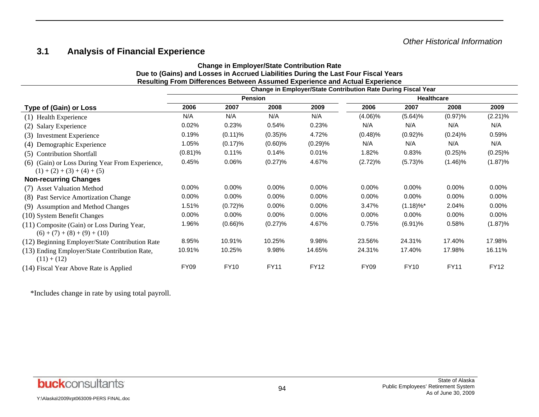## **3.1 Analysis of Financial Experience**

#### **Change in Employer/State Contribution Rate Due to (Gains) and Losses in Accrued Liabilities During the Last Four Fiscal Years Resulting From Differences Between Assumed Experience and Actual Experience Change in Employer/State Contribution Rate During Fiscal Year**

|                                                                              |                |             |             |             | Change in Employen State Continuution Rate During Fiscal Team |                         |             |             |  |
|------------------------------------------------------------------------------|----------------|-------------|-------------|-------------|---------------------------------------------------------------|-------------------------|-------------|-------------|--|
|                                                                              | <b>Pension</b> |             |             |             | <b>Healthcare</b>                                             |                         |             |             |  |
| <b>Type of (Gain) or Loss</b>                                                | 2006           | 2007        | 2008        | 2009        | 2006                                                          | 2007                    | 2008        | 2009        |  |
| (1) Health Experience                                                        | N/A            | N/A         | N/A         | N/A         | $(4.06)\%$                                                    | (5.64)%                 | (0.97)%     | $(2.21)\%$  |  |
| (2) Salary Experience                                                        | 0.02%          | 0.23%       | 0.54%       | 0.23%       | N/A                                                           | N/A                     | N/A         | N/A         |  |
| (3) Investment Experience                                                    | 0.19%          | $(0.11)\%$  | $(0.35)\%$  | 4.72%       | $(0.48)\%$                                                    | $(0.92)\%$              | $(0.24)\%$  | 0.59%       |  |
| (4) Demographic Experience                                                   | 1.05%          | (0.17)%     | $(0.60)\%$  | (0.29)%     | N/A                                                           | N/A                     | N/A         | N/A         |  |
| (5) Contribution Shortfall                                                   | $(0.81)\%$     | 0.11%       | 0.14%       | $0.01\%$    | 1.82%                                                         | 0.83%                   | $(0.25)\%$  | $(0.25)\%$  |  |
| (6) (Gain) or Loss During Year From Experience,                              | 0.45%          | 0.06%       | (0.27)%     | 4.67%       | (2.72)%                                                       | (5.73)%                 | $(1.46)\%$  | (1.87)%     |  |
| $(1) + (2) + (3) + (4) + (5)$                                                |                |             |             |             |                                                               |                         |             |             |  |
| <b>Non-recurring Changes</b>                                                 |                |             |             |             |                                                               |                         |             |             |  |
| (7) Asset Valuation Method                                                   | $0.00\%$       | $0.00\%$    | 0.00%       | $0.00\%$    | 0.00%                                                         | $0.00\%$                | 0.00%       | 0.00%       |  |
| (8) Past Service Amortization Change                                         | $0.00\%$       | $0.00\%$    | $0.00\%$    | $0.00\%$    | $0.00\%$                                                      | $0.00\%$                | $0.00\%$    | $0.00\%$    |  |
| (9) Assumption and Method Changes                                            | 1.51%          | (0.72)%     | 0.00%       | $0.00\%$    | 3.47%                                                         | $(1.18)\%$ <sup>*</sup> | 2.04%       | 0.00%       |  |
| (10) System Benefit Changes                                                  | 0.00%          | $0.00\%$    | 0.00%       | $0.00\%$    | $0.00\%$                                                      | $0.00\%$                | 0.00%       | 0.00%       |  |
| (11) Composite (Gain) or Loss During Year,<br>$(6) + (7) + (8) + (9) + (10)$ | 1.96%          | $(0.66)\%$  | (0.27)%     | 4.67%       | 0.75%                                                         | $(6.91)\%$              | 0.58%       | (1.87)%     |  |
| (12) Beginning Employer/State Contribution Rate                              | 8.95%          | 10.91%      | 10.25%      | 9.98%       | 23.56%                                                        | 24.31%                  | 17.40%      | 17.98%      |  |
| (13) Ending Employer/State Contribution Rate,<br>$(11) + (12)$               | 10.91%         | 10.25%      | 9.98%       | 14.65%      | 24.31%                                                        | 17.40%                  | 17.98%      | 16.11%      |  |
| (14) Fiscal Year Above Rate is Applied                                       | <b>FY09</b>    | <b>FY10</b> | <b>FY11</b> | <b>FY12</b> | <b>FY09</b>                                                   | <b>FY10</b>             | <b>FY11</b> | <b>FY12</b> |  |

\*Includes change in rate by using total payroll.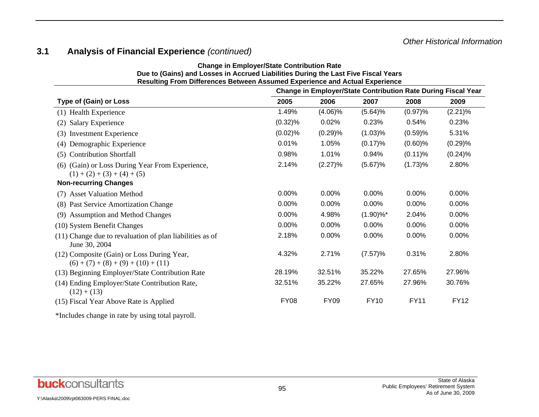## **3.1 Analysis of Financial Experience** *(continued)*

| Due to (Gains) and Losses in Accrued Liabilities During the Last Five Fiscal Years<br>Resulting From Differences Between Assumed Experience and Actual Experience |             |             |                          |             |             |
|-------------------------------------------------------------------------------------------------------------------------------------------------------------------|-------------|-------------|--------------------------|-------------|-------------|
| <b>Change in Employer/State Contribution Rate During Fiscal Year</b>                                                                                              |             |             |                          |             |             |
| <b>Type of (Gain) or Loss</b>                                                                                                                                     | 2005        | 2006        | 2007                     | 2008        | 2009        |
| (1) Health Experience                                                                                                                                             | 1.49%       | $(4.06)\%$  | (5.64)%                  | $(0.97)$ %  | (2.21)%     |
| <b>Salary Experience</b><br>(2)                                                                                                                                   | $(0.32)\%$  | 0.02%       | 0.23%                    | 0.54%       | 0.23%       |
| <b>Investment Experience</b><br>(3)                                                                                                                               | (0.02)%     | (0.29)%     | (1.03)%                  | (0.59)%     | 5.31%       |
| Demographic Experience<br>(4)                                                                                                                                     | 0.01%       | 1.05%       | $(0.17)\%$               | $(0.60)\%$  | (0.29)%     |
| <b>Contribution Shortfall</b><br>(5)                                                                                                                              | 0.98%       | 1.01%       | 0.94%                    | $(0.11)\%$  | (0.24)%     |
| (6) (Gain) or Loss During Year From Experience,<br>$(1) + (2) + (3) + (4) + (5)$                                                                                  | 2.14%       | (2.27)%     | (5.67)%                  | (1.73)%     | 2.80%       |
| <b>Non-recurring Changes</b>                                                                                                                                      |             |             |                          |             |             |
| (7) Asset Valuation Method                                                                                                                                        | 0.00%       | 0.00%       | 0.00%                    | 0.00%       | 0.00%       |
| (8) Past Service Amortization Change                                                                                                                              | 0.00%       | 0.00%       | 0.00%                    | 0.00%       | 0.00%       |
| <b>Assumption and Method Changes</b><br>(9)                                                                                                                       | 0.00%       | 4.98%       | $(1.90) \%$ <sup>*</sup> | 2.04%       | 0.00%       |
| (10) System Benefit Changes                                                                                                                                       | 0.00%       | 0.00%       | 0.00%                    | 0.00%       | 0.00%       |
| (11) Change due to revaluation of plan liabilities as of<br>June 30, 2004                                                                                         | 2.18%       | 0.00%       | 0.00%                    | 0.00%       | 0.00%       |
| (12) Composite (Gain) or Loss During Year,<br>$(6) + (7) + (8) + (9) + (10) + (11)$                                                                               | 4.32%       | 2.71%       | (7.57)%                  | 0.31%       | 2.80%       |
| (13) Beginning Employer/State Contribution Rate                                                                                                                   | 28.19%      | 32.51%      | 35.22%                   | 27.65%      | 27.96%      |
| (14) Ending Employer/State Contribution Rate,<br>$(12) + (13)$                                                                                                    | 32.51%      | 35.22%      | 27.65%                   | 27.96%      | 30.76%      |
| (15) Fiscal Year Above Rate is Applied                                                                                                                            | <b>FY08</b> | <b>FY09</b> | <b>FY10</b>              | <b>FY11</b> | <b>FY12</b> |
| *Includes change in rate by using total payroll.                                                                                                                  |             |             |                          |             |             |

**Change in Employer/State Contribution Rate**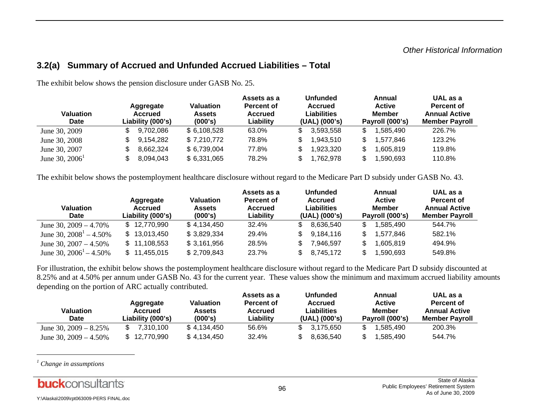### **3.2(a) Summary of Accrued and Unfunded Accrued Liabilities – Total**

| <b>Valuation</b><br><b>Date</b> | Aggregate<br><b>Accrued</b><br>Liability (000's) | Valuation<br><b>Assets</b><br>(000's) | Assets as a<br><b>Percent of</b><br><b>Accrued</b><br>Liability | <b>Unfunded</b><br>Accrued<br>Liabilities<br>(UAL) (000's) | Annual<br><b>Active</b><br><b>Member</b><br>Payroll (000's) | UAL as a<br>Percent of<br><b>Annual Active</b><br><b>Member Payroll</b> |
|---------------------------------|--------------------------------------------------|---------------------------------------|-----------------------------------------------------------------|------------------------------------------------------------|-------------------------------------------------------------|-------------------------------------------------------------------------|
| June 30, 2009                   | 9,702,086                                        | \$6,108,528                           | 63.0%                                                           | 3,593,558                                                  | 1,585,490                                                   | 226.7%                                                                  |
| June 30, 2008                   | 9,154,282                                        | \$7,210,772                           | 78.8%                                                           | 1,943,510                                                  | 1,577,846                                                   | 123.2%                                                                  |
| June 30, 2007                   | 8,662,324                                        | \$6,739,004                           | 77.8%                                                           | 923,320                                                    | .605,819                                                    | 119.8%                                                                  |
| June 30, $2006^1$               | 8,094,043                                        | \$6,331,065                           | 78.2%                                                           | 1,762,978                                                  | 1,590,693                                                   | 110.8%                                                                  |

The exhibit below shows the pension disclosure under GASB No. 25.

The exhibit below shows the postemployment healthcare disclosure without regard to the Medicare Part D subsidy under GASB No. 43.

| <b>Valuation</b><br><b>Date</b> | Aggregate<br><b>Accrued</b><br>Liability (000's) | <b>Valuation</b><br>Assets<br>(000's) | Assets as a<br><b>Percent of</b><br><b>Accrued</b><br>Liability | <b>Unfunded</b><br><b>Accrued</b><br>Liabilities<br>(UAL) (000's) | Annual<br><b>Active</b><br><b>Member</b><br>Payroll (000's) | UAL as a<br>Percent of<br><b>Annual Active</b><br><b>Member Payroll</b> |
|---------------------------------|--------------------------------------------------|---------------------------------------|-----------------------------------------------------------------|-------------------------------------------------------------------|-------------------------------------------------------------|-------------------------------------------------------------------------|
| June 30, $2009 - 4.70\%$        | \$12,770,990                                     | \$4,134,450                           | 32.4%                                                           | 8.636.540                                                         | .585.490<br>\$                                              | 544.7%                                                                  |
| June 30, $2008^1 - 4.50\%$      | \$13,013,450                                     | \$3,829,334                           | 29.4%                                                           | 9,184,116                                                         | 1,577,846                                                   | 582.1%                                                                  |
| June 30, $2007 - 4.50\%$        | \$11,108,553                                     | \$3,161,956                           | 28.5%                                                           | 7,946,597                                                         | .605,819                                                    | 494.9%                                                                  |
| June 30, $2006^1 - 4.50\%$      | \$11,455,015                                     | \$2,709,843                           | 23.7%                                                           | 8.745.172                                                         | 1,590,693                                                   | 549.8%                                                                  |

For illustration, the exhibit below shows the postemployment healthcare disclosure without regard to the Medicare Part D subsidy discounted at 8.25% and at 4.50% per annum under GASB No. 43 for the current year. These values show the minimum and maximum accrued liability amounts depending on the portion of ARC actually contributed.

| Valuation<br>Date        | Aggregate<br>Accrued<br>Liability (000's) | Valuation<br>Assets<br>(000's) | Assets as a<br><b>Percent of</b><br>Accrued<br>Liabilitv | <b>Unfunded</b><br><b>Accrued</b><br>Liabilities<br>$(UAL)$ $(000's)$ | Annual<br><b>Active</b><br>Member<br>Payroll (000's) | UAL as a<br>Percent of<br><b>Annual Active</b><br><b>Member Pavroll</b> |
|--------------------------|-------------------------------------------|--------------------------------|----------------------------------------------------------|-----------------------------------------------------------------------|------------------------------------------------------|-------------------------------------------------------------------------|
| June 30, $2009 - 8.25\%$ | 7.310.100                                 | \$4.134.450                    | 56.6%                                                    | 3.175.650                                                             | .585.490                                             | 200.3%                                                                  |
| June 30, $2009 - 4.50\%$ | \$12,770,990                              | \$4,134,450                    | 32.4%                                                    | 8.636.540                                                             | .585.490                                             | 544.7%                                                                  |

*1 Change in assumptions* 

Y:\Alaska\2009\rpt063009-PERS FINAL.doc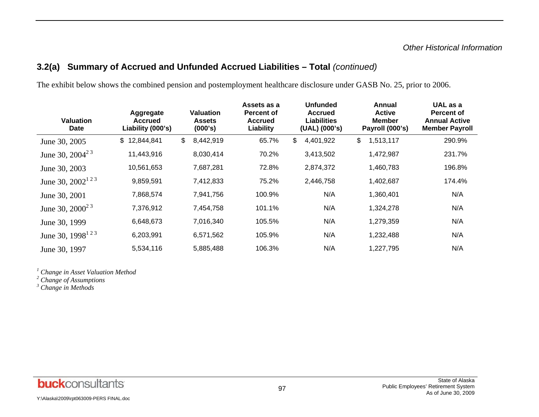## **3.2(a) Summary of Accrued and Unfunded Accrued Liabilities – Total** *(continued)*

The exhibit below shows the combined pension and postemployment healthcare disclosure under GASB No. 25, prior to 2006.

| <b>Valuation</b><br><b>Date</b> | Aggregate<br><b>Accrued</b><br>Liability (000's) | Valuation<br><b>Assets</b><br>(000's) | Assets as a<br><b>Percent of</b><br><b>Accrued</b><br>Liability | <b>Unfunded</b><br><b>Accrued</b><br><b>Liabilities</b><br>(UAL) (000's) | Annual<br><b>Active</b><br><b>Member</b><br>Payroll (000's) | UAL as a<br><b>Percent of</b><br><b>Annual Active</b><br><b>Member Payroll</b> |
|---------------------------------|--------------------------------------------------|---------------------------------------|-----------------------------------------------------------------|--------------------------------------------------------------------------|-------------------------------------------------------------|--------------------------------------------------------------------------------|
| June 30, 2005                   | 12,844,841<br>$\mathfrak{S}$                     | \$<br>8,442,919                       | 65.7%                                                           | \$<br>4,401,922                                                          | \$<br>1,513,117                                             | 290.9%                                                                         |
| June 30, $2004^{23}$            | 11,443,916                                       | 8,030,414                             | 70.2%                                                           | 3,413,502                                                                | 1,472,987                                                   | 231.7%                                                                         |
| June 30, 2003                   | 10,561,653                                       | 7,687,281                             | 72.8%                                                           | 2,874,372                                                                | 1,460,783                                                   | 196.8%                                                                         |
| June 30, $2002^{123}$           | 9,859,591                                        | 7,412,833                             | 75.2%                                                           | 2,446,758                                                                | 1,402,687                                                   | 174.4%                                                                         |
| June 30, 2001                   | 7,868,574                                        | 7,941,756                             | 100.9%                                                          | N/A                                                                      | 1,360,401                                                   | N/A                                                                            |
| June 30, $2000^{23}$            | 7,376,912                                        | 7,454,758                             | 101.1%                                                          | N/A                                                                      | 1,324,278                                                   | N/A                                                                            |
| June 30, 1999                   | 6,648,673                                        | 7,016,340                             | 105.5%                                                          | N/A                                                                      | 1,279,359                                                   | N/A                                                                            |
| June 30, $1998^{123}$           | 6,203,991                                        | 6,571,562                             | 105.9%                                                          | N/A                                                                      | 1,232,488                                                   | N/A                                                                            |
| June 30, 1997                   | 5,534,116                                        | 5,885,488                             | 106.3%                                                          | N/A                                                                      | 1,227,795                                                   | N/A                                                                            |

*1 Change in Asset Valuation Method* 

*2 Change of Assumptions* 

*3 Change in Methods*

Y:\Alaska\2009\rpt063009-PERS FINAL.doc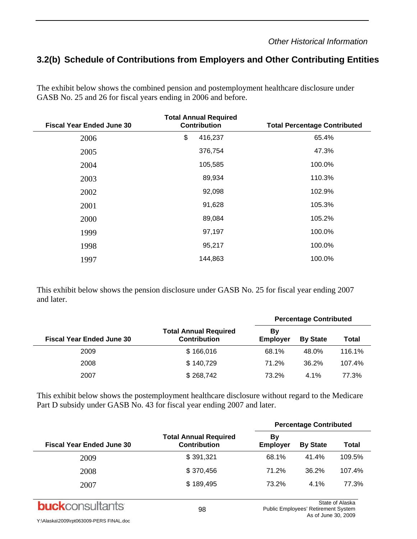## **3.2(b) Schedule of Contributions from Employers and Other Contributing Entities**

The exhibit below shows the combined pension and postemployment healthcare disclosure under GASB No. 25 and 26 for fiscal years ending in 2006 and before.

| <b>Fiscal Year Ended June 30</b> | <b>Total Annual Required</b><br><b>Contribution</b> | <b>Total Percentage Contributed</b> |
|----------------------------------|-----------------------------------------------------|-------------------------------------|
| 2006                             | \$<br>416,237                                       | 65.4%                               |
| 2005                             | 376,754                                             | 47.3%                               |
| 2004                             | 105,585                                             | 100.0%                              |
| 2003                             | 89,934                                              | 110.3%                              |
| 2002                             | 92,098                                              | 102.9%                              |
| 2001                             | 91,628                                              | 105.3%                              |
| 2000                             | 89,084                                              | 105.2%                              |
| 1999                             | 97,197                                              | 100.0%                              |
| 1998                             | 95,217                                              | 100.0%                              |
| 1997                             | 144,863                                             | 100.0%                              |

This exhibit below shows the pension disclosure under GASB No. 25 for fiscal year ending 2007 and later.

|                                  |                                                     | <b>Percentage Contributed</b> |                 |        |  |
|----------------------------------|-----------------------------------------------------|-------------------------------|-----------------|--------|--|
| <b>Fiscal Year Ended June 30</b> | <b>Total Annual Required</b><br><b>Contribution</b> | B٧<br><b>Employer</b>         | <b>By State</b> | Total  |  |
| 2009                             | \$166,016                                           | 68.1%                         | 48.0%           | 116.1% |  |
| 2008                             | \$140,729                                           | 71.2%                         | 36.2%           | 107.4% |  |
| 2007                             | \$268,742                                           | 73.2%                         | $4.1\%$         | 77.3%  |  |

This exhibit below shows the postemployment healthcare disclosure without regard to the Medicare Part D subsidy under GASB No. 43 for fiscal year ending 2007 and later.

|                                  |                                                     | <b>Percentage Contributed</b> |                 |        |  |
|----------------------------------|-----------------------------------------------------|-------------------------------|-----------------|--------|--|
| <b>Fiscal Year Ended June 30</b> | <b>Total Annual Required</b><br><b>Contribution</b> | Bγ<br><b>Employer</b>         | <b>By State</b> | Total  |  |
| 2009                             | \$391,321                                           | 68.1%                         | 41.4%           | 109.5% |  |
| 2008                             | \$370,456                                           | 71.2%                         | 36.2%           | 107.4% |  |
| 2007                             | \$189,495                                           | 73.2%                         | $4.1\%$         | 77.3%  |  |

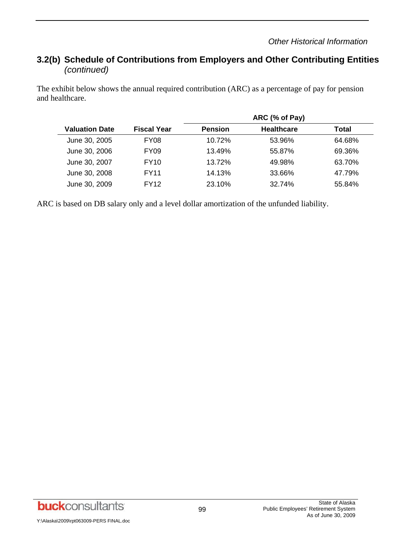## **3.2(b) Schedule of Contributions from Employers and Other Contributing Entities**  *(continued)*

The exhibit below shows the annual required contribution (ARC) as a percentage of pay for pension and healthcare.

|                       |                    |                | ARC (% of Pay)    |        |  |  |
|-----------------------|--------------------|----------------|-------------------|--------|--|--|
| <b>Valuation Date</b> | <b>Fiscal Year</b> | <b>Pension</b> | <b>Healthcare</b> | Total  |  |  |
| June 30, 2005         | FY <sub>08</sub>   | 10.72%         | 53.96%            | 64.68% |  |  |
| June 30, 2006         | FY <sub>09</sub>   | 13.49%         | 55.87%            | 69.36% |  |  |
| June 30, 2007         | <b>FY10</b>        | 13.72%         | 49.98%            | 63.70% |  |  |
| June 30, 2008         | FY11               | 14.13%         | 33.66%            | 47.79% |  |  |
| June 30, 2009         | FY12               | 23.10%         | 32.74%            | 55.84% |  |  |

ARC is based on DB salary only and a level dollar amortization of the unfunded liability.

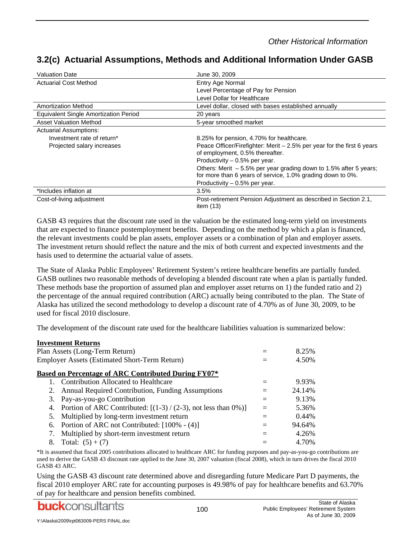| <b>Valuation Date</b>                 | June 30, 2009                                                                                                                                                       |
|---------------------------------------|---------------------------------------------------------------------------------------------------------------------------------------------------------------------|
| <b>Actuarial Cost Method</b>          | Entry Age Normal                                                                                                                                                    |
|                                       | Level Percentage of Pay for Pension                                                                                                                                 |
|                                       | Level Dollar for Healthcare                                                                                                                                         |
| <b>Amortization Method</b>            | Level dollar, closed with bases established annually                                                                                                                |
| Equivalent Single Amortization Period | 20 years                                                                                                                                                            |
| <b>Asset Valuation Method</b>         | 5-year smoothed market                                                                                                                                              |
| <b>Actuarial Assumptions:</b>         |                                                                                                                                                                     |
| Investment rate of return*            | 8.25% for pension, 4.70% for healthcare.                                                                                                                            |
| Projected salary increases            | Peace Officer/Firefighter: Merit $-2.5%$ per year for the first 6 years<br>of employment, 0.5% thereafter.                                                          |
|                                       | Productivity $-0.5%$ per year.                                                                                                                                      |
|                                       | Others: Merit $-5.5\%$ per year grading down to 1.5% after 5 years;<br>for more than 6 years of service, 1.0% grading down to 0%.<br>Productivity $-0.5%$ per year. |
| *Includes inflation at                | 3.5%                                                                                                                                                                |
| Cost-of-living adjustment             | Post-retirement Pension Adjustment as described in Section 2.1,<br>item $(13)$                                                                                      |

## **3.2(c) Actuarial Assumptions, Methods and Additional Information Under GASB**

GASB 43 requires that the discount rate used in the valuation be the estimated long-term yield on investments that are expected to finance postemployment benefits. Depending on the method by which a plan is financed, the relevant investments could be plan assets, employer assets or a combination of plan and employer assets. The investment return should reflect the nature and the mix of both current and expected investments and the basis used to determine the actuarial value of assets.

The State of Alaska Public Employees' Retirement System's retiree healthcare benefits are partially funded. GASB outlines two reasonable methods of developing a blended discount rate when a plan is partially funded. These methods base the proportion of assumed plan and employer asset returns on 1) the funded ratio and 2) the percentage of the annual required contribution (ARC) actually being contributed to the plan. The State of Alaska has utilized the second methodology to develop a discount rate of 4.70% as of June 30, 2009, to be used for fiscal 2010 disclosure.

The development of the discount rate used for the healthcare liabilities valuation is summarized below:

|    | <b>Investment Returns</b>                                          |        |
|----|--------------------------------------------------------------------|--------|
|    | Plan Assets (Long-Term Return)                                     | 8.25%  |
|    | <b>Employer Assets (Estimated Short-Term Return)</b>               | 4.50%  |
|    | <b>Based on Percentage of ARC Contributed During FY07*</b>         |        |
|    | Contribution Allocated to Healthcare                               | 9.93%  |
| 2. | Annual Required Contribution, Funding Assumptions                  | 24.14% |
| 3. | Pay-as-you-go Contribution                                         | 9.13%  |
|    | 4. Portion of ARC Contributed: $[(1-3)/(2-3)]$ , not less than 0%) | 5.36%  |
| 5. | Multiplied by long-term investment return                          | 0.44%  |
| 6. | Portion of ARC not Contributed: [100% - (4)]                       | 94.64% |
| 7. | Multiplied by short-term investment return                         | 4.26%  |
| 8. | Total: $(5) + (7)$                                                 | 4.70%  |

\*It is assumed that fiscal 2005 contributions allocated to healthcare ARC for funding purposes and pay-as-you-go contributions are used to derive the GASB 43 discount rate applied to the June 30, 2007 valuation (fiscal 2008), which in turn drives the fiscal 2010 GASB 43 ARC.

Using the GASB 43 discount rate determined above and disregarding future Medicare Part D payments, the fiscal 2010 employer ARC rate for accounting purposes is 49.98% of pay for healthcare benefits and 63.70% of pay for healthcare and pension benefits combined.

**buck**consultants